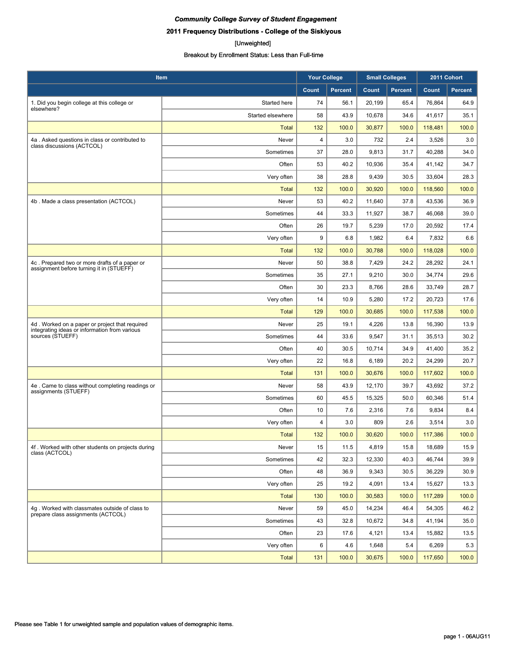## **2011 Frequency Distributions - College of the Siskiyous**

#### [Unweighted]

| Item                                                                                      |                   | <b>Your College</b> |                | <b>Small Colleges</b> |                | 2011 Cohort |                |
|-------------------------------------------------------------------------------------------|-------------------|---------------------|----------------|-----------------------|----------------|-------------|----------------|
|                                                                                           |                   | Count               | <b>Percent</b> | Count                 | <b>Percent</b> | Count       | <b>Percent</b> |
| 1. Did you begin college at this college or                                               | Started here      | 74                  | 56.1           | 20,199                | 65.4           | 76,864      | 64.9           |
| elsewhere?                                                                                | Started elsewhere | 58                  | 43.9           | 10,678                | 34.6           | 41,617      | 35.1           |
|                                                                                           | <b>Total</b>      | 132                 | 100.0          | 30,877                | 100.0          | 118,481     | 100.0          |
| 4a. Asked questions in class or contributed to                                            | Never             | 4                   | 3.0            | 732                   | 2.4            | 3,526       | 3.0            |
| class discussions (ACTCOL)                                                                | Sometimes         | 37                  | 28.0           | 9,813                 | 31.7           | 40,288      | 34.0           |
|                                                                                           | Often             | 53                  | 40.2           | 10,936                | 35.4           | 41,142      | 34.7           |
|                                                                                           | Very often        | 38                  | 28.8           | 9,439                 | 30.5           | 33,604      | 28.3           |
|                                                                                           | <b>Total</b>      | 132                 | 100.0          | 30,920                | 100.0          | 118,560     | 100.0          |
| 4b. Made a class presentation (ACTCOL)                                                    | Never             | 53                  | 40.2           | 11,640                | 37.8           | 43,536      | 36.9           |
|                                                                                           | Sometimes         | 44                  | 33.3           | 11,927                | 38.7           | 46,068      | 39.0           |
|                                                                                           | Often             | 26                  | 19.7           | 5,239                 | 17.0           | 20,592      | 17.4           |
|                                                                                           | Very often        | 9                   | 6.8            | 1,982                 | 6.4            | 7,832       | 6.6            |
|                                                                                           | <b>Total</b>      | 132                 | 100.0          | 30,788                | 100.0          | 118,028     | 100.0          |
| 4c. Prepared two or more drafts of a paper or<br>assignment before turning it in (STUEFF) | Never             | 50                  | 38.8           | 7,429                 | 24.2           | 28,292      | 24.1           |
|                                                                                           | Sometimes         | 35                  | 27.1           | 9,210                 | 30.0           | 34,774      | 29.6           |
|                                                                                           | Often             | 30                  | 23.3           | 8,766                 | 28.6           | 33,749      | 28.7           |
|                                                                                           | Very often        | 14                  | 10.9           | 5,280                 | 17.2           | 20,723      | 17.6           |
|                                                                                           | <b>Total</b>      | 129                 | 100.0          | 30,685                | 100.0          | 117,538     | 100.0          |
| 4d. Worked on a paper or project that required                                            | Never             | 25                  | 19.1           | 4,226                 | 13.8           | 16,390      | 13.9           |
| integrating ideas or information from various<br>sources (STUEFF)                         | Sometimes         | 44                  | 33.6           | 9,547                 | 31.1           | 35,513      | 30.2           |
|                                                                                           | Often             | 40                  | 30.5           | 10,714                | 34.9           | 41,400      | 35.2           |
|                                                                                           | Very often        | 22                  | 16.8           | 6,189                 | 20.2           | 24,299      | 20.7           |
|                                                                                           | <b>Total</b>      | 131                 | 100.0          | 30,676                | 100.0          | 117,602     | 100.0          |
| 4e. Came to class without completing readings or<br>assignments (STUEFF)                  | Never             | 58                  | 43.9           | 12,170                | 39.7           | 43,692      | 37.2           |
|                                                                                           | Sometimes         | 60                  | 45.5           | 15,325                | 50.0           | 60,346      | 51.4           |
|                                                                                           | Often             | 10                  | 7.6            | 2,316                 | 7.6            | 9,834       | 8.4            |
|                                                                                           | Very often        | 4                   | 3.0            | 809                   | 2.6            | 3,514       | 3.0            |
|                                                                                           | <b>Total</b>      | 132                 | 100.0          | 30,620                | 100.0          | 117,386     | 100.0          |
| 4f. Worked with other students on projects during<br>class (ACTCOL)                       | Never             | 15                  | 11.5           | 4,819                 | 15.8           | 18,689      | 15.9           |
|                                                                                           | Sometimes         | 42                  | 32.3           | 12,330                | 40.3           | 46,744      | 39.9           |
|                                                                                           | Often             | 48                  | 36.9           | 9,343                 | 30.5           | 36,229      | 30.9           |
|                                                                                           | Very often        | 25                  | 19.2           | 4,091                 | 13.4           | 15,627      | 13.3           |
|                                                                                           | <b>Total</b>      | 130                 | 100.0          | 30,583                | 100.0          | 117,289     | 100.0          |
| 4q. Worked with classmates outside of class to<br>prepare class assignments (ACTCOL)      | Never             | 59                  | 45.0           | 14,234                | 46.4           | 54,305      | 46.2           |
|                                                                                           | Sometimes         | 43                  | 32.8           | 10,672                | 34.8           | 41,194      | 35.0           |
|                                                                                           | Often             | 23                  | 17.6           | 4,121                 | 13.4           | 15,882      | 13.5           |
|                                                                                           | Very often        | 6                   | 4.6            | 1,648                 | 5.4            | 6,269       | 5.3            |
|                                                                                           | Total             | 131                 | 100.0          | 30,675                | 100.0          | 117,650     | 100.0          |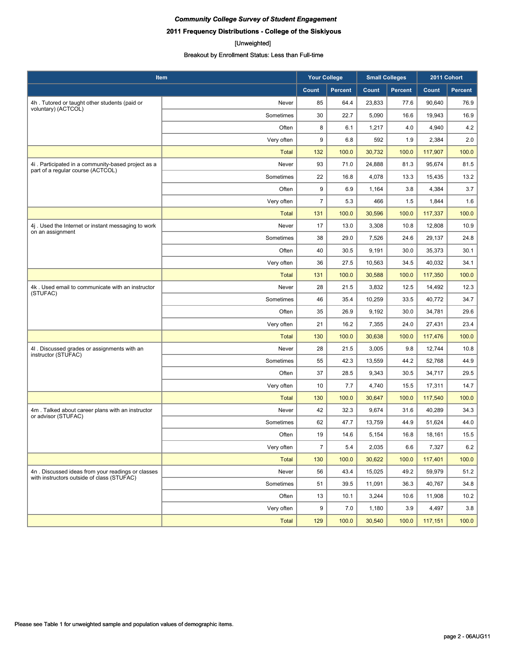## **2011 Frequency Distributions - College of the Siskiyous**

#### [Unweighted]

| <b>Item</b>                                                                                     |              | <b>Your College</b> |                | <b>Small Colleges</b> |                | 2011 Cohort |         |
|-------------------------------------------------------------------------------------------------|--------------|---------------------|----------------|-----------------------|----------------|-------------|---------|
|                                                                                                 |              | Count               | <b>Percent</b> | Count                 | <b>Percent</b> | Count       | Percent |
| 4h. Tutored or taught other students (paid or                                                   | Never        | 85                  | 64.4           | 23,833                | 77.6           | 90,640      | 76.9    |
| voluntary) (ACTCOL)                                                                             | Sometimes    | 30                  | 22.7           | 5,090                 | 16.6           | 19,943      | 16.9    |
|                                                                                                 | Often        | 8                   | 6.1            | 1,217                 | 4.0            | 4,940       | 4.2     |
|                                                                                                 | Very often   | 9                   | 6.8            | 592                   | 1.9            | 2,384       | 2.0     |
|                                                                                                 | <b>Total</b> | 132                 | 100.0          | 30,732                | 100.0          | 117,907     | 100.0   |
| 4i. Participated in a community-based project as a<br>part of a regular course (ACTCOL)         | Never        | 93                  | 71.0           | 24,888                | 81.3           | 95,674      | 81.5    |
|                                                                                                 | Sometimes    | 22                  | 16.8           | 4,078                 | 13.3           | 15,435      | 13.2    |
|                                                                                                 | Often        | 9                   | 6.9            | 1,164                 | 3.8            | 4,384       | 3.7     |
|                                                                                                 | Very often   | $\overline{7}$      | 5.3            | 466                   | 1.5            | 1,844       | 1.6     |
|                                                                                                 | <b>Total</b> | 131                 | 100.0          | 30,596                | 100.0          | 117,337     | 100.0   |
| 4j. Used the Internet or instant messaging to work<br>on an assignment                          | Never        | 17                  | 13.0           | 3,308                 | 10.8           | 12,808      | 10.9    |
|                                                                                                 | Sometimes    | 38                  | 29.0           | 7,526                 | 24.6           | 29,137      | 24.8    |
|                                                                                                 | Often        | 40                  | 30.5           | 9,191                 | 30.0           | 35,373      | 30.1    |
|                                                                                                 | Very often   | 36                  | 27.5           | 10,563                | 34.5           | 40,032      | 34.1    |
|                                                                                                 | Total        | 131                 | 100.0          | 30,588                | 100.0          | 117,350     | 100.0   |
| 4k. Used email to communicate with an instructor<br>(STUFAC)                                    | Never        | 28                  | 21.5           | 3,832                 | 12.5           | 14,492      | 12.3    |
|                                                                                                 | Sometimes    | 46                  | 35.4           | 10,259                | 33.5           | 40,772      | 34.7    |
|                                                                                                 | Often        | 35                  | 26.9           | 9,192                 | 30.0           | 34,781      | 29.6    |
|                                                                                                 | Very often   | 21                  | 16.2           | 7,355                 | 24.0           | 27,431      | 23.4    |
|                                                                                                 | <b>Total</b> | 130                 | 100.0          | 30,638                | 100.0          | 117,476     | 100.0   |
| 4I . Discussed grades or assignments with an<br>instructor (STUFAC)                             | Never        | 28                  | 21.5           | 3,005                 | 9.8            | 12,744      | 10.8    |
|                                                                                                 | Sometimes    | 55                  | 42.3           | 13,559                | 44.2           | 52,768      | 44.9    |
|                                                                                                 | Often        | 37                  | 28.5           | 9,343                 | 30.5           | 34,717      | 29.5    |
|                                                                                                 | Very often   | 10                  | 7.7            | 4,740                 | 15.5           | 17,311      | 14.7    |
|                                                                                                 | <b>Total</b> | 130                 | 100.0          | 30,647                | 100.0          | 117,540     | 100.0   |
| 4m. Talked about career plans with an instructor<br>or advisor (STUFAC)                         | Never        | 42                  | 32.3           | 9,674                 | 31.6           | 40,289      | 34.3    |
|                                                                                                 | Sometimes    | 62                  | 47.7           | 13,759                | 44.9           | 51,624      | 44.0    |
|                                                                                                 | Often        | 19                  | 14.6           | 5,154                 | 16.8           | 18,161      | 15.5    |
|                                                                                                 | Very often   | $\overline{7}$      | 5.4            | 2,035                 | 6.6            | 7,327       | 6.2     |
|                                                                                                 | <b>Total</b> | 130                 | 100.0          | 30,622                | 100.0          | 117,401     | 100.0   |
| 4n. Discussed ideas from your readings or classes<br>with instructors outside of class (STUFAC) | Never        | 56                  | 43.4           | 15,025                | 49.2           | 59,979      | 51.2    |
|                                                                                                 | Sometimes    | 51                  | 39.5           | 11,091                | 36.3           | 40,767      | 34.8    |
|                                                                                                 | Often        | 13                  | 10.1           | 3,244                 | 10.6           | 11,908      | 10.2    |
|                                                                                                 | Very often   | 9                   | 7.0            | 1,180                 | 3.9            | 4,497       | 3.8     |
|                                                                                                 | Total        | 129                 | 100.0          | 30,540                | 100.0          | 117,151     | 100.0   |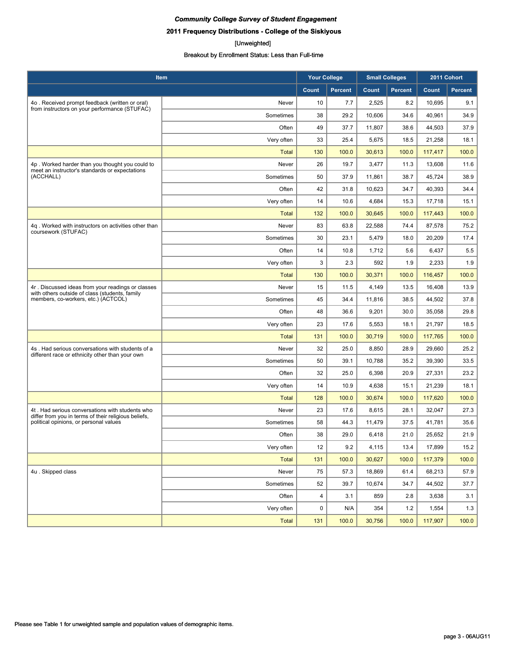**2011 Frequency Distributions - College of the Siskiyous**

#### [Unweighted]

| <b>Item</b>                                                                                             |              | <b>Your College</b> |                | <b>Small Colleges</b> |                | 2011 Cohort |                |
|---------------------------------------------------------------------------------------------------------|--------------|---------------------|----------------|-----------------------|----------------|-------------|----------------|
|                                                                                                         |              | Count               | <b>Percent</b> | Count                 | <b>Percent</b> | Count       | <b>Percent</b> |
| 4o. Received prompt feedback (written or oral)                                                          | Never        | 10                  | 7.7            | 2,525                 | 8.2            | 10,695      | 9.1            |
| from instructors on your performance (STUFAC)                                                           | Sometimes    | 38                  | 29.2           | 10,606                | 34.6           | 40,961      | 34.9           |
|                                                                                                         | Often        | 49                  | 37.7           | 11,807                | 38.6           | 44,503      | 37.9           |
|                                                                                                         | Very often   | 33                  | 25.4           | 5,675                 | 18.5           | 21,258      | 18.1           |
|                                                                                                         | <b>Total</b> | 130                 | 100.0          | 30,613                | 100.0          | 117,417     | 100.0          |
| 4p. Worked harder than you thought you could to<br>meet an instructor's standards or expectations       | Never        | 26                  | 19.7           | 3,477                 | 11.3           | 13,608      | 11.6           |
| (ACCHALL)                                                                                               | Sometimes    | 50                  | 37.9           | 11,861                | 38.7           | 45,724      | 38.9           |
|                                                                                                         | Often        | 42                  | 31.8           | 10,623                | 34.7           | 40,393      | 34.4           |
|                                                                                                         | Very often   | 14                  | 10.6           | 4,684                 | 15.3           | 17,718      | 15.1           |
|                                                                                                         | <b>Total</b> | 132                 | 100.0          | 30,645                | 100.0          | 117,443     | 100.0          |
| 4q. Worked with instructors on activities other than<br>coursework (STUFAC)                             | Never        | 83                  | 63.8           | 22,588                | 74.4           | 87,578      | 75.2           |
|                                                                                                         | Sometimes    | 30                  | 23.1           | 5,479                 | 18.0           | 20,209      | 17.4           |
|                                                                                                         | Often        | 14                  | 10.8           | 1,712                 | 5.6            | 6,437       | 5.5            |
|                                                                                                         | Very often   | 3                   | 2.3            | 592                   | 1.9            | 2,233       | 1.9            |
|                                                                                                         | <b>Total</b> | 130                 | 100.0          | 30,371                | 100.0          | 116,457     | 100.0          |
| 4r. Discussed ideas from your readings or classes<br>with others outside of class (students, family     | Never        | 15                  | 11.5           | 4,149                 | 13.5           | 16,408      | 13.9           |
| members, co-workers, etc.) (ACTCOL)                                                                     | Sometimes    | 45                  | 34.4           | 11,816                | 38.5           | 44,502      | 37.8           |
|                                                                                                         | Often        | 48                  | 36.6           | 9,201                 | 30.0           | 35,058      | 29.8           |
|                                                                                                         | Very often   | 23                  | 17.6           | 5,553                 | 18.1           | 21,797      | 18.5           |
|                                                                                                         | <b>Total</b> | 131                 | 100.0          | 30,719                | 100.0          | 117,765     | 100.0          |
| 4s. Had serious conversations with students of a<br>different race or ethnicity other than your own     | Never        | 32                  | 25.0           | 8,850                 | 28.9           | 29,660      | 25.2           |
|                                                                                                         | Sometimes    | 50                  | 39.1           | 10,788                | 35.2           | 39,390      | 33.5           |
|                                                                                                         | Often        | 32                  | 25.0           | 6,398                 | 20.9           | 27,331      | 23.2           |
|                                                                                                         | Very often   | 14                  | 10.9           | 4,638                 | 15.1           | 21,239      | 18.1           |
|                                                                                                         | <b>Total</b> | 128                 | 100.0          | 30,674                | 100.0          | 117,620     | 100.0          |
| 4t. Had serious conversations with students who<br>differ from you in terms of their religious beliefs, | Never        | 23                  | 17.6           | 8,615                 | 28.1           | 32,047      | 27.3           |
| political opinions, or personal values                                                                  | Sometimes    | 58                  | 44.3           | 11,479                | 37.5           | 41,781      | 35.6           |
|                                                                                                         | Often        | 38                  | 29.0           | 6,418                 | 21.0           | 25,652      | 21.9           |
|                                                                                                         | Very often   | 12                  | 9.2            | 4,115                 | 13.4           | 17,899      | 15.2           |
|                                                                                                         | <b>Total</b> | 131                 | 100.0          | 30,627                | 100.0          | 117,379     | 100.0          |
| 4u. Skipped class                                                                                       | Never        | 75                  | 57.3           | 18,869                | 61.4           | 68,213      | 57.9           |
|                                                                                                         | Sometimes    | 52                  | 39.7           | 10,674                | 34.7           | 44,502      | 37.7           |
|                                                                                                         | Often        | 4                   | 3.1            | 859                   | 2.8            | 3,638       | 3.1            |
|                                                                                                         | Very often   | $\mathbf 0$         | N/A            | 354                   | 1.2            | 1,554       | 1.3            |
|                                                                                                         | Total        | 131                 | 100.0          | 30,756                | 100.0          | 117,907     | 100.0          |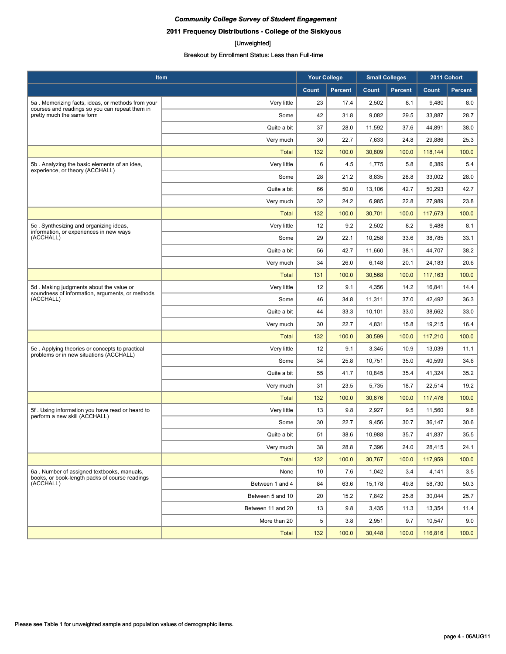## **2011 Frequency Distributions - College of the Siskiyous**

#### [Unweighted]

| Item                                                                                         |                   | <b>Your College</b> |                | <b>Small Colleges</b> |                | 2011 Cohort |                |
|----------------------------------------------------------------------------------------------|-------------------|---------------------|----------------|-----------------------|----------------|-------------|----------------|
|                                                                                              |                   | Count               | <b>Percent</b> | Count                 | <b>Percent</b> | Count       | <b>Percent</b> |
| 5a. Memorizing facts, ideas, or methods from your                                            | Very little       | 23                  | 17.4           | 2,502                 | 8.1            | 9,480       | 8.0            |
| courses and readings so you can repeat them in<br>pretty much the same form                  | Some              | 42                  | 31.8           | 9,082                 | 29.5           | 33,887      | 28.7           |
|                                                                                              | Quite a bit       | 37                  | 28.0           | 11,592                | 37.6           | 44,891      | 38.0           |
|                                                                                              | Very much         | 30                  | 22.7           | 7,633                 | 24.8           | 29,886      | 25.3           |
|                                                                                              | <b>Total</b>      | 132                 | 100.0          | 30,809                | 100.0          | 118,144     | 100.0          |
| 5b. Analyzing the basic elements of an idea,                                                 | Very little       | 6                   | 4.5            | 1,775                 | 5.8            | 6,389       | 5.4            |
| experience, or theory (ACCHALL)                                                              | Some              | 28                  | 21.2           | 8,835                 | 28.8           | 33,002      | 28.0           |
|                                                                                              | Quite a bit       | 66                  | 50.0           | 13,106                | 42.7           | 50,293      | 42.7           |
|                                                                                              | Very much         | 32                  | 24.2           | 6,985                 | 22.8           | 27,989      | 23.8           |
|                                                                                              | <b>Total</b>      | 132                 | 100.0          | 30,701                | 100.0          | 117,673     | 100.0          |
| 5c. Synthesizing and organizing ideas,<br>information, or experiences in new ways            | Very little       | 12                  | 9.2            | 2,502                 | 8.2            | 9,488       | 8.1            |
| (ACCHALL)                                                                                    | Some              | 29                  | 22.1           | 10,258                | 33.6           | 38,785      | 33.1           |
|                                                                                              | Quite a bit       | 56                  | 42.7           | 11,660                | 38.1           | 44,707      | 38.2           |
|                                                                                              | Very much         | 34                  | 26.0           | 6,148                 | 20.1           | 24.183      | 20.6           |
|                                                                                              | <b>Total</b>      | 131                 | 100.0          | 30,568                | 100.0          | 117,163     | 100.0          |
| 5d. Making judgments about the value or<br>soundness of information, arguments, or methods   | Very little       | 12                  | 9.1            | 4,356                 | 14.2           | 16,841      | 14.4           |
| (ACCHALL)                                                                                    | Some              | 46                  | 34.8           | 11,311                | 37.0           | 42,492      | 36.3           |
|                                                                                              | Quite a bit       | 44                  | 33.3           | 10,101                | 33.0           | 38,662      | 33.0           |
|                                                                                              | Very much         | 30                  | 22.7           | 4,831                 | 15.8           | 19,215      | 16.4           |
|                                                                                              | <b>Total</b>      | 132                 | 100.0          | 30,599                | 100.0          | 117,210     | 100.0          |
| 5e. Applying theories or concepts to practical<br>problems or in new situations (ACCHALL)    | Very little       | 12                  | 9.1            | 3,345                 | 10.9           | 13,039      | 11.1           |
|                                                                                              | Some              | 34                  | 25.8           | 10,751                | 35.0           | 40,599      | 34.6           |
|                                                                                              | Quite a bit       | 55                  | 41.7           | 10,845                | 35.4           | 41,324      | 35.2           |
|                                                                                              | Very much         | 31                  | 23.5           | 5,735                 | 18.7           | 22,514      | 19.2           |
|                                                                                              | <b>Total</b>      | 132                 | 100.0          | 30,676                | 100.0          | 117,476     | 100.0          |
| 5f. Using information you have read or heard to<br>perform a new skill (ACCHALL)             | Very little       | 13                  | 9.8            | 2,927                 | 9.5            | 11,560      | 9.8            |
|                                                                                              | Some              | 30                  | 22.7           | 9,456                 | 30.7           | 36,147      | 30.6           |
|                                                                                              | Quite a bit       | 51                  | 38.6           | 10.988                | 35.7           | 41.837      | 35.5           |
|                                                                                              | Very much         | 38                  | 28.8           | 7,396                 | 24.0           | 28,415      | 24.1           |
|                                                                                              | <b>Total</b>      | 132                 | 100.0          | 30,767                | 100.0          | 117,959     | 100.0          |
| 6a. Number of assigned textbooks, manuals,<br>books, or book-length packs of course readings | None              | 10                  | 7.6            | 1,042                 | 3.4            | 4,141       | 3.5            |
| (ACCHALL)                                                                                    | Between 1 and 4   | 84                  | 63.6           | 15,178                | 49.8           | 58,730      | 50.3           |
|                                                                                              | Between 5 and 10  | 20                  | 15.2           | 7,842                 | 25.8           | 30,044      | 25.7           |
|                                                                                              | Between 11 and 20 | 13                  | 9.8            | 3,435                 | 11.3           | 13,354      | 11.4           |
|                                                                                              | More than 20      | 5                   | 3.8            | 2,951                 | 9.7            | 10,547      | 9.0            |
|                                                                                              | <b>Total</b>      | 132                 | 100.0          | 30,448                | 100.0          | 116,816     | 100.0          |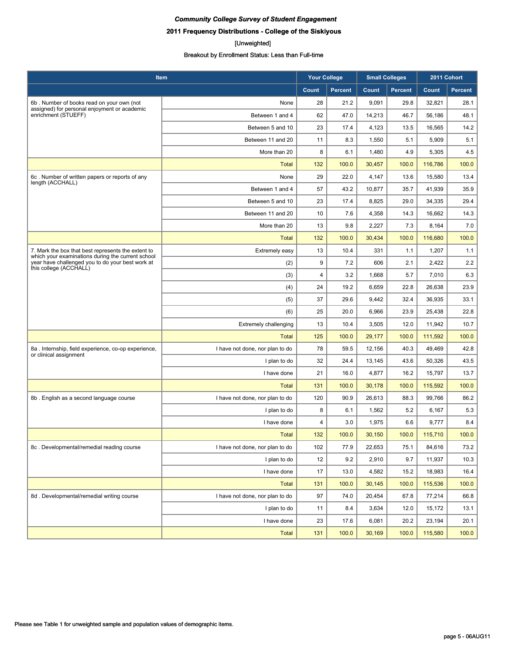## **2011 Frequency Distributions - College of the Siskiyous**

#### [Unweighted]

| Item                                                                                                    |                                 | <b>Your College</b> |                | <b>Small Colleges</b> |                | 2011 Cohort |                |
|---------------------------------------------------------------------------------------------------------|---------------------------------|---------------------|----------------|-----------------------|----------------|-------------|----------------|
|                                                                                                         |                                 | Count               | <b>Percent</b> | Count                 | <b>Percent</b> | Count       | <b>Percent</b> |
| 6b. Number of books read on your own (not                                                               | None                            | 28                  | 21.2           | 9,091                 | 29.8           | 32,821      | 28.1           |
| assigned) for personal enjoyment or academic<br>enrichment (STUEFF)                                     | Between 1 and 4                 | 62                  | 47.0           | 14,213                | 46.7           | 56,186      | 48.1           |
|                                                                                                         | Between 5 and 10                | 23                  | 17.4           | 4,123                 | 13.5           | 16,565      | 14.2           |
|                                                                                                         | Between 11 and 20               | 11                  | 8.3            | 1,550                 | 5.1            | 5,909       | 5.1            |
|                                                                                                         | More than 20                    | 8                   | 6.1            | 1,480                 | 4.9            | 5,305       | 4.5            |
|                                                                                                         | <b>Total</b>                    | 132                 | 100.0          | 30,457                | 100.0          | 116,786     | 100.0          |
| 6c. Number of written papers or reports of any<br>length (ACCHALL)                                      | None                            | 29                  | 22.0           | 4,147                 | 13.6           | 15,580      | 13.4           |
|                                                                                                         | Between 1 and 4                 | 57                  | 43.2           | 10,877                | 35.7           | 41,939      | 35.9           |
|                                                                                                         | Between 5 and 10                | 23                  | 17.4           | 8,825                 | 29.0           | 34,335      | 29.4           |
|                                                                                                         | Between 11 and 20               | 10                  | 7.6            | 4,358                 | 14.3           | 16,662      | 14.3           |
|                                                                                                         | More than 20                    | 13                  | 9.8            | 2,227                 | 7.3            | 8,164       | 7.0            |
|                                                                                                         | <b>Total</b>                    | 132                 | 100.0          | 30,434                | 100.0          | 116,680     | 100.0          |
| 7. Mark the box that best represents the extent to<br>which your examinations during the current school | Extremely easy                  | 13                  | 10.4           | 331                   | 1.1            | 1,207       | 1.1            |
| year have challenged you to do your best work at<br>this college (ACCHALL)                              | (2)                             | 9                   | 7.2            | 606                   | 2.1            | 2,422       | 2.2            |
|                                                                                                         | (3)                             | 4                   | 3.2            | 1,668                 | 5.7            | 7,010       | 6.3            |
|                                                                                                         | (4)                             | 24                  | 19.2           | 6,659                 | 22.8           | 26,638      | 23.9           |
|                                                                                                         | (5)                             | 37                  | 29.6           | 9,442                 | 32.4           | 36,935      | 33.1           |
|                                                                                                         | (6)                             | 25                  | 20.0           | 6,966                 | 23.9           | 25,438      | 22.8           |
|                                                                                                         | <b>Extremely challenging</b>    | 13                  | 10.4           | 3,505                 | 12.0           | 11,942      | 10.7           |
|                                                                                                         | Total                           | 125                 | 100.0          | 29,177                | 100.0          | 111,592     | 100.0          |
| 8a. Internship, field experience, co-op experience,<br>or clinical assignment                           | I have not done, nor plan to do | 78                  | 59.5           | 12,156                | 40.3           | 49,469      | 42.8           |
|                                                                                                         | I plan to do                    | 32                  | 24.4           | 13,145                | 43.6           | 50,326      | 43.5           |
|                                                                                                         | I have done                     | 21                  | 16.0           | 4,877                 | 16.2           | 15,797      | 13.7           |
|                                                                                                         | <b>Total</b>                    | 131                 | 100.0          | 30,178                | 100.0          | 115,592     | 100.0          |
| 8b. English as a second language course                                                                 | I have not done, nor plan to do | 120                 | 90.9           | 26,613                | 88.3           | 99,766      | 86.2           |
|                                                                                                         | I plan to do                    | 8                   | 6.1            | 1,562                 | 5.2            | 6,167       | 5.3            |
|                                                                                                         | I have done                     | $\overline{4}$      | 3.0            | 1,975                 | 6.6            | 9,777       | 8.4            |
|                                                                                                         | <b>Total</b>                    | 132                 | 100.0          | 30,150                | 100.0          | 115,710     | 100.0          |
| 8c. Developmental/remedial reading course                                                               | I have not done, nor plan to do | 102                 | 77.9           | 22,653                | 75.1           | 84,616      | 73.2           |
|                                                                                                         | I plan to do                    | 12                  | 9.2            | 2,910                 | 9.7            | 11,937      | 10.3           |
|                                                                                                         | I have done                     | 17                  | 13.0           | 4,582                 | 15.2           | 18,983      | 16.4           |
|                                                                                                         | <b>Total</b>                    | 131                 | 100.0          | 30,145                | 100.0          | 115,536     | 100.0          |
| 8d. Developmental/remedial writing course                                                               | I have not done, nor plan to do | 97                  | 74.0           | 20,454                | 67.8           | 77,214      | 66.8           |
|                                                                                                         | I plan to do                    | 11                  | 8.4            | 3,634                 | 12.0           | 15,172      | 13.1           |
|                                                                                                         | I have done                     | 23                  | 17.6           | 6,081                 | 20.2           | 23,194      | 20.1           |
|                                                                                                         | <b>Total</b>                    | 131                 | 100.0          | 30,169                | 100.0          | 115,580     | 100.0          |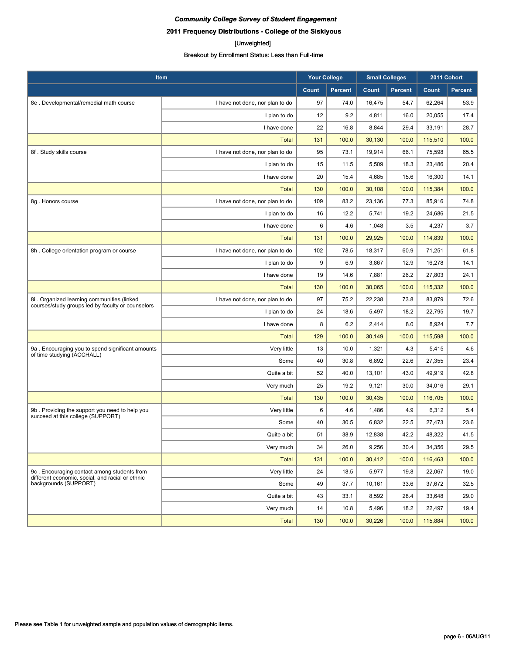## **2011 Frequency Distributions - College of the Siskiyous**

#### [Unweighted]

| Item                                                                                            |                                 | <b>Your College</b> |         | <b>Small Colleges</b> |                | 2011 Cohort |                |
|-------------------------------------------------------------------------------------------------|---------------------------------|---------------------|---------|-----------------------|----------------|-------------|----------------|
|                                                                                                 |                                 | Count               | Percent | Count                 | <b>Percent</b> | Count       | <b>Percent</b> |
| 8e. Developmental/remedial math course                                                          | I have not done, nor plan to do | 97                  | 74.0    | 16,475                | 54.7           | 62,264      | 53.9           |
|                                                                                                 | I plan to do                    | 12                  | 9.2     | 4,811                 | 16.0           | 20,055      | 17.4           |
|                                                                                                 | I have done                     | 22                  | 16.8    | 8,844                 | 29.4           | 33,191      | 28.7           |
|                                                                                                 | <b>Total</b>                    | 131                 | 100.0   | 30,130                | 100.0          | 115,510     | 100.0          |
| 8f. Study skills course                                                                         | I have not done, nor plan to do | 95                  | 73.1    | 19,914                | 66.1           | 75,598      | 65.5           |
|                                                                                                 | I plan to do                    | 15                  | 11.5    | 5,509                 | 18.3           | 23,486      | 20.4           |
|                                                                                                 | I have done                     | 20                  | 15.4    | 4,685                 | 15.6           | 16,300      | 14.1           |
|                                                                                                 | <b>Total</b>                    | 130                 | 100.0   | 30,108                | 100.0          | 115,384     | 100.0          |
| 8g. Honors course                                                                               | I have not done, nor plan to do | 109                 | 83.2    | 23,136                | 77.3           | 85,916      | 74.8           |
|                                                                                                 | I plan to do                    | 16                  | 12.2    | 5,741                 | 19.2           | 24,686      | 21.5           |
|                                                                                                 | I have done                     | 6                   | 4.6     | 1,048                 | 3.5            | 4,237       | 3.7            |
|                                                                                                 | <b>Total</b>                    | 131                 | 100.0   | 29,925                | 100.0          | 114,839     | 100.0          |
| 8h. College orientation program or course                                                       | I have not done, nor plan to do | 102                 | 78.5    | 18,317                | 60.9           | 71,251      | 61.8           |
|                                                                                                 | I plan to do                    | 9                   | 6.9     | 3,867                 | 12.9           | 16,278      | 14.1           |
|                                                                                                 | I have done                     | 19                  | 14.6    | 7,881                 | 26.2           | 27,803      | 24.1           |
|                                                                                                 | <b>Total</b>                    | 130                 | 100.0   | 30,065                | 100.0          | 115,332     | 100.0          |
| 8i. Organized learning communities (linked<br>courses/study groups led by faculty or counselors | I have not done, nor plan to do | 97                  | 75.2    | 22,238                | 73.8           | 83,879      | 72.6           |
|                                                                                                 | I plan to do                    | 24                  | 18.6    | 5,497                 | 18.2           | 22,795      | 19.7           |
|                                                                                                 | I have done                     | 8                   | 6.2     | 2,414                 | 8.0            | 8,924       | 7.7            |
|                                                                                                 | <b>Total</b>                    | 129                 | 100.0   | 30,149                | 100.0          | 115,598     | 100.0          |
| 9a. Encouraging you to spend significant amounts<br>of time studying (ACCHALL)                  | Very little                     | 13                  | 10.0    | 1,321                 | 4.3            | 5,415       | 4.6            |
|                                                                                                 | Some                            | 40                  | 30.8    | 6,892                 | 22.6           | 27,355      | 23.4           |
|                                                                                                 | Quite a bit                     | 52                  | 40.0    | 13,101                | 43.0           | 49,919      | 42.8           |
|                                                                                                 | Very much                       | 25                  | 19.2    | 9,121                 | 30.0           | 34,016      | 29.1           |
|                                                                                                 | <b>Total</b>                    | 130                 | 100.0   | 30,435                | 100.0          | 116,705     | 100.0          |
| 9b. Providing the support you need to help you<br>succeed at this college (SUPPORT)             | Very little                     | 6                   | 4.6     | 1,486                 | 4.9            | 6,312       | 5.4            |
|                                                                                                 | Some                            | 40                  | 30.5    | 6,832                 | 22.5           | 27,473      | 23.6           |
|                                                                                                 | Quite a bit                     | 51                  | 38.9    | 12,838                | 42.2           | 48,322      | 41.5           |
|                                                                                                 | Very much                       | 34                  | 26.0    | 9,256                 | 30.4           | 34,356      | 29.5           |
|                                                                                                 | <b>Total</b>                    | 131                 | 100.0   | 30,412                | 100.0          | 116,463     | 100.0          |
| 9c. Encouraging contact among students from<br>different economic, social, and racial or ethnic | Very little                     | 24                  | 18.5    | 5,977                 | 19.8           | 22,067      | 19.0           |
| backgrounds (SUPPORT)                                                                           | Some                            | 49                  | 37.7    | 10,161                | 33.6           | 37,672      | 32.5           |
|                                                                                                 | Quite a bit                     | 43                  | 33.1    | 8,592                 | 28.4           | 33,648      | 29.0           |
|                                                                                                 | Very much                       | 14                  | 10.8    | 5,496                 | 18.2           | 22,497      | 19.4           |
|                                                                                                 | Total                           | 130                 | 100.0   | 30,226                | 100.0          | 115,884     | 100.0          |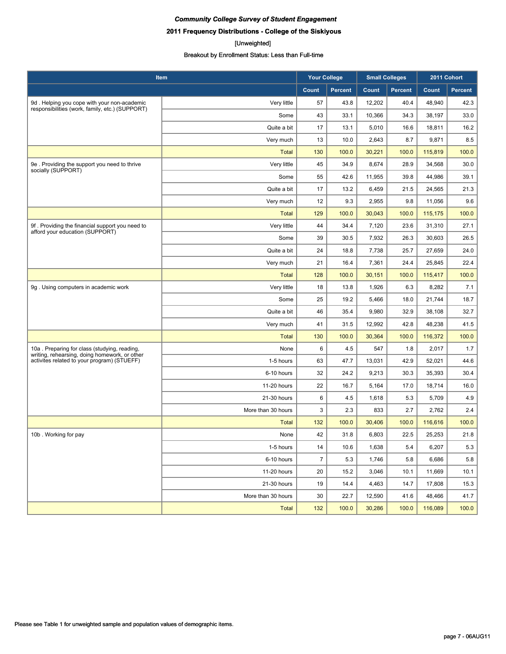## **2011 Frequency Distributions - College of the Siskiyous**

#### [Unweighted]

| Item                                                                                           |                    | <b>Your College</b> |                | <b>Small Colleges</b> |                | 2011 Cohort |                |
|------------------------------------------------------------------------------------------------|--------------------|---------------------|----------------|-----------------------|----------------|-------------|----------------|
|                                                                                                |                    | Count               | <b>Percent</b> | Count                 | <b>Percent</b> | Count       | <b>Percent</b> |
| 9d. Helping you cope with your non-academic<br>responsibilities (work, family, etc.) (SUPPORT) | Very little        | 57                  | 43.8           | 12,202                | 40.4           | 48,940      | 42.3           |
|                                                                                                | Some               | 43                  | 33.1           | 10,366                | 34.3           | 38,197      | 33.0           |
|                                                                                                | Quite a bit        | 17                  | 13.1           | 5,010                 | 16.6           | 18,811      | 16.2           |
|                                                                                                | Very much          | 13                  | 10.0           | 2,643                 | 8.7            | 9,871       | 8.5            |
|                                                                                                | <b>Total</b>       | 130                 | 100.0          | 30,221                | 100.0          | 115,819     | 100.0          |
| 9e. Providing the support you need to thrive<br>socially (SUPPORT)                             | Very little        | 45                  | 34.9           | 8,674                 | 28.9           | 34,568      | 30.0           |
|                                                                                                | Some               | 55                  | 42.6           | 11.955                | 39.8           | 44,986      | 39.1           |
|                                                                                                | Quite a bit        | 17                  | 13.2           | 6,459                 | 21.5           | 24,565      | 21.3           |
|                                                                                                | Very much          | 12                  | 9.3            | 2,955                 | 9.8            | 11,056      | 9.6            |
|                                                                                                | <b>Total</b>       | 129                 | 100.0          | 30,043                | 100.0          | 115,175     | 100.0          |
| 9f. Providing the financial support you need to<br>afford your education (SUPPORT)             | Very little        | 44                  | 34.4           | 7,120                 | 23.6           | 31,310      | 27.1           |
|                                                                                                | Some               | 39                  | 30.5           | 7,932                 | 26.3           | 30,603      | 26.5           |
|                                                                                                | Quite a bit        | 24                  | 18.8           | 7,738                 | 25.7           | 27,659      | 24.0           |
|                                                                                                | Very much          | 21                  | 16.4           | 7,361                 | 24.4           | 25,845      | 22.4           |
|                                                                                                | <b>Total</b>       | 128                 | 100.0          | 30,151                | 100.0          | 115,417     | 100.0          |
| 9g. Using computers in academic work                                                           | Very little        | 18                  | 13.8           | 1,926                 | 6.3            | 8,282       | 7.1            |
|                                                                                                | Some               | 25                  | 19.2           | 5,466                 | 18.0           | 21,744      | 18.7           |
|                                                                                                | Quite a bit        | 46                  | 35.4           | 9,980                 | 32.9           | 38,108      | 32.7           |
|                                                                                                | Very much          | 41                  | 31.5           | 12,992                | 42.8           | 48,238      | 41.5           |
|                                                                                                | <b>Total</b>       | 130                 | 100.0          | 30,364                | 100.0          | 116,372     | 100.0          |
| 10a. Preparing for class (studying, reading,<br>writing, rehearsing, doing homework, or other  | None               | 6                   | 4.5            | 547                   | 1.8            | 2,017       | 1.7            |
| activites related to your program) (STUEFF)                                                    | 1-5 hours          | 63                  | 47.7           | 13,031                | 42.9           | 52,021      | 44.6           |
|                                                                                                | 6-10 hours         | 32                  | 24.2           | 9,213                 | 30.3           | 35,393      | 30.4           |
|                                                                                                | 11-20 hours        | 22                  | 16.7           | 5,164                 | 17.0           | 18,714      | 16.0           |
|                                                                                                | 21-30 hours        | 6                   | 4.5            | 1,618                 | 5.3            | 5,709       | 4.9            |
|                                                                                                | More than 30 hours | 3                   | 2.3            | 833                   | 2.7            | 2,762       | 2.4            |
|                                                                                                | <b>Total</b>       | 132                 | 100.0          | 30,406                | 100.0          | 116,616     | 100.0          |
| 10b. Working for pay                                                                           | None               | 42                  | 31.8           | 6,803                 | 22.5           | 25,253      | 21.8           |
|                                                                                                | 1-5 hours          | 14                  | 10.6           | 1,638                 | 5.4            | 6,207       | 5.3            |
|                                                                                                | 6-10 hours         | $\overline{7}$      | 5.3            | 1,746                 | 5.8            | 6,686       | 5.8            |
|                                                                                                | 11-20 hours        | 20                  | 15.2           | 3,046                 | 10.1           | 11,669      | 10.1           |
|                                                                                                | 21-30 hours        | 19                  | 14.4           | 4,463                 | 14.7           | 17,808      | 15.3           |
|                                                                                                | More than 30 hours | 30                  | 22.7           | 12,590                | 41.6           | 48,466      | 41.7           |
|                                                                                                | <b>Total</b>       | 132                 | 100.0          | 30,286                | 100.0          | 116,089     | 100.0          |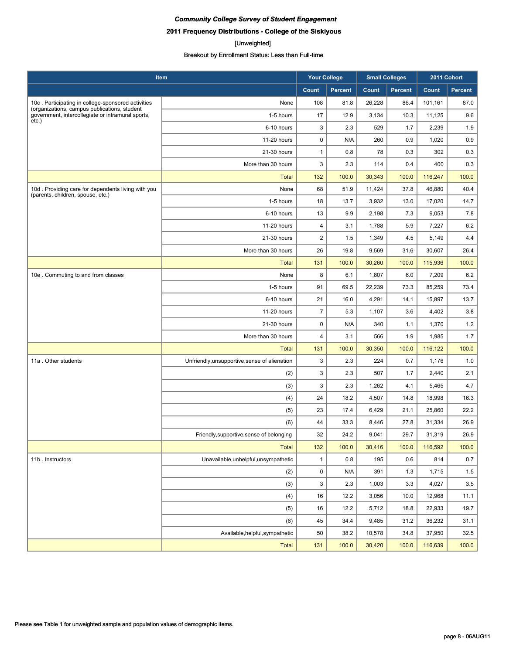## **2011 Frequency Distributions - College of the Siskiyous**

#### [Unweighted]

| Item                                                                                              |                                               | <b>Your College</b>     |                | <b>Small Colleges</b> |                | 2011 Cohort |                |
|---------------------------------------------------------------------------------------------------|-----------------------------------------------|-------------------------|----------------|-----------------------|----------------|-------------|----------------|
|                                                                                                   |                                               | Count                   | <b>Percent</b> | Count                 | <b>Percent</b> | Count       | <b>Percent</b> |
| 10c. Participating in college-sponsored activities                                                | None                                          | 108                     | 81.8           | 26,228                | 86.4           | 101,161     | 87.0           |
| (organizations, campus publications, student<br>government, intercollegiate or intramural sports, | 1-5 hours                                     | 17                      | 12.9           | 3,134                 | 10.3           | 11,125      | 9.6            |
| $etc.$ )                                                                                          | 6-10 hours                                    | 3                       | 2.3            | 529                   | 1.7            | 2,239       | 1.9            |
|                                                                                                   | 11-20 hours                                   | 0                       | N/A            | 260                   | 0.9            | 1,020       | 0.9            |
|                                                                                                   | 21-30 hours                                   | $\mathbf{1}$            | 0.8            | 78                    | 0.3            | 302         | 0.3            |
|                                                                                                   | More than 30 hours                            | 3                       | 2.3            | 114                   | 0.4            | 400         | 0.3            |
|                                                                                                   | <b>Total</b>                                  | 132                     | 100.0          | 30,343                | 100.0          | 116,247     | 100.0          |
| 10d. Providing care for dependents living with you                                                | None                                          | 68                      | 51.9           | 11,424                | 37.8           | 46,880      | 40.4           |
| (parents, children, spouse, etc.)                                                                 | 1-5 hours                                     | 18                      | 13.7           | 3,932                 | 13.0           | 17,020      | 14.7           |
|                                                                                                   | 6-10 hours                                    | 13                      | 9.9            | 2,198                 | 7.3            | 9,053       | 7.8            |
|                                                                                                   | 11-20 hours                                   | $\overline{\mathbf{4}}$ | 3.1            | 1,788                 | 5.9            | 7,227       | 6.2            |
|                                                                                                   | 21-30 hours                                   | $\overline{2}$          | 1.5            | 1,349                 | 4.5            | 5,149       | 4.4            |
|                                                                                                   | More than 30 hours                            | 26                      | 19.8           | 9,569                 | 31.6           | 30,607      | 26.4           |
|                                                                                                   | <b>Total</b>                                  | 131                     | 100.0          | 30,260                | 100.0          | 115,936     | 100.0          |
| 10e. Commuting to and from classes                                                                | None                                          | 8                       | 6.1            | 1,807                 | 6.0            | 7,209       | 6.2            |
|                                                                                                   | 1-5 hours                                     | 91                      | 69.5           | 22,239                | 73.3           | 85,259      | 73.4           |
|                                                                                                   | 6-10 hours                                    | 21                      | 16.0           | 4,291                 | 14.1           | 15,897      | 13.7           |
|                                                                                                   | 11-20 hours                                   | $\overline{7}$          | 5.3            | 1,107                 | 3.6            | 4,402       | 3.8            |
|                                                                                                   | 21-30 hours                                   | 0                       | N/A            | 340                   | 1.1            | 1,370       | 1.2            |
|                                                                                                   | More than 30 hours                            | $\overline{4}$          | 3.1            | 566                   | 1.9            | 1,985       | 1.7            |
|                                                                                                   | <b>Total</b>                                  | 131                     | 100.0          | 30,350                | 100.0          | 116,122     | 100.0          |
| 11a . Other students                                                                              | Unfriendly, unsupportive, sense of alienation | 3                       | 2.3            | 224                   | 0.7            | 1,176       | 1.0            |
|                                                                                                   | (2)                                           | 3                       | 2.3            | 507                   | 1.7            | 2,440       | 2.1            |
|                                                                                                   | (3)                                           | 3                       | 2.3            | 1,262                 | 4.1            | 5,465       | 4.7            |
|                                                                                                   | (4)                                           | 24                      | 18.2           | 4,507                 | 14.8           | 18,998      | 16.3           |
|                                                                                                   | (5)                                           | 23                      | 17.4           | 6,429                 | 21.1           | 25,860      | 22.2           |
|                                                                                                   | (6)                                           | 44                      | 33.3           | 8,446                 | 27.8           | 31,334      | 26.9           |
|                                                                                                   | Friendly, supportive, sense of belonging      | 32                      | 24.2           | 9,041                 | 29.7           | 31,319      | 26.9           |
|                                                                                                   | <b>Total</b>                                  | 132                     | 100.0          | 30,416                | 100.0          | 116,592     | 100.0          |
| 11b. Instructors                                                                                  | Unavailable, unhelpful, unsympathetic         | $\mathbf{1}$            | 0.8            | 195                   | 0.6            | 814         | 0.7            |
|                                                                                                   | (2)                                           | 0                       | N/A            | 391                   | 1.3            | 1,715       | 1.5            |
|                                                                                                   | (3)                                           | 3                       | 2.3            | 1,003                 | 3.3            | 4,027       | 3.5            |
|                                                                                                   | (4)                                           | 16                      | 12.2           | 3,056                 | 10.0           | 12,968      | 11.1           |
|                                                                                                   | (5)                                           | 16                      | 12.2           | 5,712                 | 18.8           | 22,933      | 19.7           |
|                                                                                                   | (6)                                           | 45                      | 34.4           | 9,485                 | 31.2           | 36,232      | 31.1           |
|                                                                                                   | Available, helpful, sympathetic               | 50                      | 38.2           | 10,578                | 34.8           | 37,950      | 32.5           |
|                                                                                                   | <b>Total</b>                                  | 131                     | 100.0          | 30,420                | 100.0          | 116,639     | 100.0          |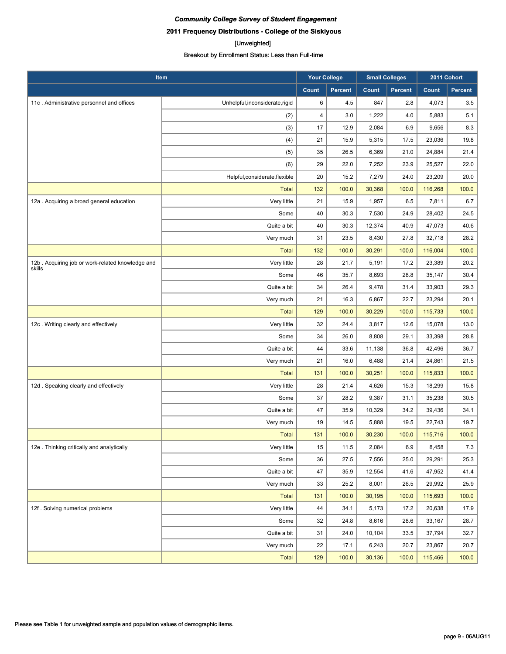## **2011 Frequency Distributions - College of the Siskiyous**

#### [Unweighted]

| Item                                             |                                 | <b>Your College</b> |                | <b>Small Colleges</b> |                | 2011 Cohort  |                |
|--------------------------------------------------|---------------------------------|---------------------|----------------|-----------------------|----------------|--------------|----------------|
|                                                  |                                 | Count               | <b>Percent</b> | Count                 | <b>Percent</b> | <b>Count</b> | <b>Percent</b> |
| 11c. Administrative personnel and offices        | Unhelpful, inconsiderate, rigid | 6                   | 4.5            | 847                   | 2.8            | 4,073        | 3.5            |
|                                                  | (2)                             | 4                   | 3.0            | 1,222                 | 4.0            | 5,883        | 5.1            |
|                                                  | (3)                             | 17                  | 12.9           | 2,084                 | 6.9            | 9,656        | 8.3            |
|                                                  | (4)                             | 21                  | 15.9           | 5,315                 | 17.5           | 23,036       | 19.8           |
|                                                  | (5)                             | 35                  | 26.5           | 6,369                 | 21.0           | 24,884       | 21.4           |
|                                                  | (6)                             | 29                  | 22.0           | 7,252                 | 23.9           | 25,527       | 22.0           |
|                                                  | Helpful, considerate, flexible  | 20                  | 15.2           | 7,279                 | 24.0           | 23,209       | 20.0           |
|                                                  | <b>Total</b>                    | 132                 | 100.0          | 30,368                | 100.0          | 116,268      | 100.0          |
| 12a . Acquiring a broad general education        | Very little                     | 21                  | 15.9           | 1,957                 | 6.5            | 7,811        | 6.7            |
|                                                  | Some                            | 40                  | 30.3           | 7,530                 | 24.9           | 28,402       | 24.5           |
|                                                  | Quite a bit                     | 40                  | 30.3           | 12,374                | 40.9           | 47,073       | 40.6           |
|                                                  | Very much                       | 31                  | 23.5           | 8,430                 | 27.8           | 32,718       | 28.2           |
|                                                  | <b>Total</b>                    | 132                 | 100.0          | 30,291                | 100.0          | 116,004      | 100.0          |
| 12b. Acquiring job or work-related knowledge and | Very little                     | 28                  | 21.7           | 5,191                 | 17.2           | 23,389       | 20.2           |
| skills                                           | Some                            | 46                  | 35.7           | 8,693                 | 28.8           | 35,147       | 30.4           |
|                                                  | Quite a bit                     | 34                  | 26.4           | 9,478                 | 31.4           | 33,903       | 29.3           |
|                                                  | Very much                       | 21                  | 16.3           | 6,867                 | 22.7           | 23,294       | 20.1           |
|                                                  | <b>Total</b>                    | 129                 | 100.0          | 30,229                | 100.0          | 115,733      | 100.0          |
| 12c. Writing clearly and effectively             | Very little                     | 32                  | 24.4           | 3,817                 | 12.6           | 15,078       | 13.0           |
|                                                  | Some                            | 34                  | 26.0           | 8,808                 | 29.1           | 33,398       | 28.8           |
|                                                  | Quite a bit                     | 44                  | 33.6           | 11,138                | 36.8           | 42,496       | 36.7           |
|                                                  | Very much                       | 21                  | 16.0           | 6,488                 | 21.4           | 24,861       | 21.5           |
|                                                  | <b>Total</b>                    | 131                 | 100.0          | 30,251                | 100.0          | 115,833      | 100.0          |
| 12d. Speaking clearly and effectively            | Very little                     | 28                  | 21.4           | 4,626                 | 15.3           | 18,299       | 15.8           |
|                                                  | Some                            | 37                  | 28.2           | 9,387                 | 31.1           | 35,238       | 30.5           |
|                                                  | Quite a bit                     | 47                  | 35.9           | 10,329                | 34.2           | 39,436       | 34.1           |
|                                                  | Very much                       | 19                  | 14.5           | 5,888                 | 19.5           | 22,743       | 19.7           |
|                                                  | <b>Total</b>                    | 131                 | 100.0          | 30,230                | 100.0          | 115,716      | 100.0          |
| 12e . Thinking critically and analytically       | Very little                     | 15                  | 11.5           | 2,084                 | 6.9            | 8,458        | $7.3\,$        |
|                                                  | Some                            | 36                  | 27.5           | 7,556                 | 25.0           | 29,291       | 25.3           |
|                                                  | Quite a bit                     | 47                  | 35.9           | 12,554                | 41.6           | 47,952       | 41.4           |
|                                                  | Very much                       | 33                  | 25.2           | 8,001                 | 26.5           | 29,992       | 25.9           |
|                                                  | <b>Total</b>                    | 131                 | 100.0          | 30,195                | 100.0          | 115,693      | 100.0          |
| 12f. Solving numerical problems                  | Very little                     | 44                  | 34.1           | 5,173                 | 17.2           | 20,638       | 17.9           |
|                                                  | Some                            | 32                  | 24.8           | 8,616                 | 28.6           | 33,167       | 28.7           |
|                                                  | Quite a bit                     | 31                  | 24.0           | 10,104                | 33.5           | 37,794       | 32.7           |
|                                                  | Very much                       | 22                  | 17.1           | 6,243                 | 20.7           | 23,867       | 20.7           |
|                                                  | Total                           | 129                 | 100.0          | 30,136                | 100.0          | 115,466      | 100.0          |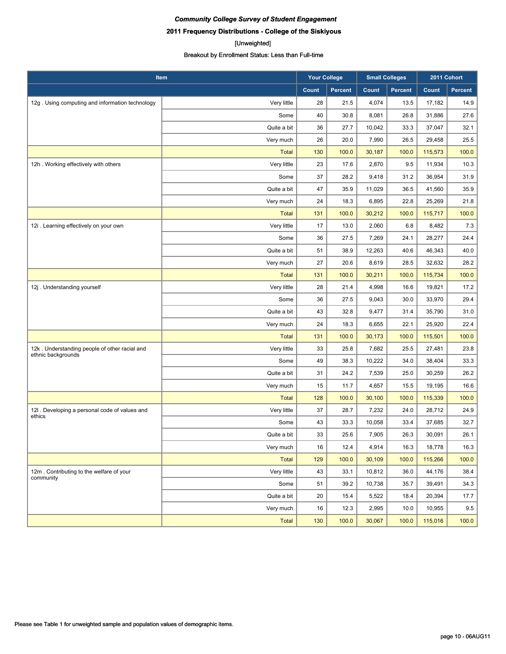## **2011 Frequency Distributions - College of the Siskiyous**

#### [Unweighted]

| <b>Item</b>                                                         |              | <b>Your College</b> |                | <b>Small Colleges</b> |                | 2011 Cohort |                |
|---------------------------------------------------------------------|--------------|---------------------|----------------|-----------------------|----------------|-------------|----------------|
|                                                                     |              | Count               | <b>Percent</b> | Count                 | <b>Percent</b> | Count       | <b>Percent</b> |
| 12g. Using computing and information technology                     | Very little  | 28                  | 21.5           | 4,074                 | 13.5           | 17,182      | 14.9           |
|                                                                     | Some         | 40                  | 30.8           | 8,081                 | 26.8           | 31,886      | 27.6           |
|                                                                     | Quite a bit  | 36                  | 27.7           | 10,042                | 33.3           | 37,047      | 32.1           |
|                                                                     | Very much    | 26                  | 20.0           | 7,990                 | 26.5           | 29,458      | 25.5           |
|                                                                     | <b>Total</b> | 130                 | 100.0          | 30,187                | 100.0          | 115,573     | 100.0          |
| 12h. Working effectively with others                                | Very little  | 23                  | 17.6           | 2,870                 | 9.5            | 11,934      | 10.3           |
|                                                                     | Some         | 37                  | 28.2           | 9,418                 | 31.2           | 36,954      | 31.9           |
|                                                                     | Quite a bit  | 47                  | 35.9           | 11,029                | 36.5           | 41,560      | 35.9           |
|                                                                     | Very much    | 24                  | 18.3           | 6,895                 | 22.8           | 25,269      | 21.8           |
|                                                                     | <b>Total</b> | 131                 | 100.0          | 30,212                | 100.0          | 115,717     | 100.0          |
| 12i . Learning effectively on your own                              | Very little  | 17                  | 13.0           | 2,060                 | 6.8            | 8,482       | 7.3            |
|                                                                     | Some         | 36                  | 27.5           | 7,269                 | 24.1           | 28,277      | 24.4           |
|                                                                     | Quite a bit  | 51                  | 38.9           | 12,263                | 40.6           | 46,343      | 40.0           |
|                                                                     | Very much    | 27                  | 20.6           | 8,619                 | 28.5           | 32,632      | 28.2           |
|                                                                     | <b>Total</b> | 131                 | 100.0          | 30,211                | 100.0          | 115,734     | 100.0          |
| 12j . Understanding yourself                                        | Very little  | 28                  | 21.4           | 4,998                 | 16.6           | 19,821      | 17.2           |
|                                                                     | Some         | 36                  | 27.5           | 9,043                 | 30.0           | 33,970      | 29.4           |
|                                                                     | Quite a bit  | 43                  | 32.8           | 9,477                 | 31.4           | 35,790      | 31.0           |
|                                                                     | Very much    | 24                  | 18.3           | 6,655                 | 22.1           | 25,920      | 22.4           |
|                                                                     | <b>Total</b> | 131                 | 100.0          | 30,173                | 100.0          | 115,501     | 100.0          |
| 12k. Understanding people of other racial and<br>ethnic backgrounds | Very little  | 33                  | 25.8           | 7,682                 | 25.5           | 27,481      | 23.8           |
|                                                                     | Some         | 49                  | 38.3           | 10,222                | 34.0           | 38,404      | 33.3           |
|                                                                     | Quite a bit  | 31                  | 24.2           | 7,539                 | 25.0           | 30,259      | 26.2           |
|                                                                     | Very much    | 15                  | 11.7           | 4,657                 | 15.5           | 19,195      | 16.6           |
|                                                                     | <b>Total</b> | 128                 | 100.0          | 30,100                | 100.0          | 115,339     | 100.0          |
| 12I . Developing a personal code of values and<br>ethics            | Very little  | 37                  | 28.7           | 7,232                 | 24.0           | 28,712      | 24.9           |
|                                                                     | Some         | 43                  | 33.3           | 10,058                | 33.4           | 37,685      | 32.7           |
|                                                                     | Quite a bit  | 33                  | 25.6           | 7,905                 | 26.3           | 30,091      | 26.1           |
|                                                                     | Very much    | 16                  | 12.4           | 4,914                 | 16.3           | 18,778      | 16.3           |
|                                                                     | Total        | 129                 | 100.0          | 30,109                | 100.0          | 115,266     | 100.0          |
| 12m. Contributing to the welfare of your<br>community               | Very little  | 43                  | 33.1           | 10,812                | 36.0           | 44,176      | 38.4           |
|                                                                     | Some         | 51                  | 39.2           | 10,738                | 35.7           | 39,491      | 34.3           |
|                                                                     | Quite a bit  | 20                  | 15.4           | 5,522                 | 18.4           | 20,394      | 17.7           |
|                                                                     | Very much    | 16                  | 12.3           | 2,995                 | 10.0           | 10,955      | 9.5            |
|                                                                     | Total        | 130                 | 100.0          | 30,067                | 100.0          | 115,016     | 100.0          |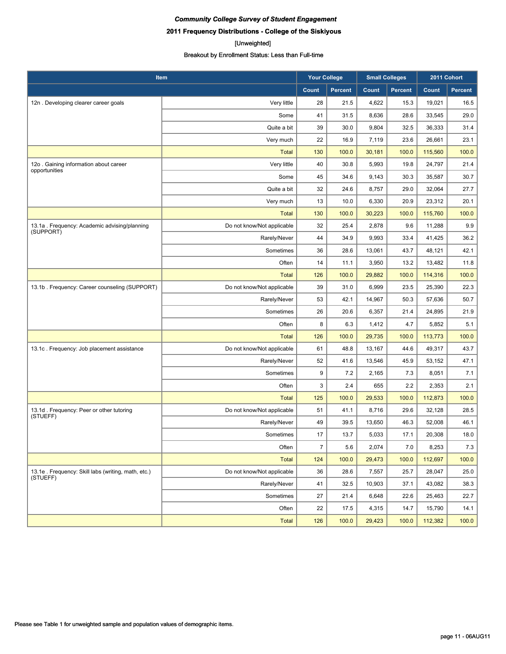## **2011 Frequency Distributions - College of the Siskiyous**

#### [Unweighted]

| Item                                                           |                            | <b>Your College</b> |                | <b>Small Colleges</b> |                | 2011 Cohort |                |
|----------------------------------------------------------------|----------------------------|---------------------|----------------|-----------------------|----------------|-------------|----------------|
|                                                                |                            | Count               | <b>Percent</b> | Count                 | <b>Percent</b> | Count       | <b>Percent</b> |
| 12n. Developing clearer career goals                           | Very little                | 28                  | 21.5           | 4,622                 | 15.3           | 19,021      | 16.5           |
|                                                                | Some                       | 41                  | 31.5           | 8,636                 | 28.6           | 33,545      | 29.0           |
|                                                                | Quite a bit                | 39                  | 30.0           | 9,804                 | 32.5           | 36,333      | 31.4           |
|                                                                | Very much                  | 22                  | 16.9           | 7,119                 | 23.6           | 26,661      | 23.1           |
|                                                                | <b>Total</b>               | 130                 | 100.0          | 30,181                | 100.0          | 115,560     | 100.0          |
| 12o. Gaining information about career                          | Very little                | 40                  | 30.8           | 5,993                 | 19.8           | 24,797      | 21.4           |
| opportunities                                                  | Some                       | 45                  | 34.6           | 9,143                 | 30.3           | 35,587      | 30.7           |
|                                                                | Quite a bit                | 32                  | 24.6           | 8,757                 | 29.0           | 32,064      | 27.7           |
|                                                                | Very much                  | 13                  | 10.0           | 6,330                 | 20.9           | 23,312      | 20.1           |
|                                                                | <b>Total</b>               | 130                 | 100.0          | 30,223                | 100.0          | 115,760     | 100.0          |
| 13.1a. Frequency: Academic advising/planning<br>(SUPPORT)      | Do not know/Not applicable | 32                  | 25.4           | 2,878                 | 9.6            | 11,288      | 9.9            |
|                                                                | Rarely/Never               | 44                  | 34.9           | 9,993                 | 33.4           | 41,425      | 36.2           |
|                                                                | Sometimes                  | 36                  | 28.6           | 13,061                | 43.7           | 48,121      | 42.1           |
|                                                                | Often                      | 14                  | 11.1           | 3,950                 | 13.2           | 13,482      | 11.8           |
|                                                                | <b>Total</b>               | 126                 | 100.0          | 29,882                | 100.0          | 114,316     | 100.0          |
| 13.1b. Frequency: Career counseling (SUPPORT)                  | Do not know/Not applicable | 39                  | 31.0           | 6,999                 | 23.5           | 25,390      | 22.3           |
|                                                                | Rarely/Never               | 53                  | 42.1           | 14,967                | 50.3           | 57,636      | 50.7           |
|                                                                | Sometimes                  | 26                  | 20.6           | 6,357                 | 21.4           | 24,895      | 21.9           |
|                                                                | Often                      | 8                   | 6.3            | 1,412                 | 4.7            | 5,852       | 5.1            |
|                                                                | <b>Total</b>               | 126                 | 100.0          | 29,735                | 100.0          | 113,773     | 100.0          |
| 13.1c. Frequency: Job placement assistance                     | Do not know/Not applicable | 61                  | 48.8           | 13,167                | 44.6           | 49,317      | 43.7           |
|                                                                | Rarely/Never               | 52                  | 41.6           | 13,546                | 45.9           | 53,152      | 47.1           |
|                                                                | Sometimes                  | 9                   | 7.2            | 2,165                 | 7.3            | 8,051       | 7.1            |
|                                                                | Often                      | 3                   | 2.4            | 655                   | 2.2            | 2,353       | 2.1            |
|                                                                | <b>Total</b>               | 125                 | 100.0          | 29,533                | 100.0          | 112,873     | 100.0          |
| 13.1d. Frequency: Peer or other tutoring<br>(STUEFF)           | Do not know/Not applicable | 51                  | 41.1           | 8,716                 | 29.6           | 32,128      | 28.5           |
|                                                                | Rarely/Never               | 49                  | 39.5           | 13,650                | 46.3           | 52,008      | 46.1           |
|                                                                | Sometimes                  | 17                  | 13.7           | 5,033                 | 17.1           | 20.308      | 18.0           |
|                                                                | Often                      | $\overline{7}$      | 5.6            | 2,074                 | 7.0            | 8,253       | 7.3            |
|                                                                | <b>Total</b>               | 124                 | 100.0          | 29,473                | 100.0          | 112,697     | 100.0          |
| 13.1e. Frequency: Skill labs (writing, math, etc.)<br>(STUEFF) | Do not know/Not applicable | 36                  | 28.6           | 7,557                 | 25.7           | 28,047      | 25.0           |
|                                                                | Rarely/Never               | 41                  | 32.5           | 10,903                | 37.1           | 43,082      | 38.3           |
|                                                                | Sometimes                  | 27                  | 21.4           | 6,648                 | 22.6           | 25,463      | 22.7           |
|                                                                | Often                      | 22                  | 17.5           | 4,315                 | 14.7           | 15,790      | 14.1           |
|                                                                | <b>Total</b>               | 126                 | 100.0          | 29,423                | 100.0          | 112,382     | 100.0          |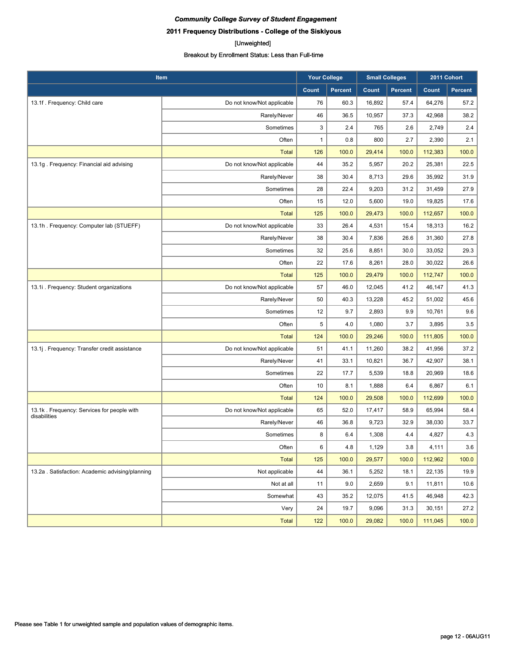## **2011 Frequency Distributions - College of the Siskiyous**

#### [Unweighted]

| Item                                                       |                            | <b>Your College</b> |                | <b>Small Colleges</b> |                | 2011 Cohort |                |
|------------------------------------------------------------|----------------------------|---------------------|----------------|-----------------------|----------------|-------------|----------------|
|                                                            |                            | Count               | <b>Percent</b> | Count                 | <b>Percent</b> | Count       | <b>Percent</b> |
| 13.1f. Frequency: Child care                               | Do not know/Not applicable | 76                  | 60.3           | 16,892                | 57.4           | 64,276      | 57.2           |
|                                                            | Rarely/Never               | 46                  | 36.5           | 10,957                | 37.3           | 42,968      | 38.2           |
|                                                            | Sometimes                  | 3                   | 2.4            | 765                   | 2.6            | 2,749       | 2.4            |
|                                                            | Often                      | 1                   | 0.8            | 800                   | 2.7            | 2,390       | 2.1            |
|                                                            | <b>Total</b>               | 126                 | 100.0          | 29,414                | 100.0          | 112,383     | 100.0          |
| 13.1g. Frequency: Financial aid advising                   | Do not know/Not applicable | 44                  | 35.2           | 5,957                 | 20.2           | 25,381      | 22.5           |
|                                                            | Rarely/Never               | 38                  | 30.4           | 8,713                 | 29.6           | 35,992      | 31.9           |
|                                                            | Sometimes                  | 28                  | 22.4           | 9,203                 | 31.2           | 31,459      | 27.9           |
|                                                            | Often                      | 15                  | 12.0           | 5,600                 | 19.0           | 19,825      | 17.6           |
|                                                            | <b>Total</b>               | 125                 | 100.0          | 29,473                | 100.0          | 112,657     | 100.0          |
| 13.1h. Frequency: Computer lab (STUEFF)                    | Do not know/Not applicable | 33                  | 26.4           | 4,531                 | 15.4           | 18,313      | 16.2           |
|                                                            | Rarely/Never               | 38                  | 30.4           | 7,836                 | 26.6           | 31,360      | 27.8           |
|                                                            | Sometimes                  | 32                  | 25.6           | 8,851                 | 30.0           | 33,052      | 29.3           |
|                                                            | Often                      | 22                  | 17.6           | 8,261                 | 28.0           | 30,022      | 26.6           |
|                                                            | <b>Total</b>               | 125                 | 100.0          | 29,479                | 100.0          | 112,747     | 100.0          |
| 13.1i. Frequency: Student organizations                    | Do not know/Not applicable | 57                  | 46.0           | 12,045                | 41.2           | 46,147      | 41.3           |
|                                                            | Rarely/Never               | 50                  | 40.3           | 13,228                | 45.2           | 51,002      | 45.6           |
|                                                            | Sometimes                  | 12                  | 9.7            | 2,893                 | 9.9            | 10,761      | 9.6            |
|                                                            | Often                      | 5                   | 4.0            | 1,080                 | 3.7            | 3,895       | 3.5            |
|                                                            | <b>Total</b>               | 124                 | 100.0          | 29,246                | 100.0          | 111,805     | 100.0          |
| 13.1j. Frequency: Transfer credit assistance               | Do not know/Not applicable | 51                  | 41.1           | 11,260                | 38.2           | 41,956      | 37.2           |
|                                                            | Rarely/Never               | 41                  | 33.1           | 10,821                | 36.7           | 42,907      | 38.1           |
|                                                            | Sometimes                  | 22                  | 17.7           | 5,539                 | 18.8           | 20,969      | 18.6           |
|                                                            | Often                      | 10                  | 8.1            | 1,888                 | 6.4            | 6,867       | 6.1            |
|                                                            | <b>Total</b>               | 124                 | 100.0          | 29,508                | 100.0          | 112,699     | 100.0          |
| 13.1k. Frequency: Services for people with<br>disabilities | Do not know/Not applicable | 65                  | 52.0           | 17,417                | 58.9           | 65,994      | 58.4           |
|                                                            | Rarely/Never               | 46                  | 36.8           | 9,723                 | 32.9           | 38,030      | 33.7           |
|                                                            | Sometimes                  | 8                   | 6.4            | 1,308                 | 4.4            | 4,827       | 4.3            |
|                                                            | Often                      | 6                   | 4.8            | 1,129                 | 3.8            | 4,111       | 3.6            |
|                                                            | <b>Total</b>               | 125                 | 100.0          | 29,577                | 100.0          | 112,962     | 100.0          |
| 13.2a . Satisfaction: Academic advising/planning           | Not applicable             | 44                  | 36.1           | 5,252                 | 18.1           | 22,135      | 19.9           |
|                                                            | Not at all                 | 11                  | 9.0            | 2,659                 | 9.1            | 11,811      | 10.6           |
|                                                            | Somewhat                   | 43                  | 35.2           | 12,075                | 41.5           | 46,948      | 42.3           |
|                                                            | Very                       | 24                  | 19.7           | 9,096                 | 31.3           | 30,151      | 27.2           |
|                                                            | Total                      | 122                 | 100.0          | 29,082                | 100.0          | 111,045     | 100.0          |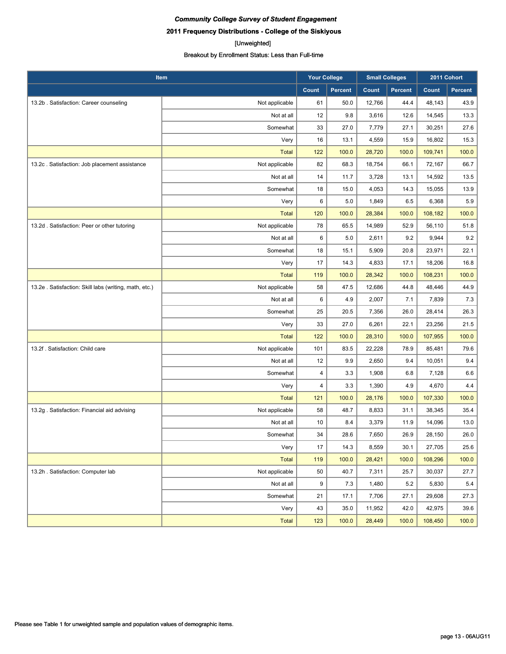## **2011 Frequency Distributions - College of the Siskiyous**

#### [Unweighted]

| Item                                                   |                | <b>Your College</b> |                | <b>Small Colleges</b> |                | 2011 Cohort |                |
|--------------------------------------------------------|----------------|---------------------|----------------|-----------------------|----------------|-------------|----------------|
|                                                        |                | Count               | <b>Percent</b> | Count                 | <b>Percent</b> | Count       | <b>Percent</b> |
| 13.2b. Satisfaction: Career counseling                 | Not applicable | 61                  | 50.0           | 12,766                | 44.4           | 48,143      | 43.9           |
|                                                        | Not at all     | 12                  | 9.8            | 3,616                 | 12.6           | 14,545      | 13.3           |
|                                                        | Somewhat       | 33                  | 27.0           | 7,779                 | 27.1           | 30,251      | 27.6           |
|                                                        | Very           | 16                  | 13.1           | 4,559                 | 15.9           | 16,802      | 15.3           |
|                                                        | <b>Total</b>   | 122                 | 100.0          | 28,720                | 100.0          | 109,741     | 100.0          |
| 13.2c. Satisfaction: Job placement assistance          | Not applicable | 82                  | 68.3           | 18,754                | 66.1           | 72,167      | 66.7           |
|                                                        | Not at all     | 14                  | 11.7           | 3,728                 | 13.1           | 14,592      | 13.5           |
|                                                        | Somewhat       | 18                  | 15.0           | 4,053                 | 14.3           | 15,055      | 13.9           |
|                                                        | Very           | 6                   | 5.0            | 1,849                 | 6.5            | 6,368       | 5.9            |
|                                                        | <b>Total</b>   | 120                 | 100.0          | 28,384                | 100.0          | 108,182     | 100.0          |
| 13.2d. Satisfaction: Peer or other tutoring            | Not applicable | 78                  | 65.5           | 14,989                | 52.9           | 56,110      | 51.8           |
|                                                        | Not at all     | 6                   | 5.0            | 2,611                 | 9.2            | 9,944       | 9.2            |
|                                                        | Somewhat       | 18                  | 15.1           | 5,909                 | 20.8           | 23,971      | 22.1           |
|                                                        | Very           | 17                  | 14.3           | 4,833                 | 17.1           | 18,206      | 16.8           |
|                                                        | <b>Total</b>   | 119                 | 100.0          | 28,342                | 100.0          | 108,231     | 100.0          |
| 13.2e . Satisfaction: Skill labs (writing, math, etc.) | Not applicable | 58                  | 47.5           | 12,686                | 44.8           | 48,446      | 44.9           |
|                                                        | Not at all     | 6                   | 4.9            | 2,007                 | 7.1            | 7,839       | 7.3            |
|                                                        | Somewhat       | 25                  | 20.5           | 7,356                 | 26.0           | 28,414      | 26.3           |
|                                                        | Very           | 33                  | 27.0           | 6,261                 | 22.1           | 23,256      | 21.5           |
|                                                        | <b>Total</b>   | 122                 | 100.0          | 28,310                | 100.0          | 107,955     | 100.0          |
| 13.2f. Satisfaction: Child care                        | Not applicable | 101                 | 83.5           | 22,228                | 78.9           | 85,481      | 79.6           |
|                                                        | Not at all     | 12                  | 9.9            | 2,650                 | 9.4            | 10,051      | 9.4            |
|                                                        | Somewhat       | 4                   | 3.3            | 1,908                 | 6.8            | 7,128       | 6.6            |
|                                                        | Very           | 4                   | 3.3            | 1,390                 | 4.9            | 4,670       | 4.4            |
|                                                        | <b>Total</b>   | 121                 | 100.0          | 28,176                | 100.0          | 107,330     | 100.0          |
| 13.2g. Satisfaction: Financial aid advising            | Not applicable | 58                  | 48.7           | 8,833                 | 31.1           | 38,345      | 35.4           |
|                                                        | Not at all     | 10                  | 8.4            | 3,379                 | 11.9           | 14,096      | 13.0           |
|                                                        | Somewhat       | 34                  | 28.6           | 7,650                 | 26.9           | 28,150      | 26.0           |
|                                                        | Very           | 17                  | 14.3           | 8,559                 | 30.1           | 27,705      | 25.6           |
|                                                        | <b>Total</b>   | 119                 | 100.0          | 28,421                | 100.0          | 108,296     | 100.0          |
| 13.2h . Satisfaction: Computer lab                     | Not applicable | 50                  | 40.7           | 7,311                 | 25.7           | 30,037      | 27.7           |
|                                                        | Not at all     | 9                   | 7.3            | 1,480                 | 5.2            | 5,830       | 5.4            |
|                                                        | Somewhat       | 21                  | 17.1           | 7,706                 | 27.1           | 29,608      | 27.3           |
|                                                        | Very           | 43                  | 35.0           | 11,952                | 42.0           | 42,975      | 39.6           |
|                                                        | Total          | 123                 | 100.0          | 28,449                | 100.0          | 108,450     | 100.0          |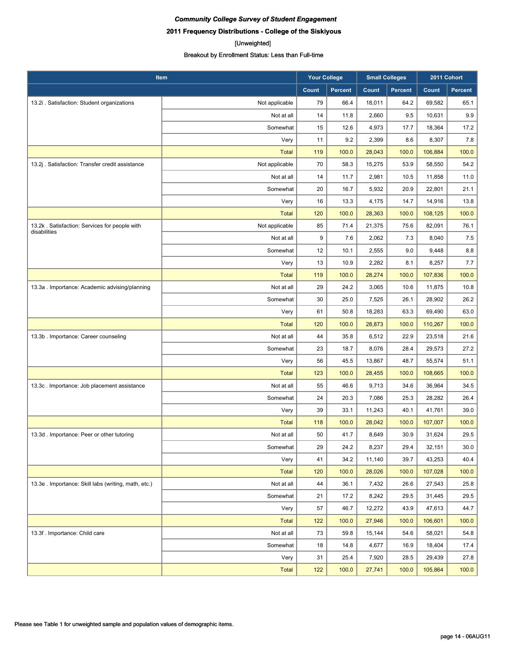## **2011 Frequency Distributions - College of the Siskiyous**

#### [Unweighted]

| Item                                                          |                | <b>Your College</b> |                | <b>Small Colleges</b> |                | 2011 Cohort |                |
|---------------------------------------------------------------|----------------|---------------------|----------------|-----------------------|----------------|-------------|----------------|
|                                                               |                | Count               | <b>Percent</b> | Count                 | <b>Percent</b> | Count       | <b>Percent</b> |
| 13.2i . Satisfaction: Student organizations                   | Not applicable | 79                  | 66.4           | 18,011                | 64.2           | 69,582      | 65.1           |
|                                                               | Not at all     | 14                  | 11.8           | 2,660                 | 9.5            | 10,631      | 9.9            |
|                                                               | Somewhat       | 15                  | 12.6           | 4,973                 | 17.7           | 18,364      | 17.2           |
|                                                               | Very           | 11                  | 9.2            | 2,399                 | 8.6            | 8,307       | 7.8            |
|                                                               | <b>Total</b>   | 119                 | 100.0          | 28,043                | 100.0          | 106,884     | 100.0          |
| 13.2j. Satisfaction: Transfer credit assistance               | Not applicable | 70                  | 58.3           | 15,275                | 53.9           | 58,550      | 54.2           |
|                                                               | Not at all     | 14                  | 11.7           | 2,981                 | 10.5           | 11,858      | 11.0           |
|                                                               | Somewhat       | 20                  | 16.7           | 5,932                 | 20.9           | 22,801      | 21.1           |
|                                                               | Very           | 16                  | 13.3           | 4,175                 | 14.7           | 14,916      | 13.8           |
|                                                               | <b>Total</b>   | 120                 | 100.0          | 28,363                | 100.0          | 108,125     | 100.0          |
| 13.2k. Satisfaction: Services for people with<br>disabilities | Not applicable | 85                  | 71.4           | 21,375                | 75.6           | 82,091      | 76.1           |
|                                                               | Not at all     | 9                   | 7.6            | 2,062                 | 7.3            | 8,040       | 7.5            |
|                                                               | Somewhat       | 12                  | 10.1           | 2,555                 | 9.0            | 9,448       | 8.8            |
|                                                               | Very           | 13                  | 10.9           | 2,282                 | 8.1            | 8,257       | 7.7            |
|                                                               | <b>Total</b>   | 119                 | 100.0          | 28,274                | 100.0          | 107,836     | 100.0          |
| 13.3a . Importance: Academic advising/planning                | Not at all     | 29                  | 24.2           | 3,065                 | 10.6           | 11,875      | 10.8           |
|                                                               | Somewhat       | 30                  | 25.0           | 7,525                 | 26.1           | 28,902      | 26.2           |
|                                                               | Very           | 61                  | 50.8           | 18,283                | 63.3           | 69,490      | 63.0           |
|                                                               | <b>Total</b>   | 120                 | 100.0          | 28,873                | 100.0          | 110,267     | 100.0          |
| 13.3b. Importance: Career counseling                          | Not at all     | 44                  | 35.8           | 6,512                 | 22.9           | 23,518      | 21.6           |
|                                                               | Somewhat       | 23                  | 18.7           | 8,076                 | 28.4           | 29,573      | 27.2           |
|                                                               | Very           | 56                  | 45.5           | 13,867                | 48.7           | 55,574      | 51.1           |
|                                                               | <b>Total</b>   | 123                 | 100.0          | 28,455                | 100.0          | 108,665     | 100.0          |
| 13.3c. Importance: Job placement assistance                   | Not at all     | 55                  | 46.6           | 9,713                 | 34.6           | 36,964      | 34.5           |
|                                                               | Somewhat       | 24                  | 20.3           | 7,086                 | 25.3           | 28,282      | 26.4           |
|                                                               | Very           | 39                  | 33.1           | 11,243                | 40.1           | 41,761      | 39.0           |
|                                                               | <b>Total</b>   | 118                 | 100.0          | 28,042                | 100.0          | 107,007     | 100.0          |
| 13.3d. Importance: Peer or other tutoring                     | Not at all     | 50                  | 41.7           | 8,649                 | 30.9           | 31,624      | 29.5           |
|                                                               | Somewhat       | 29                  | 24.2           | 8,237                 | 29.4           | 32,151      | 30.0           |
|                                                               | Very           | 41                  | 34.2           | 11,140                | 39.7           | 43,253      | 40.4           |
|                                                               | <b>Total</b>   | 120                 | 100.0          | 28,026                | 100.0          | 107,028     | 100.0          |
| 13.3e . Importance: Skill labs (writing, math, etc.)          | Not at all     | 44                  | 36.1           | 7,432                 | 26.6           | 27,543      | 25.8           |
|                                                               | Somewhat       | 21                  | 17.2           | 8,242                 | 29.5           | 31,445      | 29.5           |
|                                                               | Very           | 57                  | 46.7           | 12,272                | 43.9           | 47,613      | 44.7           |
|                                                               | Total          | 122                 | 100.0          | 27,946                | 100.0          | 106,601     | 100.0          |
| 13.3f. Importance: Child care                                 | Not at all     | 73                  | 59.8           | 15,144                | 54.6           | 58,021      | 54.8           |
|                                                               | Somewhat       | 18                  | 14.8           | 4,677                 | 16.9           | 18,404      | 17.4           |
|                                                               | Very           | 31                  | 25.4           | 7,920                 | 28.5           | 29,439      | 27.8           |
|                                                               | Total          | 122                 | 100.0          | 27,741                | 100.0          | 105,864     | 100.0          |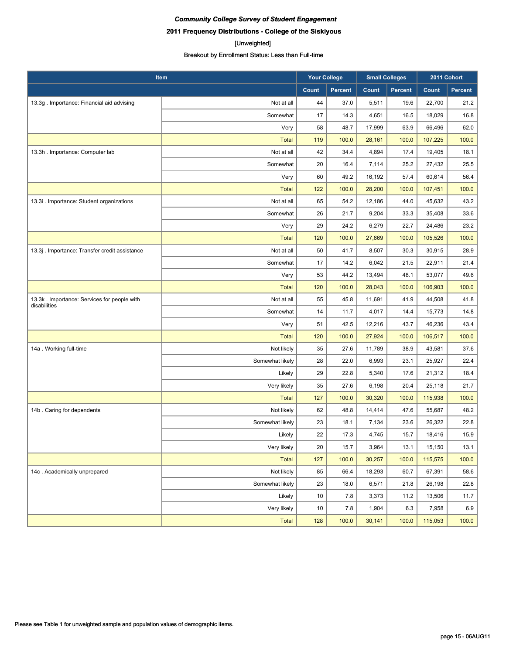**2011 Frequency Distributions - College of the Siskiyous**

#### [Unweighted]

| Item                                                        |                 | <b>Your College</b> |                | <b>Small Colleges</b> |                | 2011 Cohort |                |
|-------------------------------------------------------------|-----------------|---------------------|----------------|-----------------------|----------------|-------------|----------------|
|                                                             |                 | Count               | <b>Percent</b> | Count                 | <b>Percent</b> | Count       | <b>Percent</b> |
| 13.3g . Importance: Financial aid advising                  | Not at all      | 44                  | 37.0           | 5,511                 | 19.6           | 22,700      | 21.2           |
|                                                             | Somewhat        | 17                  | 14.3           | 4,651                 | 16.5           | 18,029      | 16.8           |
|                                                             | Very            | 58                  | 48.7           | 17,999                | 63.9           | 66,496      | 62.0           |
|                                                             | <b>Total</b>    | 119                 | 100.0          | 28,161                | 100.0          | 107,225     | 100.0          |
| 13.3h. Importance: Computer lab                             | Not at all      | 42                  | 34.4           | 4,894                 | 17.4           | 19,405      | 18.1           |
|                                                             | Somewhat        | 20                  | 16.4           | 7,114                 | 25.2           | 27,432      | 25.5           |
|                                                             | Very            | 60                  | 49.2           | 16,192                | 57.4           | 60,614      | 56.4           |
|                                                             | <b>Total</b>    | 122                 | 100.0          | 28,200                | 100.0          | 107,451     | 100.0          |
| 13.3i . Importance: Student organizations                   | Not at all      | 65                  | 54.2           | 12,186                | 44.0           | 45,632      | 43.2           |
|                                                             | Somewhat        | 26                  | 21.7           | 9,204                 | 33.3           | 35,408      | 33.6           |
|                                                             | Very            | 29                  | 24.2           | 6,279                 | 22.7           | 24,486      | 23.2           |
|                                                             | <b>Total</b>    | 120                 | 100.0          | 27,669                | 100.0          | 105,526     | 100.0          |
| 13.3j . Importance: Transfer credit assistance              | Not at all      | 50                  | 41.7           | 8,507                 | 30.3           | 30,915      | 28.9           |
|                                                             | Somewhat        | 17                  | 14.2           | 6,042                 | 21.5           | 22,911      | 21.4           |
|                                                             | Very            | 53                  | 44.2           | 13,494                | 48.1           | 53,077      | 49.6           |
|                                                             | <b>Total</b>    | 120                 | 100.0          | 28,043                | 100.0          | 106,903     | 100.0          |
| 13.3k. Importance: Services for people with<br>disabilities | Not at all      | 55                  | 45.8           | 11,691                | 41.9           | 44,508      | 41.8           |
|                                                             | Somewhat        | 14                  | 11.7           | 4,017                 | 14.4           | 15,773      | 14.8           |
|                                                             | Very            | 51                  | 42.5           | 12,216                | 43.7           | 46,236      | 43.4           |
|                                                             | <b>Total</b>    | 120                 | 100.0          | 27,924                | 100.0          | 106,517     | 100.0          |
| 14a. Working full-time                                      | Not likely      | 35                  | 27.6           | 11,789                | 38.9           | 43,581      | 37.6           |
|                                                             | Somewhat likely | 28                  | 22.0           | 6,993                 | 23.1           | 25,927      | 22.4           |
|                                                             | Likely          | 29                  | 22.8           | 5,340                 | 17.6           | 21,312      | 18.4           |
|                                                             | Very likely     | 35                  | 27.6           | 6,198                 | 20.4           | 25,118      | 21.7           |
|                                                             | <b>Total</b>    | 127                 | 100.0          | 30,320                | 100.0          | 115,938     | 100.0          |
| 14b. Caring for dependents                                  | Not likely      | 62                  | 48.8           | 14,414                | 47.6           | 55,687      | 48.2           |
|                                                             | Somewhat likely | 23                  | 18.1           | 7,134                 | 23.6           | 26,322      | 22.8           |
|                                                             | Likely          | 22                  | 17.3           | 4,745                 | 15.7           | 18,416      | 15.9           |
|                                                             | Very likely     | 20                  | 15.7           | 3,964                 | 13.1           | 15,150      | 13.1           |
|                                                             | <b>Total</b>    | 127                 | 100.0          | 30,257                | 100.0          | 115,575     | 100.0          |
| 14c. Academically unprepared                                | Not likely      | 85                  | 66.4           | 18,293                | 60.7           | 67,391      | 58.6           |
|                                                             | Somewhat likely | 23                  | 18.0           | 6,571                 | 21.8           | 26,198      | 22.8           |
|                                                             | Likely          | 10                  | 7.8            | 3,373                 | 11.2           | 13,506      | 11.7           |
|                                                             | Very likely     | 10                  | 7.8            | 1,904                 | 6.3            | 7,958       | 6.9            |
|                                                             | <b>Total</b>    | 128                 | 100.0          | 30,141                | 100.0          | 115,053     | 100.0          |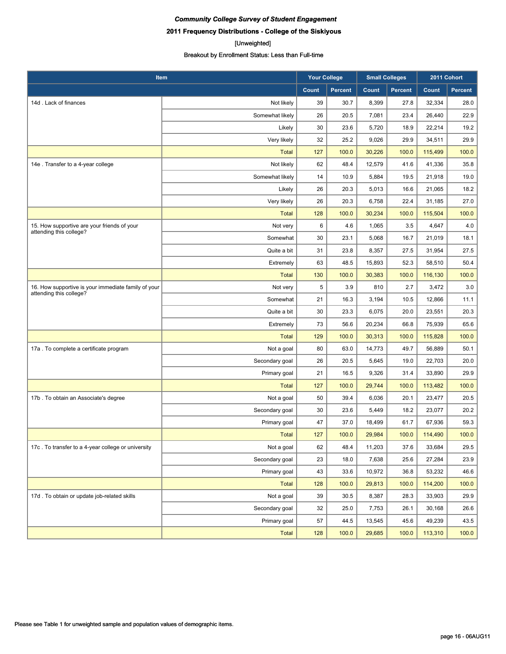**2011 Frequency Distributions - College of the Siskiyous**

#### [Unweighted]

| Item                                                |                 | <b>Your College</b> |                | <b>Small Colleges</b> |                | 2011 Cohort |                |
|-----------------------------------------------------|-----------------|---------------------|----------------|-----------------------|----------------|-------------|----------------|
|                                                     |                 | Count               | <b>Percent</b> | Count                 | <b>Percent</b> | Count       | <b>Percent</b> |
| 14d. Lack of finances                               | Not likely      | 39                  | 30.7           | 8,399                 | 27.8           | 32,334      | 28.0           |
|                                                     | Somewhat likely | 26                  | 20.5           | 7,081                 | 23.4           | 26,440      | 22.9           |
|                                                     | Likely          | 30                  | 23.6           | 5,720                 | 18.9           | 22,214      | 19.2           |
|                                                     | Very likely     | 32                  | 25.2           | 9,026                 | 29.9           | 34,511      | 29.9           |
|                                                     | <b>Total</b>    | 127                 | 100.0          | 30,226                | 100.0          | 115,499     | 100.0          |
| 14e . Transfer to a 4-year college                  | Not likely      | 62                  | 48.4           | 12,579                | 41.6           | 41,336      | 35.8           |
|                                                     | Somewhat likely | 14                  | 10.9           | 5,884                 | 19.5           | 21,918      | 19.0           |
|                                                     | Likely          | 26                  | 20.3           | 5,013                 | 16.6           | 21,065      | 18.2           |
|                                                     | Very likely     | 26                  | 20.3           | 6,758                 | 22.4           | 31,185      | 27.0           |
|                                                     | <b>Total</b>    | 128                 | 100.0          | 30,234                | 100.0          | 115,504     | 100.0          |
| 15. How supportive are your friends of your         | Not very        | 6                   | 4.6            | 1,065                 | 3.5            | 4,647       | 4.0            |
| attending this college?                             | Somewhat        | 30                  | 23.1           | 5,068                 | 16.7           | 21,019      | 18.1           |
|                                                     | Quite a bit     | 31                  | 23.8           | 8,357                 | 27.5           | 31,954      | 27.5           |
|                                                     | Extremely       | 63                  | 48.5           | 15,893                | 52.3           | 58,510      | 50.4           |
|                                                     | <b>Total</b>    | 130                 | 100.0          | 30,383                | 100.0          | 116,130     | 100.0          |
| 16. How supportive is your immediate family of your | Not very        | 5                   | 3.9            | 810                   | 2.7            | 3,472       | 3.0            |
| attending this college?                             | Somewhat        | 21                  | 16.3           | 3,194                 | 10.5           | 12,866      | 11.1           |
|                                                     | Quite a bit     | 30                  | 23.3           | 6,075                 | 20.0           | 23,551      | 20.3           |
|                                                     | Extremely       | 73                  | 56.6           | 20,234                | 66.8           | 75,939      | 65.6           |
|                                                     | <b>Total</b>    | 129                 | 100.0          | 30,313                | 100.0          | 115,828     | 100.0          |
| 17a . To complete a certificate program             | Not a goal      | 80                  | 63.0           | 14,773                | 49.7           | 56,889      | 50.1           |
|                                                     | Secondary goal  | 26                  | 20.5           | 5,645                 | 19.0           | 22,703      | 20.0           |
|                                                     | Primary goal    | 21                  | 16.5           | 9,326                 | 31.4           | 33,890      | 29.9           |
|                                                     | <b>Total</b>    | 127                 | 100.0          | 29,744                | 100.0          | 113,482     | 100.0          |
| 17b. To obtain an Associate's degree                | Not a goal      | 50                  | 39.4           | 6,036                 | 20.1           | 23,477      | 20.5           |
|                                                     | Secondary goal  | 30                  | 23.6           | 5,449                 | 18.2           | 23,077      | 20.2           |
|                                                     | Primary goal    | 47                  | 37.0           | 18,499                | 61.7           | 67,936      | 59.3           |
|                                                     | <b>Total</b>    | 127                 | 100.0          | 29,984                | 100.0          | 114,490     | 100.0          |
| 17c. To transfer to a 4-year college or university  | Not a goal      | 62                  | 48.4           | 11,203                | 37.6           | 33,684      | 29.5           |
|                                                     | Secondary goal  | 23                  | 18.0           | 7,638                 | 25.6           | 27,284      | 23.9           |
|                                                     | Primary goal    | 43                  | 33.6           | 10,972                | 36.8           | 53,232      | 46.6           |
|                                                     | <b>Total</b>    | 128                 | 100.0          | 29,813                | 100.0          | 114,200     | 100.0          |
| 17d. To obtain or update job-related skills         | Not a goal      | 39                  | 30.5           | 8,387                 | 28.3           | 33,903      | 29.9           |
|                                                     | Secondary goal  | 32                  | 25.0           | 7,753                 | 26.1           | 30,168      | 26.6           |
|                                                     | Primary goal    | 57                  | 44.5           | 13,545                | 45.6           | 49,239      | 43.5           |
|                                                     | <b>Total</b>    | 128                 | 100.0          | 29,685                | 100.0          | 113,310     | 100.0          |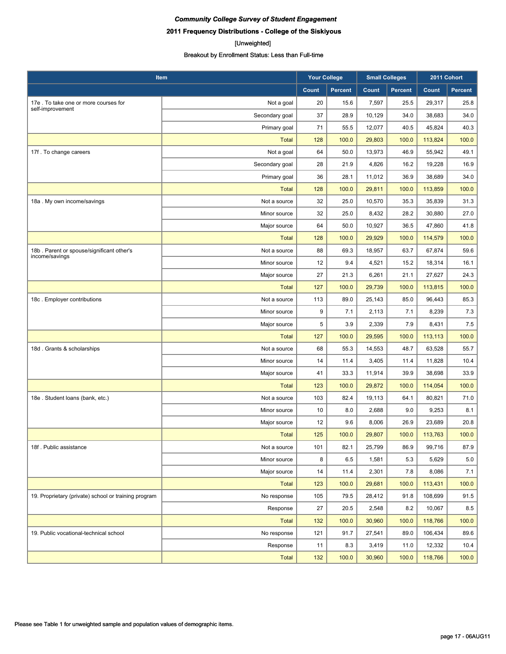## **2011 Frequency Distributions - College of the Siskiyous**

#### [Unweighted]

| Item                                                 |                | <b>Your College</b> |                | <b>Small Colleges</b> |                | 2011 Cohort |         |
|------------------------------------------------------|----------------|---------------------|----------------|-----------------------|----------------|-------------|---------|
|                                                      |                | Count               | <b>Percent</b> | Count                 | <b>Percent</b> | Count       | Percent |
| 17e . To take one or more courses for                | Not a goal     | 20                  | 15.6           | 7,597                 | 25.5           | 29,317      | 25.8    |
| self-improvement                                     | Secondary goal | 37                  | 28.9           | 10,129                | 34.0           | 38,683      | 34.0    |
|                                                      | Primary goal   | 71                  | 55.5           | 12,077                | 40.5           | 45,824      | 40.3    |
|                                                      | <b>Total</b>   | 128                 | 100.0          | 29,803                | 100.0          | 113,824     | 100.0   |
| 17f. To change careers                               | Not a goal     | 64                  | 50.0           | 13,973                | 46.9           | 55,942      | 49.1    |
|                                                      | Secondary goal | 28                  | 21.9           | 4,826                 | 16.2           | 19,228      | 16.9    |
|                                                      | Primary goal   | 36                  | 28.1           | 11,012                | 36.9           | 38,689      | 34.0    |
|                                                      | <b>Total</b>   | 128                 | 100.0          | 29,811                | 100.0          | 113,859     | 100.0   |
| 18a. My own income/savings                           | Not a source   | 32                  | 25.0           | 10,570                | 35.3           | 35,839      | 31.3    |
|                                                      | Minor source   | 32                  | 25.0           | 8,432                 | 28.2           | 30,880      | 27.0    |
|                                                      | Major source   | 64                  | 50.0           | 10,927                | 36.5           | 47,860      | 41.8    |
|                                                      | <b>Total</b>   | 128                 | 100.0          | 29,929                | 100.0          | 114,579     | 100.0   |
| 18b. Parent or spouse/significant other's            | Not a source   | 88                  | 69.3           | 18,957                | 63.7           | 67,874      | 59.6    |
| income/savings                                       | Minor source   | 12                  | 9.4            | 4,521                 | 15.2           | 18,314      | 16.1    |
|                                                      | Major source   | 27                  | 21.3           | 6,261                 | 21.1           | 27,627      | 24.3    |
|                                                      | <b>Total</b>   | 127                 | 100.0          | 29,739                | 100.0          | 113,815     | 100.0   |
| 18c. Employer contributions                          | Not a source   | 113                 | 89.0           | 25,143                | 85.0           | 96,443      | 85.3    |
|                                                      | Minor source   | 9                   | 7.1            | 2,113                 | 7.1            | 8,239       | 7.3     |
|                                                      | Major source   | 5                   | 3.9            | 2,339                 | 7.9            | 8,431       | 7.5     |
|                                                      | <b>Total</b>   | 127                 | 100.0          | 29,595                | 100.0          | 113,113     | 100.0   |
| 18d. Grants & scholarships                           | Not a source   | 68                  | 55.3           | 14,553                | 48.7           | 63,528      | 55.7    |
|                                                      | Minor source   | 14                  | 11.4           | 3,405                 | 11.4           | 11,828      | 10.4    |
|                                                      | Major source   | 41                  | 33.3           | 11,914                | 39.9           | 38,698      | 33.9    |
|                                                      | <b>Total</b>   | 123                 | 100.0          | 29,872                | 100.0          | 114,054     | 100.0   |
| 18e. Student loans (bank, etc.)                      | Not a source   | 103                 | 82.4           | 19,113                | 64.1           | 80,821      | 71.0    |
|                                                      | Minor source   | 10                  | 8.0            | 2,688                 | 9.0            | 9,253       | 8.1     |
|                                                      | Major source   | 12                  | 9.6            | 8,006                 | 26.9           | 23,689      | 20.8    |
|                                                      | <b>Total</b>   | 125                 | 100.0          | 29,807                | 100.0          | 113,763     | 100.0   |
| 18f. Public assistance                               | Not a source   | 101                 | 82.1           | 25,799                | 86.9           | 99,716      | 87.9    |
|                                                      | Minor source   | 8                   | 6.5            | 1,581                 | 5.3            | 5,629       | $5.0\,$ |
|                                                      | Major source   | 14                  | 11.4           | 2,301                 | 7.8            | 8,086       | 7.1     |
|                                                      | Total          | 123                 | 100.0          | 29,681                | 100.0          | 113,431     | 100.0   |
| 19. Proprietary (private) school or training program | No response    | 105                 | 79.5           | 28,412                | 91.8           | 108,699     | 91.5    |
|                                                      | Response       | 27                  | 20.5           | 2,548                 | 8.2            | 10,067      | 8.5     |
|                                                      | Total          | 132                 | 100.0          | 30,960                | 100.0          | 118,766     | 100.0   |
| 19. Public vocational-technical school               | No response    | 121                 | 91.7           | 27,541                | 89.0           | 106,434     | 89.6    |
|                                                      | Response       | 11                  | 8.3            | 3,419                 | 11.0           | 12,332      | 10.4    |
|                                                      | Total          | 132                 | 100.0          | 30,960                | 100.0          | 118,766     | 100.0   |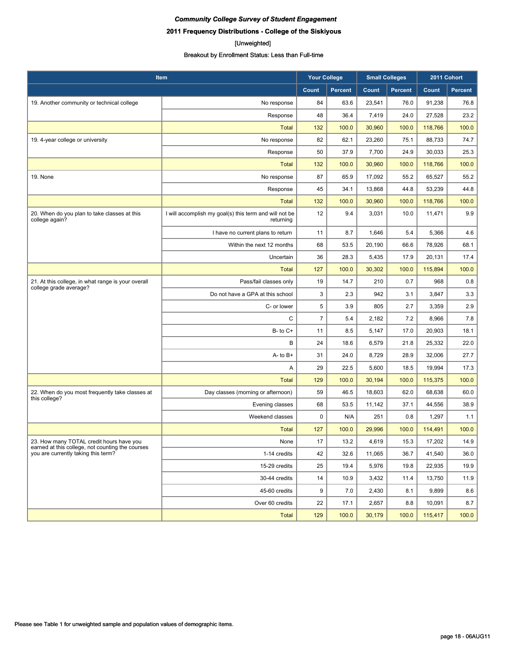**2011 Frequency Distributions - College of the Siskiyous**

#### [Unweighted]

|                                                                                              | Item                                                                | <b>Your College</b> |                | <b>Small Colleges</b> |                | 2011 Cohort |         |
|----------------------------------------------------------------------------------------------|---------------------------------------------------------------------|---------------------|----------------|-----------------------|----------------|-------------|---------|
|                                                                                              |                                                                     | Count               | <b>Percent</b> | Count                 | <b>Percent</b> | Count       | Percent |
| 19. Another community or technical college                                                   | No response                                                         | 84                  | 63.6           | 23,541                | 76.0           | 91,238      | 76.8    |
|                                                                                              | Response                                                            | 48                  | 36.4           | 7,419                 | 24.0           | 27,528      | 23.2    |
|                                                                                              | <b>Total</b>                                                        | 132                 | 100.0          | 30,960                | 100.0          | 118,766     | 100.0   |
| 19. 4-year college or university                                                             | No response                                                         | 82                  | 62.1           | 23,260                | 75.1           | 88,733      | 74.7    |
|                                                                                              | Response                                                            | 50                  | 37.9           | 7,700                 | 24.9           | 30,033      | 25.3    |
|                                                                                              | <b>Total</b>                                                        | 132                 | 100.0          | 30,960                | 100.0          | 118,766     | 100.0   |
| 19. None                                                                                     | No response                                                         | 87                  | 65.9           | 17,092                | 55.2           | 65,527      | 55.2    |
|                                                                                              | Response                                                            | 45                  | 34.1           | 13,868                | 44.8           | 53,239      | 44.8    |
|                                                                                              | <b>Total</b>                                                        | 132                 | 100.0          | 30,960                | 100.0          | 118,766     | 100.0   |
| 20. When do you plan to take classes at this<br>college again?                               | I will accomplish my goal(s) this term and will not be<br>returning | 12                  | 9.4            | 3,031                 | 10.0           | 11,471      | 9.9     |
|                                                                                              | I have no current plans to return                                   | 11                  | 8.7            | 1,646                 | 5.4            | 5,366       | 4.6     |
|                                                                                              | Within the next 12 months                                           | 68                  | 53.5           | 20,190                | 66.6           | 78,926      | 68.1    |
|                                                                                              | Uncertain                                                           | 36                  | 28.3           | 5,435                 | 17.9           | 20,131      | 17.4    |
|                                                                                              | <b>Total</b>                                                        | 127                 | 100.0          | 30,302                | 100.0          | 115,894     | 100.0   |
| 21. At this college, in what range is your overall<br>college grade average?                 | Pass/fail classes only                                              | 19                  | 14.7           | 210                   | 0.7            | 968         | 0.8     |
|                                                                                              | Do not have a GPA at this school                                    | 3                   | 2.3            | 942                   | 3.1            | 3,847       | 3.3     |
|                                                                                              | C- or lower                                                         | 5                   | 3.9            | 805                   | 2.7            | 3,359       | 2.9     |
|                                                                                              | C                                                                   | 7                   | 5.4            | 2,182                 | 7.2            | 8,966       | 7.8     |
|                                                                                              | $B - to C +$                                                        | 11                  | 8.5            | 5,147                 | 17.0           | 20,903      | 18.1    |
|                                                                                              | B                                                                   | 24                  | 18.6           | 6,579                 | 21.8           | 25,332      | 22.0    |
|                                                                                              | $A - to B +$                                                        | 31                  | 24.0           | 8,729                 | 28.9           | 32,006      | 27.7    |
|                                                                                              | Α                                                                   | 29                  | 22.5           | 5,600                 | 18.5           | 19,994      | 17.3    |
|                                                                                              | Total                                                               | 129                 | 100.0          | 30,194                | 100.0          | 115,375     | 100.0   |
| 22. When do you most frequently take classes at<br>this college?                             | Day classes (morning or afternoon)                                  | 59                  | 46.5           | 18,603                | 62.0           | 68,638      | 60.0    |
|                                                                                              | Evening classes                                                     | 68                  | 53.5           | 11,142                | 37.1           | 44,556      | 38.9    |
|                                                                                              | Weekend classes                                                     | $\pmb{0}$           | N/A            | 251                   | 0.8            | 1,297       | 1.1     |
|                                                                                              | <b>Total</b>                                                        | 127                 | 100.0          | 29,996                | 100.0          | 114,491     | 100.0   |
| 23. How many TOTAL credit hours have you<br>earned at this college, not counting the courses | None                                                                | 17                  | 13.2           | 4,619                 | 15.3           | 17,202      | 14.9    |
| you are currently taking this term?                                                          | 1-14 credits                                                        | 42                  | 32.6           | 11.065                | 36.7           | 41,540      | 36.0    |
|                                                                                              | 15-29 credits                                                       | 25                  | 19.4           | 5,976                 | 19.8           | 22,935      | 19.9    |
|                                                                                              | 30-44 credits                                                       | 14                  | 10.9           | 3,432                 | 11.4           | 13,750      | 11.9    |
|                                                                                              | 45-60 credits                                                       | 9                   | 7.0            | 2,430                 | 8.1            | 9,899       | 8.6     |
|                                                                                              | Over 60 credits                                                     | 22                  | 17.1           | 2,657                 | 8.8            | 10,091      | 8.7     |
|                                                                                              | <b>Total</b>                                                        | 129                 | 100.0          | 30,179                | 100.0          | 115,417     | 100.0   |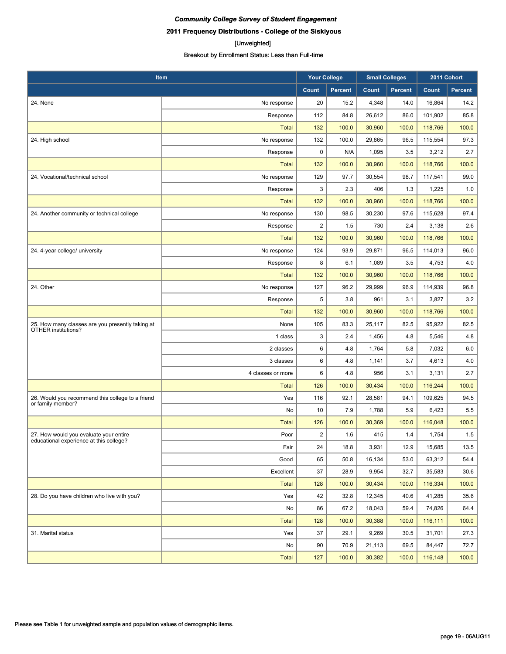# [Unweighted]

| Item                                                                    |                   | <b>Your College</b>     |                | <b>Small Colleges</b> |                | 2011 Cohort |         |
|-------------------------------------------------------------------------|-------------------|-------------------------|----------------|-----------------------|----------------|-------------|---------|
|                                                                         |                   | Count                   | <b>Percent</b> | Count                 | <b>Percent</b> | Count       | Percent |
| 24. None                                                                | No response       | 20                      | 15.2           | 4,348                 | 14.0           | 16,864      | 14.2    |
|                                                                         | Response          | 112                     | 84.8           | 26,612                | 86.0           | 101,902     | 85.8    |
|                                                                         | <b>Total</b>      | 132                     | 100.0          | 30,960                | 100.0          | 118,766     | 100.0   |
| 24. High school                                                         | No response       | 132                     | 100.0          | 29,865                | 96.5           | 115,554     | 97.3    |
|                                                                         | Response          | 0                       | N/A            | 1,095                 | 3.5            | 3,212       | 2.7     |
|                                                                         | <b>Total</b>      | 132                     | 100.0          | 30,960                | 100.0          | 118,766     | 100.0   |
| 24. Vocational/technical school                                         | No response       | 129                     | 97.7           | 30,554                | 98.7           | 117,541     | 99.0    |
|                                                                         | Response          | 3                       | 2.3            | 406                   | 1.3            | 1,225       | 1.0     |
|                                                                         | <b>Total</b>      | 132                     | 100.0          | 30,960                | 100.0          | 118,766     | 100.0   |
| 24. Another community or technical college                              | No response       | 130                     | 98.5           | 30,230                | 97.6           | 115,628     | 97.4    |
|                                                                         | Response          | $\overline{2}$          | 1.5            | 730                   | 2.4            | 3,138       | 2.6     |
|                                                                         | <b>Total</b>      | 132                     | 100.0          | 30,960                | 100.0          | 118,766     | 100.0   |
| 24. 4-year college/ university                                          | No response       | 124                     | 93.9           | 29,871                | 96.5           | 114,013     | 96.0    |
|                                                                         | Response          | 8                       | 6.1            | 1,089                 | 3.5            | 4,753       | 4.0     |
|                                                                         | <b>Total</b>      | 132                     | 100.0          | 30,960                | 100.0          | 118,766     | 100.0   |
| 24. Other                                                               | No response       | 127                     | 96.2           | 29.999                | 96.9           | 114,939     | 96.8    |
|                                                                         | Response          | 5                       | 3.8            | 961                   | 3.1            | 3,827       | 3.2     |
|                                                                         | <b>Total</b>      | 132                     | 100.0          | 30,960                | 100.0          | 118,766     | 100.0   |
| 25. How many classes are you presently taking at<br>OTHER institutions? | None              | 105                     | 83.3           | 25,117                | 82.5           | 95,922      | 82.5    |
|                                                                         | 1 class           | 3                       | 2.4            | 1,456                 | 4.8            | 5,546       | 4.8     |
|                                                                         | 2 classes         | 6                       | 4.8            | 1,764                 | 5.8            | 7,032       | 6.0     |
|                                                                         | 3 classes         | 6                       | 4.8            | 1,141                 | 3.7            | 4,613       | 4.0     |
|                                                                         | 4 classes or more | 6                       | 4.8            | 956                   | 3.1            | 3,131       | 2.7     |
|                                                                         | <b>Total</b>      | 126                     | 100.0          | 30,434                | 100.0          | 116,244     | 100.0   |
| 26. Would you recommend this college to a friend                        | Yes               | 116                     | 92.1           | 28,581                | 94.1           | 109,625     | 94.5    |
| or family member?                                                       | No                | 10                      | 7.9            | 1,788                 | 5.9            | 6,423       | 5.5     |
|                                                                         | <b>Total</b>      | 126                     | 100.0          | 30,369                | 100.0          | 116,048     | 100.0   |
| 27. How would you evaluate your entire                                  | Poor              | $\overline{\mathbf{c}}$ | 1.6            | 415                   | 1.4            | 1,754       | 1.5     |
| educational experience at this college?                                 | Fair              | 24                      | 18.8           | 3,931                 | 12.9           | 15,685      | 13.5    |
|                                                                         | Good              | 65                      | 50.8           | 16,134                | 53.0           | 63,312      | 54.4    |
|                                                                         | Excellent         | 37                      | 28.9           | 9,954                 | 32.7           | 35,583      | 30.6    |
|                                                                         | <b>Total</b>      | 128                     | 100.0          | 30,434                | 100.0          | 116,334     | 100.0   |
| 28. Do you have children who live with you?                             | Yes               | 42                      | 32.8           | 12,345                | 40.6           | 41,285      | 35.6    |
|                                                                         | No                | 86                      | 67.2           | 18,043                | 59.4           | 74,826      | 64.4    |
|                                                                         | Total             | 128                     | 100.0          | 30,388                | 100.0          | 116,111     | 100.0   |
| 31. Marital status                                                      | Yes               | 37                      | 29.1           | 9,269                 | 30.5           | 31,701      | 27.3    |
|                                                                         | No                | 90                      | 70.9           | 21,113                | 69.5           | 84,447      | 72.7    |
|                                                                         | Total             | 127                     | 100.0          | 30,382                | 100.0          | 116,148     | 100.0   |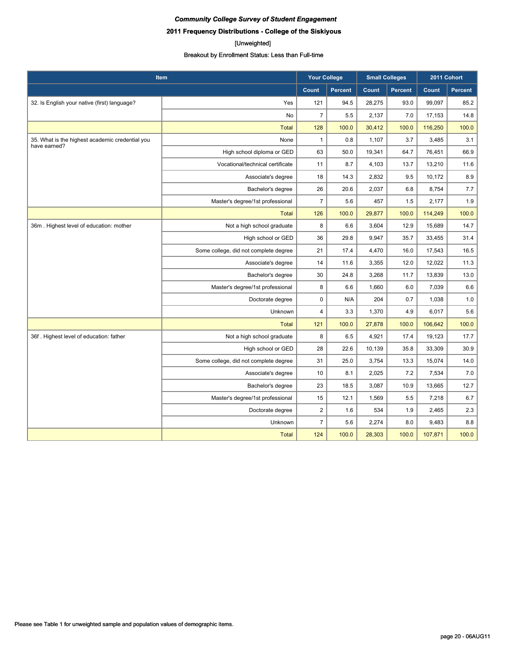## **2011 Frequency Distributions - College of the Siskiyous**

#### [Unweighted]

| Item                                                            |                                       | <b>Your College</b>     |                | <b>Small Colleges</b> |                | 2011 Cohort |         |
|-----------------------------------------------------------------|---------------------------------------|-------------------------|----------------|-----------------------|----------------|-------------|---------|
|                                                                 |                                       | <b>Count</b>            | <b>Percent</b> | Count                 | <b>Percent</b> | Count       | Percent |
| 32. Is English your native (first) language?                    | Yes                                   | 121                     | 94.5           | 28,275                | 93.0           | 99,097      | 85.2    |
|                                                                 | No                                    | $\overline{7}$          | 5.5            | 2,137                 | 7.0            | 17,153      | 14.8    |
|                                                                 | <b>Total</b>                          | 128                     | 100.0          | 30,412                | 100.0          | 116,250     | 100.0   |
| 35. What is the highest academic credential you<br>have earned? | None                                  | $\mathbf{1}$            | 0.8            | 1,107                 | 3.7            | 3,485       | 3.1     |
|                                                                 | High school diploma or GED            | 63                      | 50.0           | 19,341                | 64.7           | 76,451      | 66.9    |
|                                                                 | Vocational/technical certificate      | 11                      | 8.7            | 4,103                 | 13.7           | 13,210      | 11.6    |
|                                                                 | Associate's degree                    | 18                      | 14.3           | 2,832                 | 9.5            | 10,172      | 8.9     |
|                                                                 | Bachelor's degree                     | 26                      | 20.6           | 2,037                 | 6.8            | 8,754       | 7.7     |
|                                                                 | Master's degree/1st professional      | $\overline{7}$          | 5.6            | 457                   | 1.5            | 2,177       | 1.9     |
|                                                                 | <b>Total</b>                          | 126                     | 100.0          | 29,877                | 100.0          | 114,249     | 100.0   |
| 36m. Highest level of education: mother                         | Not a high school graduate            | 8                       | 6.6            | 3,604                 | 12.9           | 15,689      | 14.7    |
|                                                                 | High school or GED                    | 36                      | 29.8           | 9,947                 | 35.7           | 33,455      | 31.4    |
|                                                                 | Some college, did not complete degree | 21                      | 17.4           | 4,470                 | 16.0           | 17,543      | 16.5    |
|                                                                 | Associate's degree                    | 14                      | 11.6           | 3,355                 | 12.0           | 12,022      | 11.3    |
|                                                                 | Bachelor's degree                     | 30                      | 24.8           | 3,268                 | 11.7           | 13,839      | 13.0    |
|                                                                 | Master's degree/1st professional      | 8                       | 6.6            | 1,660                 | 6.0            | 7,039       | 6.6     |
|                                                                 | Doctorate degree                      | $\pmb{0}$               | N/A            | 204                   | 0.7            | 1,038       | 1.0     |
|                                                                 | Unknown                               | $\overline{\mathbf{4}}$ | 3.3            | 1,370                 | 4.9            | 6,017       | 5.6     |
|                                                                 | <b>Total</b>                          | 121                     | 100.0          | 27,878                | 100.0          | 106,642     | 100.0   |
| 36f. Highest level of education: father                         | Not a high school graduate            | 8                       | 6.5            | 4,921                 | 17.4           | 19,123      | 17.7    |
|                                                                 | High school or GED                    | 28                      | 22.6           | 10,139                | 35.8           | 33,309      | 30.9    |
|                                                                 | Some college, did not complete degree | 31                      | 25.0           | 3,754                 | 13.3           | 15,074      | 14.0    |
|                                                                 | Associate's degree                    | 10                      | 8.1            | 2,025                 | 7.2            | 7,534       | 7.0     |
|                                                                 | Bachelor's degree                     | 23                      | 18.5           | 3,087                 | 10.9           | 13,665      | 12.7    |
|                                                                 | Master's degree/1st professional      | 15                      | 12.1           | 1,569                 | 5.5            | 7,218       | 6.7     |
|                                                                 | Doctorate degree                      | $\overline{2}$          | 1.6            | 534                   | 1.9            | 2,465       | 2.3     |
|                                                                 | Unknown                               | $\overline{7}$          | 5.6            | 2,274                 | 8.0            | 9,483       | 8.8     |
|                                                                 | <b>Total</b>                          | 124                     | 100.0          | 28,303                | 100.0          | 107,871     | 100.0   |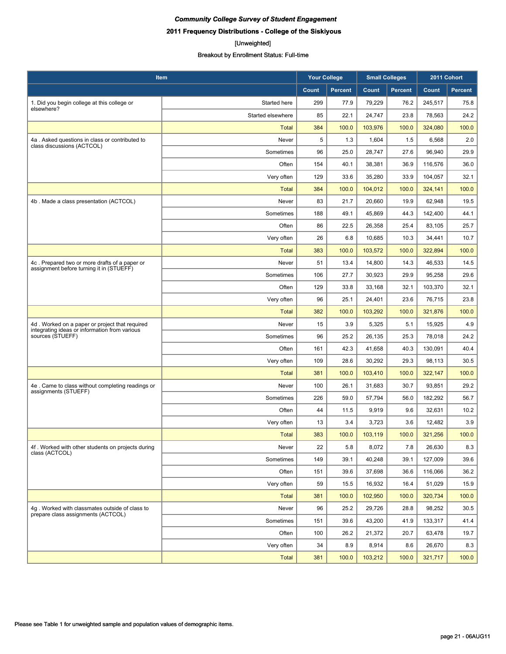#### [Unweighted]

| Item                                                                |                   | <b>Your College</b> |                | <b>Small Colleges</b> |                | 2011 Cohort |                |
|---------------------------------------------------------------------|-------------------|---------------------|----------------|-----------------------|----------------|-------------|----------------|
|                                                                     |                   | Count               | <b>Percent</b> | Count                 | <b>Percent</b> | Count       | <b>Percent</b> |
| 1. Did you begin college at this college or                         | Started here      | 299                 | 77.9           | 79,229                | 76.2           | 245,517     | 75.8           |
| elsewhere?                                                          | Started elsewhere | 85                  | 22.1           | 24,747                | 23.8           | 78,563      | 24.2           |
|                                                                     | <b>Total</b>      | 384                 | 100.0          | 103,976               | 100.0          | 324,080     | 100.0          |
| 4a . Asked questions in class or contributed to                     | Never             | 5                   | 1.3            | 1,604                 | 1.5            | 6,568       | 2.0            |
| class discussions (ACTCOL)                                          | Sometimes         | 96                  | 25.0           | 28,747                | 27.6           | 96,940      | 29.9           |
|                                                                     | Often             | 154                 | 40.1           | 38,381                | 36.9           | 116,576     | 36.0           |
|                                                                     | Very often        | 129                 | 33.6           | 35,280                | 33.9           | 104,057     | 32.1           |
|                                                                     | <b>Total</b>      | 384                 | 100.0          | 104,012               | 100.0          | 324,141     | 100.0          |
| 4b. Made a class presentation (ACTCOL)                              | Never             | 83                  | 21.7           | 20,660                | 19.9           | 62,948      | 19.5           |
|                                                                     | Sometimes         | 188                 | 49.1           | 45,869                | 44.3           | 142,400     | 44.1           |
|                                                                     | Often             | 86                  | 22.5           | 26,358                | 25.4           | 83,105      | 25.7           |
|                                                                     | Very often        | 26                  | 6.8            | 10,685                | 10.3           | 34,441      | 10.7           |
|                                                                     | <b>Total</b>      | 383                 | 100.0          | 103,572               | 100.0          | 322,894     | 100.0          |
| 4c. Prepared two or more drafts of a paper or                       | Never             | 51                  | 13.4           | 14,800                | 14.3           | 46,533      | 14.5           |
| assignment before turning it in (STUEFF)                            | Sometimes         | 106                 | 27.7           | 30,923                | 29.9           | 95,258      | 29.6           |
|                                                                     | Often             | 129                 | 33.8           | 33,168                | 32.1           | 103,370     | 32.1           |
|                                                                     | Very often        | 96                  | 25.1           | 24,401                | 23.6           | 76,715      | 23.8           |
|                                                                     | <b>Total</b>      | 382                 | 100.0          | 103,292               | 100.0          | 321,876     | 100.0          |
| 4d. Worked on a paper or project that required                      | Never             | 15                  | 3.9            | 5,325                 | 5.1            | 15,925      | 4.9            |
| integrating ideas or information from various<br>sources (STUEFF)   | Sometimes         | 96                  | 25.2           | 26,135                | 25.3           | 78,018      | 24.2           |
|                                                                     | Often             | 161                 | 42.3           | 41,658                | 40.3           | 130,091     | 40.4           |
|                                                                     | Very often        | 109                 | 28.6           | 30,292                | 29.3           | 98,113      | 30.5           |
|                                                                     | <b>Total</b>      | 381                 | 100.0          | 103,410               | 100.0          | 322,147     | 100.0          |
| 4e. Came to class without completing readings or                    | Never             | 100                 | 26.1           | 31,683                | 30.7           | 93,851      | 29.2           |
| assignments (STUEFF)                                                | Sometimes         | 226                 | 59.0           | 57,794                | 56.0           | 182,292     | 56.7           |
|                                                                     | Often             | 44                  | 11.5           | 9,919                 | 9.6            | 32,631      | 10.2           |
|                                                                     | Very often        | 13                  | 3.4            | 3,723                 | 3.6            | 12,482      | 3.9            |
|                                                                     | <b>Total</b>      | 383                 | 100.0          | 103,119               | 100.0          | 321,256     | 100.0          |
| 4f. Worked with other students on projects during<br>class (ACTCOL) | Never             | 22                  | 5.8            | 8,072                 | 7.8            | 26,630      | 8.3            |
|                                                                     | Sometimes         | 149                 | 39.1           | 40,248                | 39.1           | 127,009     | 39.6           |
|                                                                     | Often             | 151                 | 39.6           | 37,698                | 36.6           | 116,066     | 36.2           |
|                                                                     | Very often        | 59                  | 15.5           | 16,932                | 16.4           | 51,029      | 15.9           |
|                                                                     | <b>Total</b>      | 381                 | 100.0          | 102,950               | 100.0          | 320,734     | 100.0          |
| 4g. Worked with classmates outside of class to                      | Never             | 96                  | 25.2           | 29,726                | 28.8           | 98,252      | 30.5           |
| prepare class assignments (ACTCOL)                                  | Sometimes         | 151                 | 39.6           | 43,200                | 41.9           | 133,317     | 41.4           |
|                                                                     | Often             | 100                 | 26.2           | 21,372                | 20.7           | 63,478      | 19.7           |
|                                                                     | Very often        | 34                  | 8.9            | 8,914                 | 8.6            | 26,670      | 8.3            |
|                                                                     | <b>Total</b>      | 381                 | 100.0          | 103,212               | 100.0          | 321,717     | 100.0          |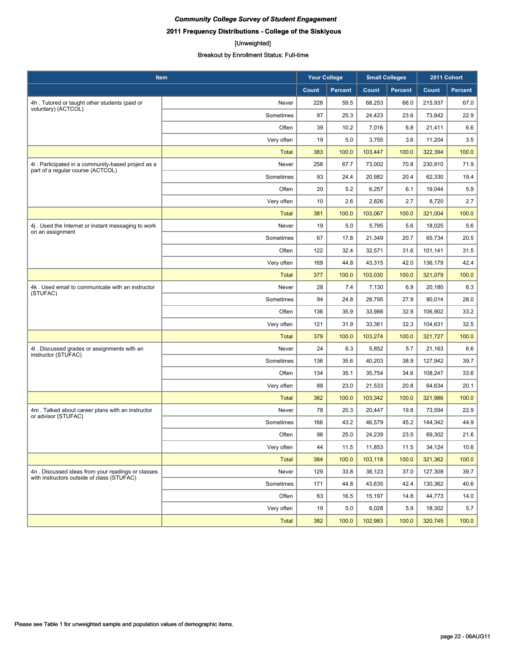**2011 Frequency Distributions - College of the Siskiyous**

#### [Unweighted]

| Item                                                                                            |              | <b>Your College</b> |                | <b>Small Colleges</b> |                | 2011 Cohort |                |
|-------------------------------------------------------------------------------------------------|--------------|---------------------|----------------|-----------------------|----------------|-------------|----------------|
|                                                                                                 |              | Count               | <b>Percent</b> | Count                 | <b>Percent</b> | Count       | <b>Percent</b> |
| 4h. Tutored or taught other students (paid or                                                   | Never        | 228                 | 59.5           | 68,253                | 66.0           | 215,937     | 67.0           |
| voluntary) (ACTCOL)                                                                             | Sometimes    | 97                  | 25.3           | 24,423                | 23.6           | 73,842      | 22.9           |
|                                                                                                 | Often        | 39                  | 10.2           | 7,016                 | 6.8            | 21,411      | 6.6            |
|                                                                                                 | Very often   | 19                  | 5.0            | 3,755                 | 3.6            | 11,204      | 3.5            |
|                                                                                                 | <b>Total</b> | 383                 | 100.0          | 103,447               | 100.0          | 322,394     | 100.0          |
| 4i. Participated in a community-based project as a<br>part of a regular course (ACTCOL)         | Never        | 258                 | 67.7           | 73,002                | 70.8           | 230,910     | 71.9           |
|                                                                                                 | Sometimes    | 93                  | 24.4           | 20.982                | 20.4           | 62,330      | 19.4           |
|                                                                                                 | Often        | 20                  | 5.2            | 6,257                 | 6.1            | 19,044      | 5.9            |
|                                                                                                 | Very often   | 10                  | 2.6            | 2,826                 | 2.7            | 8,720       | 2.7            |
|                                                                                                 | <b>Total</b> | 381                 | 100.0          | 103,067               | 100.0          | 321,004     | 100.0          |
| 4j. Used the Internet or instant messaging to work<br>on an assignment                          | Never        | 19                  | 5.0            | 5,795                 | 5.6            | 18,025      | 5.6            |
|                                                                                                 | Sometimes    | 67                  | 17.8           | 21,349                | 20.7           | 65,734      | 20.5           |
|                                                                                                 | Often        | 122                 | 32.4           | 32,571                | 31.6           | 101,141     | 31.5           |
|                                                                                                 | Very often   | 169                 | 44.8           | 43,315                | 42.0           | 136,179     | 42.4           |
|                                                                                                 | <b>Total</b> | 377                 | 100.0          | 103,030               | 100.0          | 321,079     | 100.0          |
| 4k. Used email to communicate with an instructor<br>(STUFAC)                                    | Never        | 28                  | 7.4            | 7,130                 | 6.9            | 20,180      | 6.3            |
|                                                                                                 | Sometimes    | 94                  | 24.8           | 28,795                | 27.9           | 90,014      | 28.0           |
|                                                                                                 | Often        | 136                 | 35.9           | 33,988                | 32.9           | 106,902     | 33.2           |
|                                                                                                 | Very often   | 121                 | 31.9           | 33,361                | 32.3           | 104,631     | 32.5           |
|                                                                                                 | <b>Total</b> | 379                 | 100.0          | 103,274               | 100.0          | 321,727     | 100.0          |
| 4I. Discussed grades or assignments with an<br>instructor (STUFAC)                              | Never        | 24                  | 6.3            | 5,852                 | 5.7            | 21,163      | 6.6            |
|                                                                                                 | Sometimes    | 136                 | 35.6           | 40,203                | 38.9           | 127,942     | 39.7           |
|                                                                                                 | Often        | 134                 | 35.1           | 35,754                | 34.6           | 108,247     | 33.6           |
|                                                                                                 | Very often   | 88                  | 23.0           | 21,533                | 20.8           | 64,634      | 20.1           |
|                                                                                                 | <b>Total</b> | 382                 | 100.0          | 103,342               | 100.0          | 321,986     | 100.0          |
| 4m. Talked about career plans with an instructor<br>or advisor (STUFAC)                         | Never        | 78                  | 20.3           | 20,447                | 19.8           | 73,594      | 22.9           |
|                                                                                                 | Sometimes    | 166                 | 43.2           | 46,579                | 45.2           | 144,342     | 44.9           |
|                                                                                                 | Often        | 96                  | 25.0           | 24,239                | 23.5           | 69,302      | 21.6           |
|                                                                                                 | Very often   | 44                  | 11.5           | 11,853                | 11.5           | 34,124      | 10.6           |
|                                                                                                 | <b>Total</b> | 384                 | 100.0          | 103,118               | 100.0          | 321,362     | 100.0          |
| 4n. Discussed ideas from your readings or classes<br>with instructors outside of class (STUFAC) | Never        | 129                 | 33.8           | 38,123                | 37.0           | 127,308     | 39.7           |
|                                                                                                 | Sometimes    | 171                 | 44.8           | 43,635                | 42.4           | 130,362     | 40.6           |
|                                                                                                 | Often        | 63                  | 16.5           | 15,197                | 14.8           | 44,773      | 14.0           |
|                                                                                                 | Very often   | 19                  | 5.0            | 6,028                 | 5.9            | 18,302      | 5.7            |
|                                                                                                 | Total        | 382                 | 100.0          | 102,983               | 100.0          | 320,745     | 100.0          |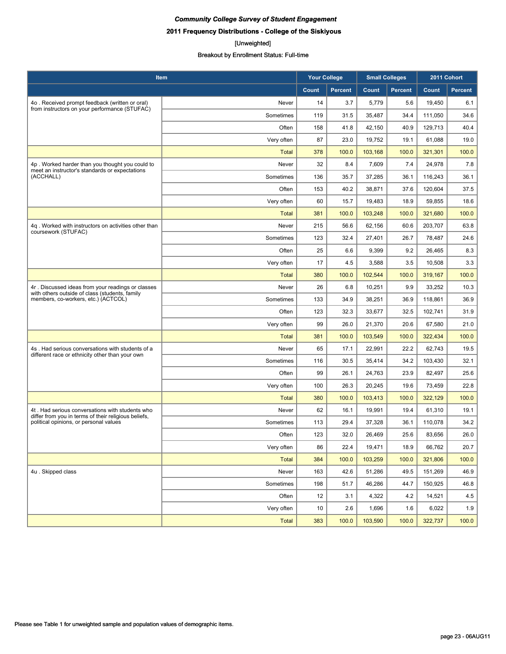**2011 Frequency Distributions - College of the Siskiyous**

#### [Unweighted]

| Item                                                                                                    |              | <b>Your College</b> |                | <b>Small Colleges</b> |                | 2011 Cohort |                |
|---------------------------------------------------------------------------------------------------------|--------------|---------------------|----------------|-----------------------|----------------|-------------|----------------|
|                                                                                                         |              | Count               | <b>Percent</b> | Count                 | <b>Percent</b> | Count       | <b>Percent</b> |
| 4o. Received prompt feedback (written or oral)                                                          | Never        | 14                  | 3.7            | 5,779                 | 5.6            | 19,450      | 6.1            |
| from instructors on your performance (STUFAC)                                                           | Sometimes    | 119                 | 31.5           | 35,487                | 34.4           | 111,050     | 34.6           |
|                                                                                                         | Often        | 158                 | 41.8           | 42,150                | 40.9           | 129,713     | 40.4           |
|                                                                                                         | Very often   | 87                  | 23.0           | 19,752                | 19.1           | 61,088      | 19.0           |
|                                                                                                         | Total        | 378                 | 100.0          | 103,168               | 100.0          | 321,301     | 100.0          |
| 4p. Worked harder than you thought you could to<br>meet an instructor's standards or expectations       | Never        | 32                  | 8.4            | 7,609                 | 7.4            | 24,978      | 7.8            |
| (ACCHALL)                                                                                               | Sometimes    | 136                 | 35.7           | 37,285                | 36.1           | 116.243     | 36.1           |
|                                                                                                         | Often        | 153                 | 40.2           | 38,871                | 37.6           | 120,604     | 37.5           |
|                                                                                                         | Very often   | 60                  | 15.7           | 19,483                | 18.9           | 59,855      | 18.6           |
|                                                                                                         | <b>Total</b> | 381                 | 100.0          | 103,248               | 100.0          | 321,680     | 100.0          |
| 4q. Worked with instructors on activities other than<br>coursework (STUFAC)                             | Never        | 215                 | 56.6           | 62,156                | 60.6           | 203,707     | 63.8           |
|                                                                                                         | Sometimes    | 123                 | 32.4           | 27,401                | 26.7           | 78,487      | 24.6           |
|                                                                                                         | Often        | 25                  | 6.6            | 9,399                 | 9.2            | 26,465      | 8.3            |
|                                                                                                         | Very often   | 17                  | 4.5            | 3,588                 | 3.5            | 10,508      | 3.3            |
|                                                                                                         | <b>Total</b> | 380                 | 100.0          | 102,544               | 100.0          | 319,167     | 100.0          |
| 4r. Discussed ideas from your readings or classes<br>with others outside of class (students, family     | Never        | 26                  | 6.8            | 10,251                | 9.9            | 33,252      | 10.3           |
| members, co-workers, etc.) (ACTCOL)                                                                     | Sometimes    | 133                 | 34.9           | 38,251                | 36.9           | 118,861     | 36.9           |
|                                                                                                         | Often        | 123                 | 32.3           | 33,677                | 32.5           | 102,741     | 31.9           |
|                                                                                                         | Very often   | 99                  | 26.0           | 21,370                | 20.6           | 67,580      | 21.0           |
|                                                                                                         | <b>Total</b> | 381                 | 100.0          | 103,549               | 100.0          | 322,434     | 100.0          |
| 4s. Had serious conversations with students of a<br>different race or ethnicity other than your own     | Never        | 65                  | 17.1           | 22,991                | 22.2           | 62,743      | 19.5           |
|                                                                                                         | Sometimes    | 116                 | 30.5           | 35,414                | 34.2           | 103,430     | 32.1           |
|                                                                                                         | Often        | 99                  | 26.1           | 24,763                | 23.9           | 82,497      | 25.6           |
|                                                                                                         | Very often   | 100                 | 26.3           | 20,245                | 19.6           | 73,459      | 22.8           |
|                                                                                                         | <b>Total</b> | 380                 | 100.0          | 103,413               | 100.0          | 322,129     | 100.0          |
| 4t. Had serious conversations with students who<br>differ from you in terms of their religious beliefs, | Never        | 62                  | 16.1           | 19,991                | 19.4           | 61,310      | 19.1           |
| political opinions, or personal values                                                                  | Sometimes    | 113                 | 29.4           | 37,328                | 36.1           | 110,078     | 34.2           |
|                                                                                                         | Often        | 123                 | 32.0           | 26,469                | 25.6           | 83,656      | 26.0           |
|                                                                                                         | Very often   | 86                  | 22.4           | 19,471                | 18.9           | 66,762      | 20.7           |
|                                                                                                         | <b>Total</b> | 384                 | 100.0          | 103,259               | 100.0          | 321,806     | 100.0          |
| 4u. Skipped class                                                                                       | Never        | 163                 | 42.6           | 51,286                | 49.5           | 151,269     | 46.9           |
|                                                                                                         | Sometimes    | 198                 | 51.7           | 46,286                | 44.7           | 150,925     | 46.8           |
|                                                                                                         | Often        | 12                  | 3.1            | 4,322                 | 4.2            | 14,521      | 4.5            |
|                                                                                                         | Very often   | 10                  | 2.6            | 1,696                 | 1.6            | 6,022       | 1.9            |
|                                                                                                         | <b>Total</b> | 383                 | 100.0          | 103,590               | 100.0          | 322,737     | 100.0          |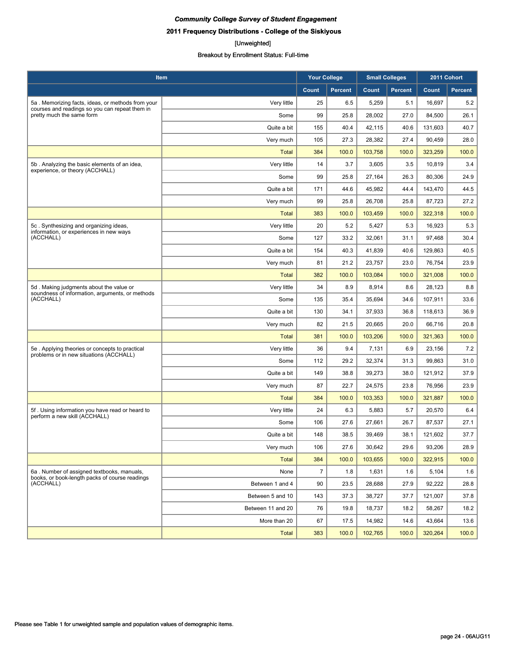## **2011 Frequency Distributions - College of the Siskiyous**

#### [Unweighted]

| Item                                                                                         |                   | <b>Your College</b> |                | <b>Small Colleges</b> |                | 2011 Cohort |                |
|----------------------------------------------------------------------------------------------|-------------------|---------------------|----------------|-----------------------|----------------|-------------|----------------|
|                                                                                              |                   | Count               | <b>Percent</b> | Count                 | <b>Percent</b> | Count       | <b>Percent</b> |
| 5a. Memorizing facts, ideas, or methods from your                                            | Very little       | 25                  | 6.5            | 5,259                 | 5.1            | 16,697      | 5.2            |
| courses and readings so you can repeat them in<br>pretty much the same form                  | Some              | 99                  | 25.8           | 28,002                | 27.0           | 84,500      | 26.1           |
|                                                                                              | Quite a bit       | 155                 | 40.4           | 42,115                | 40.6           | 131,603     | 40.7           |
|                                                                                              | Very much         | 105                 | 27.3           | 28,382                | 27.4           | 90,459      | 28.0           |
|                                                                                              | <b>Total</b>      | 384                 | 100.0          | 103,758               | 100.0          | 323,259     | 100.0          |
| 5b. Analyzing the basic elements of an idea,                                                 | Very little       | 14                  | 3.7            | 3,605                 | 3.5            | 10,819      | 3.4            |
| experience, or theory (ACCHALL)                                                              | Some              | 99                  | 25.8           | 27,164                | 26.3           | 80,306      | 24.9           |
|                                                                                              | Quite a bit       | 171                 | 44.6           | 45,982                | 44.4           | 143.470     | 44.5           |
|                                                                                              | Very much         | 99                  | 25.8           | 26,708                | 25.8           | 87,723      | 27.2           |
|                                                                                              | <b>Total</b>      | 383                 | 100.0          | 103,459               | 100.0          | 322,318     | 100.0          |
| 5c. Synthesizing and organizing ideas,                                                       | Very little       | 20                  | 5.2            | 5,427                 | 5.3            | 16,923      | 5.3            |
| information, or experiences in new ways<br>(ACCHALL)                                         | Some              | 127                 | 33.2           | 32,061                | 31.1           | 97,468      | 30.4           |
|                                                                                              | Quite a bit       | 154                 | 40.3           | 41,839                | 40.6           | 129,863     | 40.5           |
|                                                                                              | Very much         | 81                  | 21.2           | 23,757                | 23.0           | 76,754      | 23.9           |
|                                                                                              | Total             | 382                 | 100.0          | 103,084               | 100.0          | 321,008     | 100.0          |
| 5d. Making judgments about the value or                                                      | Very little       | 34                  | 8.9            | 8,914                 | 8.6            | 28,123      | 8.8            |
| soundness of information, arguments, or methods<br>(ACCHALL)                                 | Some              | 135                 | 35.4           | 35,694                | 34.6           | 107,911     | 33.6           |
|                                                                                              | Quite a bit       | 130                 | 34.1           | 37,933                | 36.8           | 118,613     | 36.9           |
|                                                                                              | Very much         | 82                  | 21.5           | 20,665                | 20.0           | 66,716      | 20.8           |
|                                                                                              | <b>Total</b>      | 381                 | 100.0          | 103,206               | 100.0          | 321,363     | 100.0          |
| 5e. Applying theories or concepts to practical<br>problems or in new situations (ACCHALL)    | Very little       | 36                  | 9.4            | 7,131                 | 6.9            | 23,156      | 7.2            |
|                                                                                              | Some              | 112                 | 29.2           | 32,374                | 31.3           | 99,863      | 31.0           |
|                                                                                              | Quite a bit       | 149                 | 38.8           | 39,273                | 38.0           | 121,912     | 37.9           |
|                                                                                              | Very much         | 87                  | 22.7           | 24,575                | 23.8           | 76,956      | 23.9           |
|                                                                                              | <b>Total</b>      | 384                 | 100.0          | 103,353               | 100.0          | 321,887     | 100.0          |
| 5f. Using information you have read or heard to<br>perform a new skill (ACCHALL)             | Very little       | 24                  | 6.3            | 5,883                 | 5.7            | 20,570      | 6.4            |
|                                                                                              | Some              | 106                 | 27.6           | 27,661                | 26.7           | 87,537      | 27.1           |
|                                                                                              | Quite a bit       | 148                 | 38.5           | 39,469                | 38.1           | 121,602     | 37.7           |
|                                                                                              | Very much         | 106                 | 27.6           | 30,642                | 29.6           | 93,206      | 28.9           |
|                                                                                              | <b>Total</b>      | 384                 | 100.0          | 103,655               | 100.0          | 322,915     | 100.0          |
| 6a. Number of assigned textbooks, manuals,<br>books, or book-length packs of course readings | None              | $\overline{7}$      | 1.8            | 1,631                 | 1.6            | 5,104       | 1.6            |
| (ACCHALL)                                                                                    | Between 1 and 4   | 90                  | 23.5           | 28.688                | 27.9           | 92,222      | 28.8           |
|                                                                                              | Between 5 and 10  | 143                 | 37.3           | 38,727                | 37.7           | 121,007     | 37.8           |
|                                                                                              | Between 11 and 20 | 76                  | 19.8           | 18,737                | 18.2           | 58,267      | 18.2           |
|                                                                                              | More than 20      | 67                  | 17.5           | 14,982                | 14.6           | 43,664      | 13.6           |
|                                                                                              | <b>Total</b>      | 383                 | 100.0          | 102,765               | 100.0          | 320,264     | 100.0          |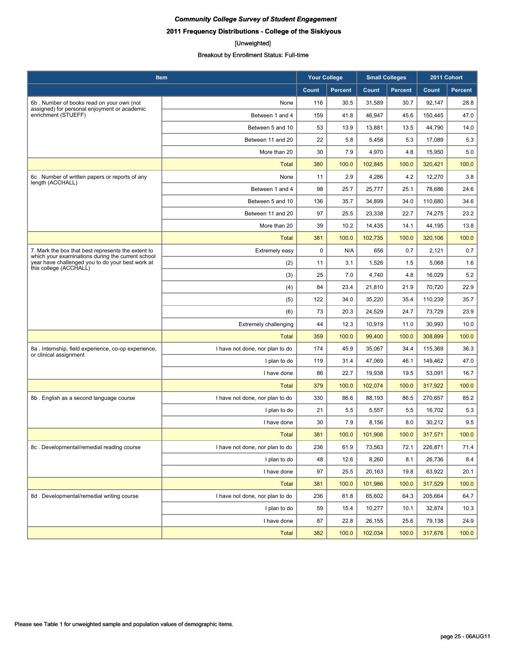## **2011 Frequency Distributions - College of the Siskiyous**

#### [Unweighted]

| Item                                                                                                    |                                 | <b>Your College</b> |                | <b>Small Colleges</b> |                | 2011 Cohort |                |
|---------------------------------------------------------------------------------------------------------|---------------------------------|---------------------|----------------|-----------------------|----------------|-------------|----------------|
|                                                                                                         |                                 | Count               | <b>Percent</b> | Count                 | <b>Percent</b> | Count       | <b>Percent</b> |
| 6b. Number of books read on your own (not<br>assigned) for personal enjoyment or academic               | None                            | 116                 | 30.5           | 31,589                | 30.7           | 92,147      | 28.8           |
| enrichment (STUEFF)                                                                                     | Between 1 and 4                 | 159                 | 41.8           | 46,947                | 45.6           | 150,445     | 47.0           |
|                                                                                                         | Between 5 and 10                | 53                  | 13.9           | 13,881                | 13.5           | 44,790      | 14.0           |
|                                                                                                         | Between 11 and 20               | 22                  | 5.8            | 5,458                 | 5.3            | 17,089      | 5.3            |
|                                                                                                         | More than 20                    | 30                  | 7.9            | 4,970                 | 4.8            | 15,950      | 5.0            |
|                                                                                                         | <b>Total</b>                    | 380                 | 100.0          | 102,845               | 100.0          | 320,421     | 100.0          |
| 6c. Number of written papers or reports of any<br>length (ACCHALL)                                      | None                            | 11                  | 2.9            | 4,286                 | 4.2            | 12,270      | 3.8            |
|                                                                                                         | Between 1 and 4                 | 98                  | 25.7           | 25,777                | 25.1           | 78,686      | 24.6           |
|                                                                                                         | Between 5 and 10                | 136                 | 35.7           | 34,899                | 34.0           | 110,680     | 34.6           |
|                                                                                                         | Between 11 and 20               | 97                  | 25.5           | 23,338                | 22.7           | 74,275      | 23.2           |
|                                                                                                         | More than 20                    | 39                  | 10.2           | 14,435                | 14.1           | 44,195      | 13.8           |
|                                                                                                         | <b>Total</b>                    | 381                 | 100.0          | 102,735               | 100.0          | 320,106     | 100.0          |
| 7. Mark the box that best represents the extent to<br>which your examinations during the current school | Extremely easy                  | $\mathbf 0$         | N/A            | 656                   | 0.7            | 2,121       | 0.7            |
| year have challenged you to do your best work at<br>this college (ACCHALL)                              | (2)                             | 11                  | 3.1            | 1,526                 | 1.5            | 5,068       | 1.6            |
|                                                                                                         | (3)                             | 25                  | 7.0            | 4,740                 | 4.8            | 16,029      | 5.2            |
|                                                                                                         | (4)                             | 84                  | 23.4           | 21,810                | 21.9           | 70,720      | 22.9           |
|                                                                                                         | (5)                             | 122                 | 34.0           | 35,220                | 35.4           | 110,239     | 35.7           |
|                                                                                                         | (6)                             | 73                  | 20.3           | 24,529                | 24.7           | 73,729      | 23.9           |
|                                                                                                         | <b>Extremely challenging</b>    | 44                  | 12.3           | 10,919                | 11.0           | 30,993      | 10.0           |
|                                                                                                         | <b>Total</b>                    | 359                 | 100.0          | 99,400                | 100.0          | 308,899     | 100.0          |
| 8a . Internship, field experience, co-op experience,<br>or clinical assignment                          | I have not done, nor plan to do | 174                 | 45.9           | 35,067                | 34.4           | 115,369     | 36.3           |
|                                                                                                         | I plan to do                    | 119                 | 31.4           | 47,069                | 46.1           | 149,462     | 47.0           |
|                                                                                                         | I have done                     | 86                  | 22.7           | 19,938                | 19.5           | 53,091      | 16.7           |
|                                                                                                         | Total                           | 379                 | 100.0          | 102,074               | 100.0          | 317,922     | 100.0          |
| 8b. English as a second language course                                                                 | I have not done, nor plan to do | 330                 | 86.6           | 88,193                | 86.5           | 270,657     | 85.2           |
|                                                                                                         | I plan to do                    | 21                  | 5.5            | 5,557                 | 5.5            | 16,702      | 5.3            |
|                                                                                                         | I have done                     | 30                  | 7.9            | 8,156                 | 8.0            | 30,212      | 9.5            |
|                                                                                                         | <b>Total</b>                    | 381                 | 100.0          | 101,906               | 100.0          | 317,571     | 100.0          |
| 8c. Developmental/remedial reading course                                                               | I have not done, nor plan to do | 236                 | 61.9           | 73,563                | 72.1           | 226,871     | 71.4           |
|                                                                                                         | I plan to do                    | 48                  | 12.6           | 8,260                 | 8.1            | 26,736      | 8.4            |
|                                                                                                         | I have done                     | 97                  | 25.5           | 20,163                | 19.8           | 63,922      | 20.1           |
|                                                                                                         | <b>Total</b>                    | 381                 | 100.0          | 101,986               | 100.0          | 317,529     | 100.0          |
| 8d. Developmental/remedial writing course                                                               | I have not done, nor plan to do | 236                 | 61.8           | 65,602                | 64.3           | 205,664     | 64.7           |
|                                                                                                         | I plan to do                    | 59                  | 15.4           | 10,277                | 10.1           | 32,874      | 10.3           |
|                                                                                                         | I have done                     | 87                  | 22.8           | 26,155                | 25.6           | 79,138      | 24.9           |
|                                                                                                         | <b>Total</b>                    | 382                 | 100.0          | 102,034               | 100.0          | 317,676     | 100.0          |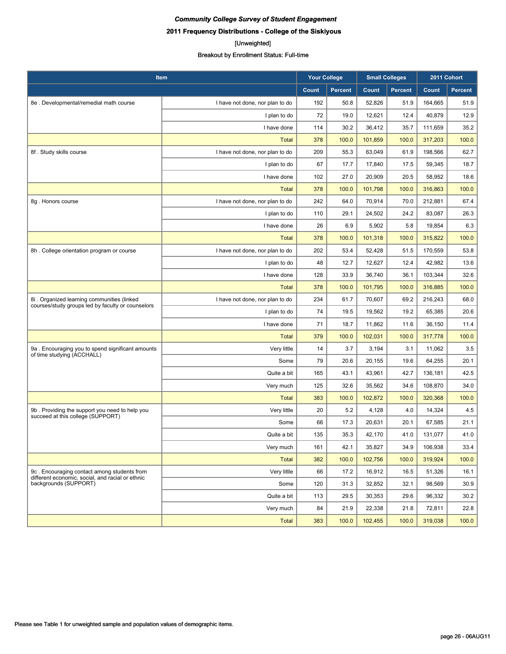## [Unweighted]

| Item                                                                                            |                                 | <b>Your College</b> |                | <b>Small Colleges</b> |                | 2011 Cohort |                |
|-------------------------------------------------------------------------------------------------|---------------------------------|---------------------|----------------|-----------------------|----------------|-------------|----------------|
|                                                                                                 |                                 | Count               | <b>Percent</b> | Count                 | <b>Percent</b> | Count       | <b>Percent</b> |
| 8e. Developmental/remedial math course                                                          | I have not done, nor plan to do | 192                 | 50.8           | 52,826                | 51.9           | 164,665     | 51.9           |
|                                                                                                 | I plan to do                    | 72                  | 19.0           | 12,621                | 12.4           | 40,879      | 12.9           |
|                                                                                                 | I have done                     | 114                 | 30.2           | 36,412                | 35.7           | 111,659     | 35.2           |
|                                                                                                 | Total                           | 378                 | 100.0          | 101,859               | 100.0          | 317,203     | 100.0          |
| 8f. Study skills course                                                                         | I have not done, nor plan to do | 209                 | 55.3           | 63,049                | 61.9           | 198.566     | 62.7           |
|                                                                                                 | I plan to do                    | 67                  | 17.7           | 17,840                | 17.5           | 59,345      | 18.7           |
|                                                                                                 | I have done                     | 102                 | 27.0           | 20,909                | 20.5           | 58,952      | 18.6           |
|                                                                                                 | <b>Total</b>                    | 378                 | 100.0          | 101,798               | 100.0          | 316,863     | 100.0          |
| 8g. Honors course                                                                               | I have not done, nor plan to do | 242                 | 64.0           | 70,914                | 70.0           | 212,881     | 67.4           |
|                                                                                                 | I plan to do                    | 110                 | 29.1           | 24,502                | 24.2           | 83,087      | 26.3           |
|                                                                                                 | I have done                     | 26                  | 6.9            | 5,902                 | 5.8            | 19,854      | 6.3            |
|                                                                                                 | <b>Total</b>                    | 378                 | 100.0          | 101,318               | 100.0          | 315,822     | 100.0          |
| 8h. College orientation program or course                                                       | I have not done, nor plan to do | 202                 | 53.4           | 52,428                | 51.5           | 170,559     | 53.8           |
|                                                                                                 | I plan to do                    | 48                  | 12.7           | 12,627                | 12.4           | 42,982      | 13.6           |
|                                                                                                 | I have done                     | 128                 | 33.9           | 36,740                | 36.1           | 103,344     | 32.6           |
|                                                                                                 | <b>Total</b>                    | 378                 | 100.0          | 101.795               | 100.0          | 316,885     | 100.0          |
| 8i. Organized learning communities (linked<br>courses/study groups led by faculty or counselors | I have not done, nor plan to do | 234                 | 61.7           | 70,607                | 69.2           | 216,243     | 68.0           |
|                                                                                                 | I plan to do                    | 74                  | 19.5           | 19,562                | 19.2           | 65,385      | 20.6           |
|                                                                                                 | I have done                     | 71                  | 18.7           | 11,862                | 11.6           | 36,150      | 11.4           |
|                                                                                                 | <b>Total</b>                    | 379                 | 100.0          | 102,031               | 100.0          | 317,778     | 100.0          |
| 9a. Encouraging you to spend significant amounts<br>of time studying (ACCHALL)                  | Very little                     | 14                  | 3.7            | 3,194                 | 3.1            | 11,062      | 3.5            |
|                                                                                                 | Some                            | 79                  | 20.6           | 20,155                | 19.6           | 64,255      | 20.1           |
|                                                                                                 | Quite a bit                     | 165                 | 43.1           | 43,961                | 42.7           | 136,181     | 42.5           |
|                                                                                                 | Very much                       | 125                 | 32.6           | 35,562                | 34.6           | 108,870     | 34.0           |
|                                                                                                 | <b>Total</b>                    | 383                 | 100.0          | 102,872               | 100.0          | 320,368     | 100.0          |
| 9b. Providing the support you need to help you<br>succeed at this college (SUPPORT)             | Very little                     | 20                  | 5.2            | 4,128                 | 4.0            | 14,324      | 4.5            |
|                                                                                                 | Some                            | 66                  | 17.3           | 20,631                | 20.1           | 67,585      | 21.1           |
|                                                                                                 | Quite a bit                     | 135                 | 35.3           | 42,170                | 41.0           | 131,077     | 41.0           |
|                                                                                                 | Very much                       | 161                 | 42.1           | 35,827                | 34.9           | 106,938     | 33.4           |
|                                                                                                 | <b>Total</b>                    | 382                 | 100.0          | 102,756               | 100.0          | 319,924     | 100.0          |
| 9c. Encouraging contact among students from<br>different economic, social, and racial or ethnic | Very little                     | 66                  | 17.2           | 16,912                | 16.5           | 51,326      | 16.1           |
| backgrounds (SUPPORT)                                                                           | Some                            | 120                 | 31.3           | 32,852                | 32.1           | 98,569      | 30.9           |
|                                                                                                 | Quite a bit                     | 113                 | 29.5           | 30,353                | 29.6           | 96,332      | 30.2           |
|                                                                                                 | Very much                       | 84                  | 21.9           | 22,338                | 21.8           | 72,811      | 22.8           |
|                                                                                                 | Total                           | 383                 | 100.0          | 102,455               | 100.0          | 319,038     | 100.0          |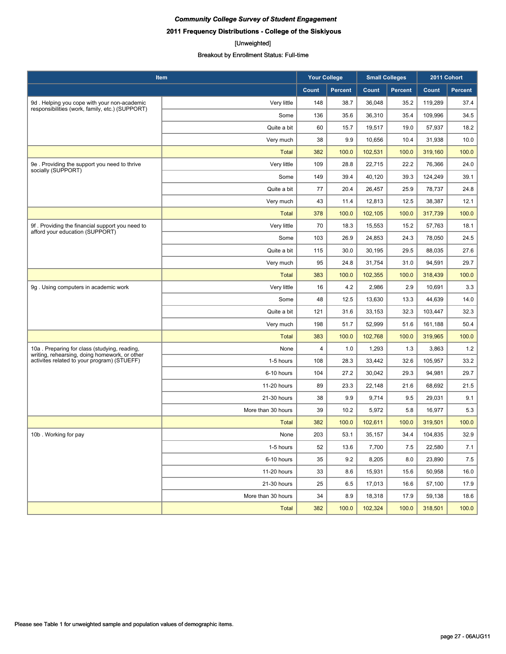**2011 Frequency Distributions - College of the Siskiyous**

#### [Unweighted]

| Item                                                                                           |                    |       | <b>Your College</b> |         | <b>Small Colleges</b> |         | 2011 Cohort |
|------------------------------------------------------------------------------------------------|--------------------|-------|---------------------|---------|-----------------------|---------|-------------|
|                                                                                                |                    | Count | <b>Percent</b>      | Count   | <b>Percent</b>        | Count   | Percent     |
| 9d. Helping you cope with your non-academic<br>responsibilities (work, family, etc.) (SUPPORT) | Very little        | 148   | 38.7                | 36,048  | 35.2                  | 119,289 | 37.4        |
|                                                                                                | Some               | 136   | 35.6                | 36,310  | 35.4                  | 109,996 | 34.5        |
|                                                                                                | Quite a bit        | 60    | 15.7                | 19,517  | 19.0                  | 57,937  | 18.2        |
|                                                                                                | Very much          | 38    | 9.9                 | 10,656  | 10.4                  | 31,938  | 10.0        |
|                                                                                                | <b>Total</b>       | 382   | 100.0               | 102,531 | 100.0                 | 319,160 | 100.0       |
| 9e. Providing the support you need to thrive<br>socially (SUPPORT)                             | Very little        | 109   | 28.8                | 22,715  | 22.2                  | 76,366  | 24.0        |
|                                                                                                | Some               | 149   | 39.4                | 40,120  | 39.3                  | 124,249 | 39.1        |
|                                                                                                | Quite a bit        | 77    | 20.4                | 26,457  | 25.9                  | 78,737  | 24.8        |
|                                                                                                | Very much          | 43    | 11.4                | 12,813  | 12.5                  | 38,387  | 12.1        |
|                                                                                                | <b>Total</b>       | 378   | 100.0               | 102,105 | 100.0                 | 317,739 | 100.0       |
| 9f. Providing the financial support you need to<br>afford your education (SUPPORT)             | Very little        | 70    | 18.3                | 15,553  | 15.2                  | 57,763  | 18.1        |
|                                                                                                | Some               | 103   | 26.9                | 24,853  | 24.3                  | 78.050  | 24.5        |
|                                                                                                | Quite a bit        | 115   | 30.0                | 30,195  | 29.5                  | 88,035  | 27.6        |
|                                                                                                | Very much          | 95    | 24.8                | 31,754  | 31.0                  | 94,591  | 29.7        |
|                                                                                                | <b>Total</b>       | 383   | 100.0               | 102,355 | 100.0                 | 318,439 | 100.0       |
| 9g. Using computers in academic work                                                           | Very little        | 16    | 4.2                 | 2,986   | 2.9                   | 10,691  | 3.3         |
|                                                                                                | Some               | 48    | 12.5                | 13,630  | 13.3                  | 44,639  | 14.0        |
|                                                                                                | Quite a bit        | 121   | 31.6                | 33,153  | 32.3                  | 103,447 | 32.3        |
|                                                                                                | Very much          | 198   | 51.7                | 52,999  | 51.6                  | 161,188 | 50.4        |
|                                                                                                | <b>Total</b>       | 383   | 100.0               | 102,768 | 100.0                 | 319,965 | 100.0       |
| 10a. Preparing for class (studying, reading,                                                   | None               | 4     | 1.0                 | 1,293   | 1.3                   | 3,863   | 1.2         |
| writing, rehearsing, doing homework, or other<br>activites related to your program) (STUEFF)   | 1-5 hours          | 108   | 28.3                | 33,442  | 32.6                  | 105,957 | 33.2        |
|                                                                                                | 6-10 hours         | 104   | 27.2                | 30,042  | 29.3                  | 94,981  | 29.7        |
|                                                                                                | 11-20 hours        | 89    | 23.3                | 22,148  | 21.6                  | 68,692  | 21.5        |
|                                                                                                | 21-30 hours        | 38    | 9.9                 | 9,714   | 9.5                   | 29,031  | 9.1         |
|                                                                                                | More than 30 hours | 39    | 10.2                | 5,972   | 5.8                   | 16,977  | 5.3         |
|                                                                                                | <b>Total</b>       | 382   | 100.0               | 102,611 | 100.0                 | 319,501 | 100.0       |
| 10b. Working for pay                                                                           | None               | 203   | 53.1                | 35,157  | 34.4                  | 104,835 | 32.9        |
|                                                                                                | 1-5 hours          | 52    | 13.6                | 7,700   | 7.5                   | 22,580  | 7.1         |
|                                                                                                | 6-10 hours         | 35    | 9.2                 | 8,205   | 8.0                   | 23,890  | 7.5         |
|                                                                                                | 11-20 hours        | 33    | 8.6                 | 15,931  | 15.6                  | 50,958  | 16.0        |
|                                                                                                | 21-30 hours        | 25    | 6.5                 | 17,013  | 16.6                  | 57,100  | 17.9        |
|                                                                                                | More than 30 hours | 34    | 8.9                 | 18,318  | 17.9                  | 59,138  | 18.6        |
|                                                                                                | <b>Total</b>       | 382   | 100.0               | 102,324 | 100.0                 | 318,501 | 100.0       |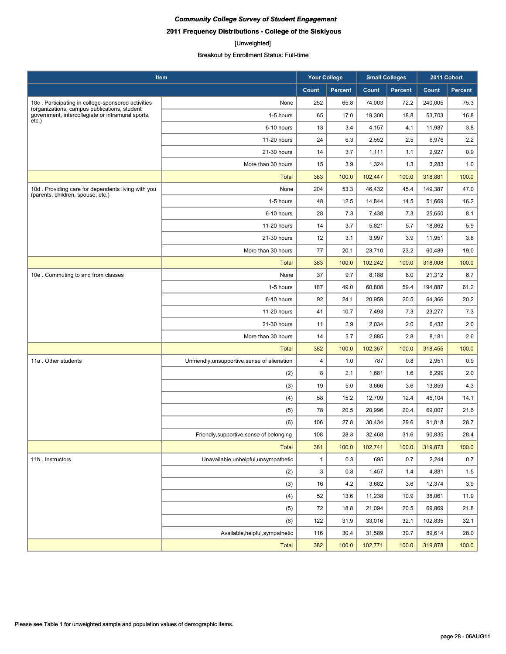**2011 Frequency Distributions - College of the Siskiyous**

#### [Unweighted]

| <b>Item</b>                                                                                       |                                               | <b>Your College</b> |                | <b>Small Colleges</b> |                | 2011 Cohort |         |
|---------------------------------------------------------------------------------------------------|-----------------------------------------------|---------------------|----------------|-----------------------|----------------|-------------|---------|
|                                                                                                   |                                               | Count               | <b>Percent</b> | Count                 | <b>Percent</b> | Count       | Percent |
| 10c. Participating in college-sponsored activities                                                | None                                          | 252                 | 65.8           | 74,003                | 72.2           | 240,005     | 75.3    |
| (organizations, campus publications, student<br>government, intercollegiate or intramural sports, | 1-5 hours                                     | 65                  | 17.0           | 19,300                | 18.8           | 53,703      | 16.8    |
| $etc.$ )                                                                                          | 6-10 hours                                    | 13                  | 3.4            | 4,157                 | 4.1            | 11,987      | 3.8     |
|                                                                                                   | 11-20 hours                                   | 24                  | 6.3            | 2,552                 | 2.5            | 6,976       | 2.2     |
|                                                                                                   | 21-30 hours                                   | 14                  | 3.7            | 1,111                 | 1.1            | 2,927       | 0.9     |
|                                                                                                   | More than 30 hours                            | 15                  | 3.9            | 1,324                 | 1.3            | 3,283       | 1.0     |
|                                                                                                   | <b>Total</b>                                  | 383                 | 100.0          | 102,447               | 100.0          | 318,881     | 100.0   |
| 10d. Providing care for dependents living with you                                                | None                                          | 204                 | 53.3           | 46,432                | 45.4           | 149,387     | 47.0    |
| (parents, children, spouse, etc.)                                                                 | 1-5 hours                                     | 48                  | 12.5           | 14,844                | 14.5           | 51,669      | 16.2    |
|                                                                                                   | 6-10 hours                                    | 28                  | 7.3            | 7,438                 | 7.3            | 25,650      | 8.1     |
|                                                                                                   | 11-20 hours                                   | 14                  | 3.7            | 5,821                 | 5.7            | 18,862      | 5.9     |
|                                                                                                   | 21-30 hours                                   | 12                  | 3.1            | 3,997                 | 3.9            | 11,951      | 3.8     |
|                                                                                                   | More than 30 hours                            | 77                  | 20.1           | 23,710                | 23.2           | 60,489      | 19.0    |
|                                                                                                   | <b>Total</b>                                  | 383                 | 100.0          | 102,242               | 100.0          | 318,008     | 100.0   |
| 10e. Commuting to and from classes                                                                | None                                          | 37                  | 9.7            | 8,188                 | 8.0            | 21,312      | 6.7     |
|                                                                                                   | 1-5 hours                                     | 187                 | 49.0           | 60,808                | 59.4           | 194,887     | 61.2    |
|                                                                                                   | 6-10 hours                                    | 92                  | 24.1           | 20,959                | 20.5           | 64,366      | 20.2    |
|                                                                                                   | 11-20 hours                                   | 41                  | 10.7           | 7,493                 | 7.3            | 23,277      | 7.3     |
|                                                                                                   | 21-30 hours                                   | 11                  | 2.9            | 2,034                 | 2.0            | 6,432       | 2.0     |
|                                                                                                   | More than 30 hours                            | 14                  | 3.7            | 2,885                 | 2.8            | 8,181       | 2.6     |
|                                                                                                   | <b>Total</b>                                  | 382                 | 100.0          | 102,367               | 100.0          | 318,455     | 100.0   |
| 11a . Other students                                                                              | Unfriendly, unsupportive, sense of alienation | 4                   | 1.0            | 787                   | 0.8            | 2,951       | 0.9     |
|                                                                                                   | (2)                                           | 8                   | 2.1            | 1,681                 | 1.6            | 6,299       | 2.0     |
|                                                                                                   | (3)                                           | 19                  | 5.0            | 3,666                 | 3.6            | 13,859      | 4.3     |
|                                                                                                   | (4)                                           | 58                  | 15.2           | 12,709                | 12.4           | 45,104      | 14.1    |
|                                                                                                   | (5)                                           | 78                  | 20.5           | 20,996                | 20.4           | 69,007      | 21.6    |
|                                                                                                   | (6)                                           | 106                 | 27.8           | 30,434                | 29.6           | 91,818      | 28.7    |
|                                                                                                   | Friendly, supportive, sense of belonging      | 108                 | 28.3           | 32,468                | 31.6           | 90,835      | 28.4    |
|                                                                                                   | <b>Total</b>                                  | 381                 | 100.0          | 102,741               | 100.0          | 319,873     | 100.0   |
| 11b. Instructors                                                                                  | Unavailable, unhelpful, unsympathetic         | $\mathbf{1}$        | 0.3            | 695                   | 0.7            | 2,244       | $0.7\,$ |
|                                                                                                   | (2)                                           | 3                   | 0.8            | 1,457                 | 1.4            | 4,881       | 1.5     |
|                                                                                                   | (3)                                           | 16                  | 4.2            | 3,682                 | 3.6            | 12,374      | 3.9     |
|                                                                                                   | (4)                                           | 52                  | 13.6           | 11,238                | 10.9           | 38,061      | 11.9    |
|                                                                                                   | (5)                                           | 72                  | 18.8           | 21,094                | 20.5           | 69,869      | 21.8    |
|                                                                                                   | (6)                                           | 122                 | 31.9           | 33,016                | 32.1           | 102,835     | 32.1    |
|                                                                                                   | Available, helpful, sympathetic               | 116                 | 30.4           | 31,589                | 30.7           | 89,614      | 28.0    |
|                                                                                                   | <b>Total</b>                                  | 382                 | 100.0          | 102,771               | 100.0          | 319,878     | 100.0   |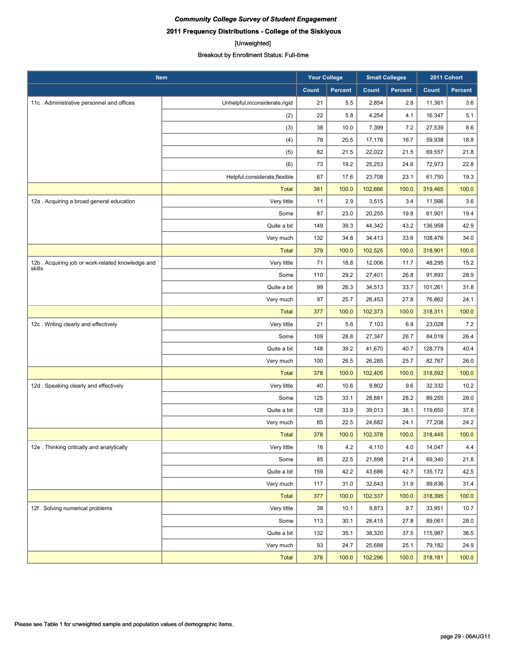#### [Unweighted]

| Item                                             |                                 | <b>Your College</b> |         | <b>Small Colleges</b> |                | 2011 Cohort  |         |
|--------------------------------------------------|---------------------------------|---------------------|---------|-----------------------|----------------|--------------|---------|
|                                                  |                                 | Count               | Percent | Count                 | <b>Percent</b> | <b>Count</b> | Percent |
| 11c. Administrative personnel and offices        | Unhelpful, inconsiderate, rigid | 21                  | 5.5     | 2,854                 | 2.8            | 11,361       | 3.6     |
|                                                  | (2)                             | 22                  | 5.8     | 4,254                 | 4.1            | 16,347       | 5.1     |
|                                                  | (3)                             | 38                  | 10.0    | 7,399                 | 7.2            | 27,539       | 8.6     |
|                                                  | (4)                             | 78                  | 20.5    | 17,176                | 16.7           | 59,938       | 18.8    |
|                                                  | (5)                             | 82                  | 21.5    | 22,022                | 21.5           | 69,557       | 21.8    |
|                                                  | (6)                             | 73                  | 19.2    | 25,253                | 24.6           | 72,973       | 22.8    |
|                                                  | Helpful, considerate, flexible  | 67                  | 17.6    | 23,708                | 23.1           | 61,750       | 19.3    |
|                                                  | <b>Total</b>                    | 381                 | 100.0   | 102,666               | 100.0          | 319,465      | 100.0   |
| 12a . Acquiring a broad general education        | Very little                     | 11                  | 2.9     | 3,515                 | 3.4            | 11,566       | 3.6     |
|                                                  | Some                            | 87                  | 23.0    | 20,255                | 19.8           | 61,901       | 19.4    |
|                                                  | Quite a bit                     | 149                 | 39.3    | 44,342                | 43.2           | 136,958      | 42.9    |
|                                                  | Very much                       | 132                 | 34.8    | 34,413                | 33.6           | 108,476      | 34.0    |
|                                                  | <b>Total</b>                    | 379                 | 100.0   | 102,525               | 100.0          | 318,901      | 100.0   |
| 12b. Acquiring job or work-related knowledge and | Very little                     | 71                  | 18.8    | 12,006                | 11.7           | 48,295       | 15.2    |
| skills                                           | Some                            | 110                 | 29.2    | 27,401                | 26.8           | 91,893       | 28.9    |
|                                                  | Quite a bit                     | 99                  | 26.3    | 34,513                | 33.7           | 101,261      | 31.8    |
|                                                  | Very much                       | 97                  | 25.7    | 28,453                | 27.8           | 76,862       | 24.1    |
|                                                  | <b>Total</b>                    | 377                 | 100.0   | 102,373               | 100.0          | 318,311      | 100.0   |
| 12c. Writing clearly and effectively             | Very little                     | 21                  | 5.6     | 7,103                 | 6.9            | 23,028       | 7.2     |
|                                                  | Some                            | 109                 | 28.8    | 27,347                | 26.7           | 84,018       | 26.4    |
|                                                  | Quite a bit                     | 148                 | 39.2    | 41,670                | 40.7           | 128,779      | 40.4    |
|                                                  | Very much                       | 100                 | 26.5    | 26,285                | 25.7           | 82,767       | 26.0    |
|                                                  | <b>Total</b>                    | 378                 | 100.0   | 102,405               | 100.0          | 318,592      | 100.0   |
| 12d. Speaking clearly and effectively            | Very little                     | 40                  | 10.6    | 9,802                 | 9.6            | 32,332       | 10.2    |
|                                                  | Some                            | 125                 | 33.1    | 28,881                | 28.2           | 89,255       | 28.0    |
|                                                  | Quite a bit                     | 128                 | 33.9    | 39,013                | 38.1           | 119,650      | 37.6    |
|                                                  | Very much                       | 85                  | 22.5    | 24,682                | 24.1           | 77,208       | 24.2    |
|                                                  | <b>Total</b>                    | 378                 | 100.0   | 102,378               | 100.0          | 318,445      | 100.0   |
| 12e . Thinking critically and analytically       | Very little                     | 16                  | 4.2     | 4,110                 | 4.0            | 14,047       | 4.4     |
|                                                  | Some                            | 85                  | 22.5    | 21,898                | 21.4           | 69,340       | 21.8    |
|                                                  | Quite a bit                     | 159                 | 42.2    | 43,686                | 42.7           | 135,172      | 42.5    |
|                                                  | Very much                       | 117                 | 31.0    | 32,643                | 31.9           | 99,836       | 31.4    |
|                                                  | <b>Total</b>                    | 377                 | 100.0   | 102,337               | 100.0          | 318,395      | 100.0   |
| 12f. Solving numerical problems                  | Very little                     | 38                  | 10.1    | 9,873                 | 9.7            | 33,951       | 10.7    |
|                                                  | Some                            | 113                 | 30.1    | 28,415                | 27.8           | 89,061       | 28.0    |
|                                                  | Quite a bit                     | 132                 | 35.1    | 38,320                | 37.5           | 115,987      | 36.5    |
|                                                  | Very much                       | 93                  | 24.7    | 25,688                | 25.1           | 79,182       | 24.9    |
|                                                  | <b>Total</b>                    | 376                 | 100.0   | 102,296               | 100.0          | 318,181      | 100.0   |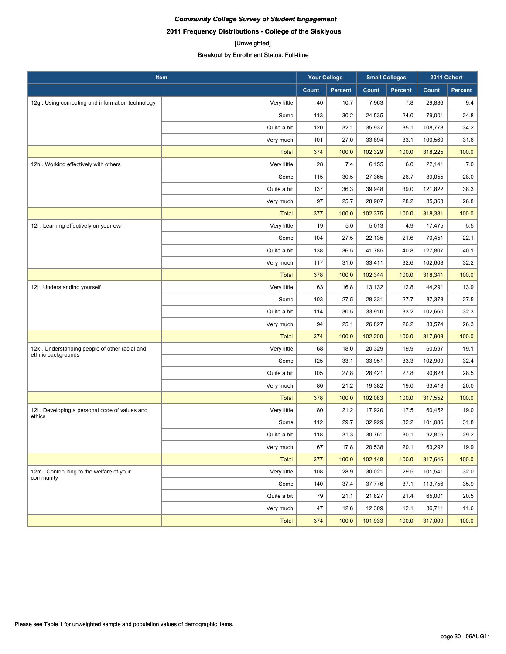#### [Unweighted]

| Item                                                                |              | <b>Your College</b> |                | <b>Small Colleges</b> |                | 2011 Cohort |         |
|---------------------------------------------------------------------|--------------|---------------------|----------------|-----------------------|----------------|-------------|---------|
|                                                                     |              | Count               | <b>Percent</b> | Count                 | <b>Percent</b> | Count       | Percent |
| 12g. Using computing and information technology                     | Very little  | 40                  | 10.7           | 7,963                 | 7.8            | 29,886      | 9.4     |
|                                                                     | Some         | 113                 | 30.2           | 24,535                | 24.0           | 79,001      | 24.8    |
|                                                                     | Quite a bit  | 120                 | 32.1           | 35,937                | 35.1           | 108,778     | 34.2    |
|                                                                     | Very much    | 101                 | 27.0           | 33,894                | 33.1           | 100,560     | 31.6    |
|                                                                     | <b>Total</b> | 374                 | 100.0          | 102,329               | 100.0          | 318,225     | 100.0   |
| 12h. Working effectively with others                                | Very little  | 28                  | 7.4            | 6,155                 | 6.0            | 22,141      | 7.0     |
|                                                                     | Some         | 115                 | 30.5           | 27,365                | 26.7           | 89,055      | 28.0    |
|                                                                     | Quite a bit  | 137                 | 36.3           | 39,948                | 39.0           | 121,822     | 38.3    |
|                                                                     | Very much    | 97                  | 25.7           | 28,907                | 28.2           | 85,363      | 26.8    |
|                                                                     | <b>Total</b> | 377                 | 100.0          | 102,375               | 100.0          | 318,381     | 100.0   |
| 12i . Learning effectively on your own                              | Very little  | 19                  | 5.0            | 5,013                 | 4.9            | 17,475      | 5.5     |
|                                                                     | Some         | 104                 | 27.5           | 22,135                | 21.6           | 70,451      | 22.1    |
|                                                                     | Quite a bit  | 138                 | 36.5           | 41,785                | 40.8           | 127,807     | 40.1    |
|                                                                     | Very much    | 117                 | 31.0           | 33,411                | 32.6           | 102,608     | 32.2    |
|                                                                     | <b>Total</b> | 378                 | 100.0          | 102,344               | 100.0          | 318,341     | 100.0   |
| 12j. Understanding yourself                                         | Very little  | 63                  | 16.8           | 13,132                | 12.8           | 44,291      | 13.9    |
|                                                                     | Some         | 103                 | 27.5           | 28,331                | 27.7           | 87,378      | 27.5    |
|                                                                     | Quite a bit  | 114                 | 30.5           | 33,910                | 33.2           | 102,660     | 32.3    |
|                                                                     | Very much    | 94                  | 25.1           | 26,827                | 26.2           | 83,574      | 26.3    |
|                                                                     | <b>Total</b> | 374                 | 100.0          | 102,200               | 100.0          | 317,903     | 100.0   |
| 12k. Understanding people of other racial and<br>ethnic backgrounds | Very little  | 68                  | 18.0           | 20,329                | 19.9           | 60,597      | 19.1    |
|                                                                     | Some         | 125                 | 33.1           | 33,951                | 33.3           | 102,909     | 32.4    |
|                                                                     | Quite a bit  | 105                 | 27.8           | 28,421                | 27.8           | 90,628      | 28.5    |
|                                                                     | Very much    | 80                  | 21.2           | 19,382                | 19.0           | 63,418      | 20.0    |
|                                                                     | <b>Total</b> | 378                 | 100.0          | 102,083               | 100.0          | 317,552     | 100.0   |
| 12I. Developing a personal code of values and<br>ethics             | Very little  | 80                  | 21.2           | 17,920                | 17.5           | 60,452      | 19.0    |
|                                                                     | Some         | 112                 | 29.7           | 32,929                | 32.2           | 101,086     | 31.8    |
|                                                                     | Quite a bit  | 118                 | 31.3           | 30,761                | 30.1           | 92,816      | 29.2    |
|                                                                     | Very much    | 67                  | 17.8           | 20,538                | 20.1           | 63,292      | 19.9    |
|                                                                     | <b>Total</b> | 377                 | 100.0          | 102,148               | 100.0          | 317,646     | 100.0   |
| 12m. Contributing to the welfare of your<br>community               | Very little  | 108                 | 28.9           | 30,021                | 29.5           | 101,541     | 32.0    |
|                                                                     | Some         | 140                 | 37.4           | 37,776                | 37.1           | 113,756     | 35.9    |
|                                                                     | Quite a bit  | 79                  | 21.1           | 21,827                | 21.4           | 65,001      | 20.5    |
|                                                                     | Very much    | 47                  | 12.6           | 12,309                | 12.1           | 36,711      | 11.6    |
|                                                                     | <b>Total</b> | 374                 | 100.0          | 101,933               | 100.0          | 317,009     | 100.0   |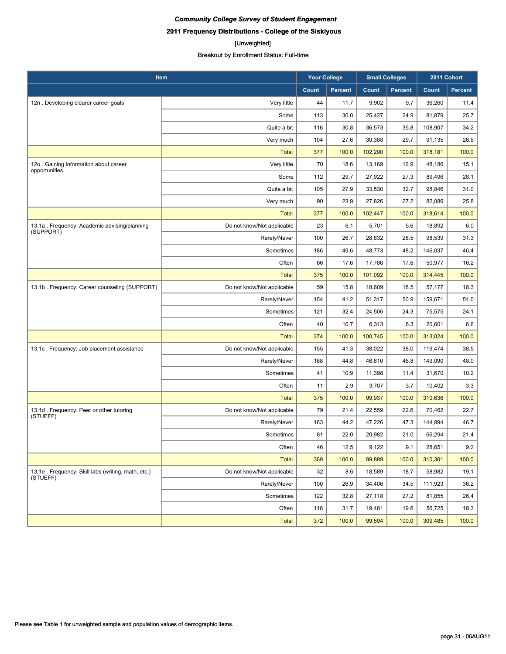## [Unweighted]

| Item                                                           |                            | <b>Your College</b> |                | <b>Small Colleges</b> |                | 2011 Cohort |         |
|----------------------------------------------------------------|----------------------------|---------------------|----------------|-----------------------|----------------|-------------|---------|
|                                                                |                            | Count               | <b>Percent</b> | Count                 | <b>Percent</b> | Count       | Percent |
| 12n. Developing clearer career goals                           | Very little                | 44                  | 11.7           | 9,902                 | 9.7            | 36,260      | 11.4    |
|                                                                | Some                       | 113                 | 30.0           | 25,427                | 24.9           | 81,879      | 25.7    |
|                                                                | Quite a bit                | 116                 | 30.8           | 36,573                | 35.8           | 108.907     | 34.2    |
|                                                                | Very much                  | 104                 | 27.6           | 30,388                | 29.7           | 91,135      | 28.6    |
|                                                                | <b>Total</b>               | 377                 | 100.0          | 102,290               | 100.0          | 318,181     | 100.0   |
| 12o. Gaining information about career<br>opportunities         | Very little                | 70                  | 18.6           | 13,169                | 12.9           | 48,186      | 15.1    |
|                                                                | Some                       | 112                 | 29.7           | 27,922                | 27.3           | 89,496      | 28.1    |
|                                                                | Quite a bit                | 105                 | 27.9           | 33,530                | 32.7           | 98,846      | 31.0    |
|                                                                | Very much                  | 90                  | 23.9           | 27,826                | 27.2           | 82,086      | 25.8    |
|                                                                | <b>Total</b>               | 377                 | 100.0          | 102,447               | 100.0          | 318,614     | 100.0   |
| 13.1a. Frequency: Academic advising/planning<br>(SUPPORT)      | Do not know/Not applicable | 23                  | 6.1            | 5,701                 | 5.6            | 18,892      | 6.0     |
|                                                                | Rarely/Never               | 100                 | 26.7           | 28,832                | 28.5           | 98,539      | 31.3    |
|                                                                | Sometimes                  | 186                 | 49.6           | 48.773                | 48.2           | 146,037     | 46.4    |
|                                                                | Often                      | 66                  | 17.6           | 17,786                | 17.6           | 50,977      | 16.2    |
|                                                                | Total                      | 375                 | 100.0          | 101,092               | 100.0          | 314,445     | 100.0   |
| 13.1b. Frequency: Career counseling (SUPPORT)                  | Do not know/Not applicable | 59                  | 15.8           | 18,609                | 18.5           | 57,177      | 18.3    |
|                                                                | Rarely/Never               | 154                 | 41.2           | 51,317                | 50.9           | 159,671     | 51.0    |
|                                                                | Sometimes                  | 121                 | 32.4           | 24,506                | 24.3           | 75,575      | 24.1    |
|                                                                | Often                      | 40                  | 10.7           | 6,313                 | 6.3            | 20,601      | 6.6     |
|                                                                | <b>Total</b>               | 374                 | 100.0          | 100,745               | 100.0          | 313,024     | 100.0   |
| 13.1c. Frequency: Job placement assistance                     | Do not know/Not applicable | 155                 | 41.3           | 38,022                | 38.0           | 119,474     | 38.5    |
|                                                                | Rarely/Never               | 168                 | 44.8           | 46,810                | 46.8           | 149,090     | 48.0    |
|                                                                | Sometimes                  | 41                  | 10.9           | 11,398                | 11.4           | 31,670      | 10.2    |
|                                                                | Often                      | 11                  | 2.9            | 3,707                 | 3.7            | 10,402      | 3.3     |
|                                                                | <b>Total</b>               | 375                 | 100.0          | 99,937                | 100.0          | 310,636     | 100.0   |
| 13.1d. Frequency: Peer or other tutoring<br>(STUEFF)           | Do not know/Not applicable | 79                  | 21.4           | 22,559                | 22.6           | 70,462      | 22.7    |
|                                                                | Rarely/Never               | 163                 | 44.2           | 47,226                | 47.3           | 144,894     | 46.7    |
|                                                                | Sometimes                  | 81                  | 22.0           | 20,982                | 21.0           | 66,294      | 21.4    |
|                                                                | Often                      | 46                  | 12.5           | 9,122                 | 9.1            | 28,651      | 9.2     |
|                                                                | Total                      | 369                 | 100.0          | 99,889                | 100.0          | 310,301     | 100.0   |
| 13.1e. Frequency: Skill labs (writing, math, etc.)<br>(STUEFF) | Do not know/Not applicable | 32                  | 8.6            | 18,589                | 18.7           | 58,982      | 19.1    |
|                                                                | Rarely/Never               | 100                 | 26.9           | 34,406                | 34.5           | 111,923     | 36.2    |
|                                                                | Sometimes                  | 122                 | 32.8           | 27,118                | 27.2           | 81,855      | 26.4    |
|                                                                | Often                      | 118                 | 31.7           | 19,481                | 19.6           | 56,725      | 18.3    |
|                                                                | <b>Total</b>               | 372                 | 100.0          | 99,594                | 100.0          | 309,485     | 100.0   |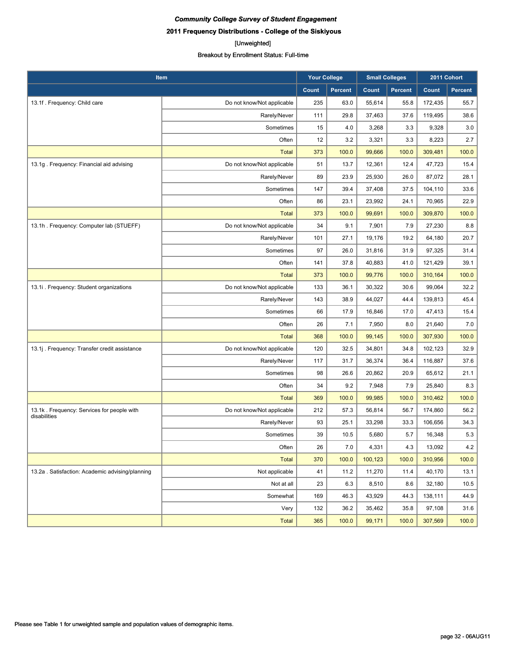## [Unweighted]

| Item                                                       |                            | <b>Your College</b> |                | <b>Small Colleges</b> |                | 2011 Cohort |         |
|------------------------------------------------------------|----------------------------|---------------------|----------------|-----------------------|----------------|-------------|---------|
|                                                            |                            | Count               | <b>Percent</b> | Count                 | <b>Percent</b> | Count       | Percent |
| 13.1f. Frequency: Child care                               | Do not know/Not applicable | 235                 | 63.0           | 55,614                | 55.8           | 172,435     | 55.7    |
|                                                            | Rarely/Never               | 111                 | 29.8           | 37,463                | 37.6           | 119,495     | 38.6    |
|                                                            | Sometimes                  | 15                  | 4.0            | 3,268                 | 3.3            | 9,328       | 3.0     |
|                                                            | Often                      | 12                  | 3.2            | 3,321                 | 3.3            | 8,223       | 2.7     |
|                                                            | <b>Total</b>               | 373                 | 100.0          | 99,666                | 100.0          | 309,481     | 100.0   |
| 13.1g. Frequency: Financial aid advising                   | Do not know/Not applicable | 51                  | 13.7           | 12,361                | 12.4           | 47,723      | 15.4    |
|                                                            | Rarely/Never               | 89                  | 23.9           | 25,930                | 26.0           | 87,072      | 28.1    |
|                                                            | Sometimes                  | 147                 | 39.4           | 37,408                | 37.5           | 104,110     | 33.6    |
|                                                            | Often                      | 86                  | 23.1           | 23,992                | 24.1           | 70,965      | 22.9    |
|                                                            | <b>Total</b>               | 373                 | 100.0          | 99,691                | 100.0          | 309,870     | 100.0   |
| 13.1h. Frequency: Computer lab (STUEFF)                    | Do not know/Not applicable | 34                  | 9.1            | 7,901                 | 7.9            | 27,230      | 8.8     |
|                                                            | Rarely/Never               | 101                 | 27.1           | 19,176                | 19.2           | 64,180      | 20.7    |
|                                                            | Sometimes                  | 97                  | 26.0           | 31,816                | 31.9           | 97,325      | 31.4    |
|                                                            | Often                      | 141                 | 37.8           | 40,883                | 41.0           | 121,429     | 39.1    |
|                                                            | <b>Total</b>               | 373                 | 100.0          | 99,776                | 100.0          | 310,164     | 100.0   |
| 13.1i. Frequency: Student organizations                    | Do not know/Not applicable | 133                 | 36.1           | 30,322                | 30.6           | 99,064      | 32.2    |
|                                                            | Rarely/Never               | 143                 | 38.9           | 44,027                | 44.4           | 139,813     | 45.4    |
|                                                            | Sometimes                  | 66                  | 17.9           | 16,846                | 17.0           | 47,413      | 15.4    |
|                                                            | Often                      | 26                  | 7.1            | 7,950                 | 8.0            | 21,640      | 7.0     |
|                                                            | <b>Total</b>               | 368                 | 100.0          | 99,145                | 100.0          | 307,930     | 100.0   |
| 13.1j. Frequency: Transfer credit assistance               | Do not know/Not applicable | 120                 | 32.5           | 34,801                | 34.8           | 102,123     | 32.9    |
|                                                            | Rarely/Never               | 117                 | 31.7           | 36,374                | 36.4           | 116,887     | 37.6    |
|                                                            | Sometimes                  | 98                  | 26.6           | 20,862                | 20.9           | 65,612      | 21.1    |
|                                                            | Often                      | 34                  | 9.2            | 7,948                 | 7.9            | 25,840      | 8.3     |
|                                                            | <b>Total</b>               | 369                 | 100.0          | 99,985                | 100.0          | 310,462     | 100.0   |
| 13.1k. Frequency: Services for people with<br>disabilities | Do not know/Not applicable | 212                 | 57.3           | 56,814                | 56.7           | 174,860     | 56.2    |
|                                                            | Rarely/Never               | 93                  | 25.1           | 33,298                | 33.3           | 106,656     | 34.3    |
|                                                            | Sometimes                  | 39                  | 10.5           | 5,680                 | 5.7            | 16,348      | 5.3     |
|                                                            | Often                      | 26                  | 7.0            | 4,331                 | 4.3            | 13,092      | 4.2     |
|                                                            | <b>Total</b>               | 370                 | 100.0          | 100,123               | 100.0          | 310,956     | 100.0   |
| 13.2a . Satisfaction: Academic advising/planning           | Not applicable             | 41                  | 11.2           | 11,270                | 11.4           | 40,170      | 13.1    |
|                                                            | Not at all                 | 23                  | 6.3            | 8,510                 | 8.6            | 32,180      | 10.5    |
|                                                            | Somewhat                   | 169                 | 46.3           | 43,929                | 44.3           | 138,111     | 44.9    |
|                                                            | Very                       | 132                 | 36.2           | 35,462                | 35.8           | 97,108      | 31.6    |
|                                                            | Total                      | 365                 | 100.0          | 99,171                | 100.0          | 307,569     | 100.0   |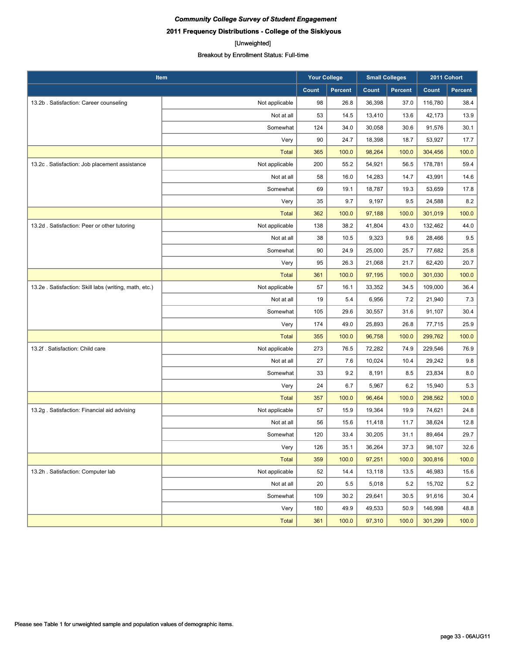## [Unweighted]

| Item                                                  |                | <b>Your College</b> |                | <b>Small Colleges</b> |                | 2011 Cohort |                |
|-------------------------------------------------------|----------------|---------------------|----------------|-----------------------|----------------|-------------|----------------|
|                                                       |                | Count               | <b>Percent</b> | Count                 | <b>Percent</b> | Count       | <b>Percent</b> |
| 13.2b. Satisfaction: Career counseling                | Not applicable | 98                  | 26.8           | 36,398                | 37.0           | 116,780     | 38.4           |
|                                                       | Not at all     | 53                  | 14.5           | 13,410                | 13.6           | 42,173      | 13.9           |
|                                                       | Somewhat       | 124                 | 34.0           | 30,058                | 30.6           | 91,576      | 30.1           |
|                                                       | Very           | 90                  | 24.7           | 18,398                | 18.7           | 53,927      | 17.7           |
|                                                       | <b>Total</b>   | 365                 | 100.0          | 98,264                | 100.0          | 304,456     | 100.0          |
| 13.2c. Satisfaction: Job placement assistance         | Not applicable | 200                 | 55.2           | 54,921                | 56.5           | 178,781     | 59.4           |
|                                                       | Not at all     | 58                  | 16.0           | 14,283                | 14.7           | 43,991      | 14.6           |
|                                                       | Somewhat       | 69                  | 19.1           | 18,787                | 19.3           | 53,659      | 17.8           |
|                                                       | Very           | 35                  | 9.7            | 9,197                 | 9.5            | 24,588      | 8.2            |
|                                                       | <b>Total</b>   | 362                 | 100.0          | 97,188                | 100.0          | 301,019     | 100.0          |
| 13.2d. Satisfaction: Peer or other tutoring           | Not applicable | 138                 | 38.2           | 41,804                | 43.0           | 132,462     | 44.0           |
|                                                       | Not at all     | 38                  | 10.5           | 9,323                 | 9.6            | 28,466      | 9.5            |
|                                                       | Somewhat       | 90                  | 24.9           | 25,000                | 25.7           | 77,682      | 25.8           |
|                                                       | Very           | 95                  | 26.3           | 21,068                | 21.7           | 62,420      | 20.7           |
|                                                       | <b>Total</b>   | 361                 | 100.0          | 97,195                | 100.0          | 301,030     | 100.0          |
| 13.2e. Satisfaction: Skill labs (writing, math, etc.) | Not applicable | 57                  | 16.1           | 33,352                | 34.5           | 109,000     | 36.4           |
|                                                       | Not at all     | 19                  | 5.4            | 6,956                 | 7.2            | 21,940      | 7.3            |
|                                                       | Somewhat       | 105                 | 29.6           | 30,557                | 31.6           | 91,107      | 30.4           |
|                                                       | Very           | 174                 | 49.0           | 25,893                | 26.8           | 77,715      | 25.9           |
|                                                       | <b>Total</b>   | 355                 | 100.0          | 96,758                | 100.0          | 299,762     | 100.0          |
| 13.2f. Satisfaction: Child care                       | Not applicable | 273                 | 76.5           | 72,282                | 74.9           | 229,546     | 76.9           |
|                                                       | Not at all     | 27                  | 7.6            | 10,024                | 10.4           | 29,242      | 9.8            |
|                                                       | Somewhat       | 33                  | 9.2            | 8,191                 | 8.5            | 23,834      | 8.0            |
|                                                       | Very           | 24                  | 6.7            | 5,967                 | 6.2            | 15,940      | 5.3            |
|                                                       | <b>Total</b>   | 357                 | 100.0          | 96,464                | 100.0          | 298,562     | 100.0          |
| 13.2g . Satisfaction: Financial aid advising          | Not applicable | 57                  | 15.9           | 19,364                | 19.9           | 74,621      | 24.8           |
|                                                       | Not at all     | 56                  | 15.6           | 11,418                | 11.7           | 38,624      | 12.8           |
|                                                       | Somewhat       | 120                 | 33.4           | 30,205                | 31.1           | 89,464      | 29.7           |
|                                                       | Very           | 126                 | 35.1           | 36,264                | 37.3           | 98,107      | 32.6           |
|                                                       | <b>Total</b>   | 359                 | 100.0          | 97,251                | 100.0          | 300,816     | 100.0          |
| 13.2h. Satisfaction: Computer lab                     | Not applicable | 52                  | 14.4           | 13,118                | 13.5           | 46,983      | 15.6           |
|                                                       | Not at all     | 20                  | 5.5            | 5,018                 | 5.2            | 15,702      | 5.2            |
|                                                       | Somewhat       | 109                 | 30.2           | 29,641                | 30.5           | 91,616      | 30.4           |
|                                                       | Very           | 180                 | 49.9           | 49,533                | 50.9           | 146,998     | 48.8           |
|                                                       | <b>Total</b>   | 361                 | 100.0          | 97,310                | 100.0          | 301,299     | 100.0          |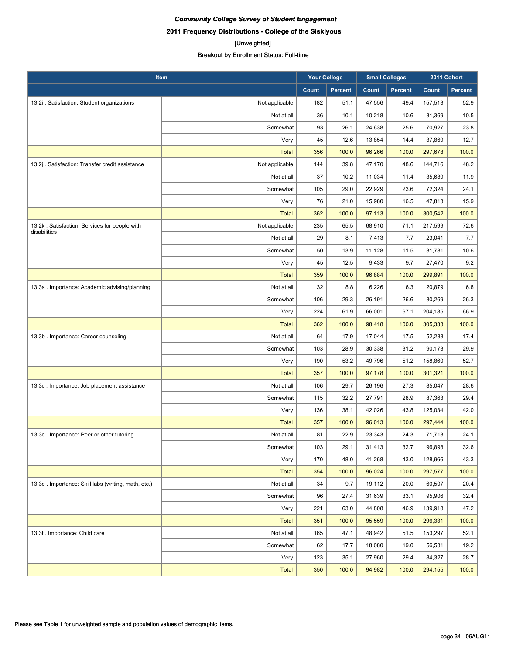## [Unweighted]

| Item                                                          |                | <b>Your College</b> |                | <b>Small Colleges</b> |                | 2011 Cohort |                |
|---------------------------------------------------------------|----------------|---------------------|----------------|-----------------------|----------------|-------------|----------------|
|                                                               |                | <b>Count</b>        | <b>Percent</b> | Count                 | <b>Percent</b> | Count       | <b>Percent</b> |
| 13.2i . Satisfaction: Student organizations                   | Not applicable | 182                 | 51.1           | 47,556                | 49.4           | 157,513     | 52.9           |
|                                                               | Not at all     | 36                  | 10.1           | 10,218                | 10.6           | 31,369      | 10.5           |
|                                                               | Somewhat       | 93                  | 26.1           | 24,638                | 25.6           | 70,927      | 23.8           |
|                                                               | Very           | 45                  | 12.6           | 13,854                | 14.4           | 37,869      | 12.7           |
|                                                               | <b>Total</b>   | 356                 | 100.0          | 96,266                | 100.0          | 297,678     | 100.0          |
| 13.2j . Satisfaction: Transfer credit assistance              | Not applicable | 144                 | 39.8           | 47,170                | 48.6           | 144,716     | 48.2           |
|                                                               | Not at all     | 37                  | 10.2           | 11,034                | 11.4           | 35,689      | 11.9           |
|                                                               | Somewhat       | 105                 | 29.0           | 22,929                | 23.6           | 72,324      | 24.1           |
|                                                               | Very           | 76                  | 21.0           | 15,980                | 16.5           | 47,813      | 15.9           |
|                                                               | <b>Total</b>   | 362                 | 100.0          | 97,113                | 100.0          | 300,542     | 100.0          |
| 13.2k. Satisfaction: Services for people with<br>disabilities | Not applicable | 235                 | 65.5           | 68,910                | 71.1           | 217,599     | 72.6           |
|                                                               | Not at all     | 29                  | 8.1            | 7,413                 | 7.7            | 23,041      | 7.7            |
|                                                               | Somewhat       | 50                  | 13.9           | 11,128                | 11.5           | 31,781      | 10.6           |
|                                                               | Very           | 45                  | 12.5           | 9,433                 | 9.7            | 27,470      | 9.2            |
|                                                               | <b>Total</b>   | 359                 | 100.0          | 96,884                | 100.0          | 299,891     | 100.0          |
| 13.3a . Importance: Academic advising/planning                | Not at all     | 32                  | 8.8            | 6,226                 | 6.3            | 20,879      | 6.8            |
|                                                               | Somewhat       | 106                 | 29.3           | 26,191                | 26.6           | 80,269      | 26.3           |
|                                                               | Very           | 224                 | 61.9           | 66,001                | 67.1           | 204,185     | 66.9           |
|                                                               | <b>Total</b>   | 362                 | 100.0          | 98,418                | 100.0          | 305,333     | 100.0          |
| 13.3b. Importance: Career counseling                          | Not at all     | 64                  | 17.9           | 17,044                | 17.5           | 52,288      | 17.4           |
|                                                               | Somewhat       | 103                 | 28.9           | 30,338                | 31.2           | 90,173      | 29.9           |
|                                                               | Very           | 190                 | 53.2           | 49,796                | 51.2           | 158,860     | 52.7           |
|                                                               | <b>Total</b>   | 357                 | 100.0          | 97,178                | 100.0          | 301,321     | 100.0          |
| 13.3c. Importance: Job placement assistance                   | Not at all     | 106                 | 29.7           | 26,196                | 27.3           | 85,047      | 28.6           |
|                                                               | Somewhat       | 115                 | 32.2           | 27,791                | 28.9           | 87,363      | 29.4           |
|                                                               | Very           | 136                 | 38.1           | 42,026                | 43.8           | 125,034     | 42.0           |
|                                                               | <b>Total</b>   | 357                 | 100.0          | 96,013                | 100.0          | 297,444     | 100.0          |
| 13.3d. Importance: Peer or other tutoring                     | Not at all     | 81                  | 22.9           | 23,343                | 24.3           | 71,713      | 24.1           |
|                                                               | Somewhat       | 103                 | 29.1           | 31,413                | 32.7           | 96,898      | 32.6           |
|                                                               | Very           | 170                 | 48.0           | 41,268                | 43.0           | 128,966     | 43.3           |
|                                                               | <b>Total</b>   | 354                 | 100.0          | 96,024                | 100.0          | 297,577     | 100.0          |
| 13.3e . Importance: Skill labs (writing, math, etc.)          | Not at all     | 34                  | 9.7            | 19,112                | 20.0           | 60,507      | 20.4           |
|                                                               | Somewhat       | 96                  | 27.4           | 31,639                | 33.1           | 95,906      | 32.4           |
|                                                               | Very           | 221                 | 63.0           | 44,808                | 46.9           | 139,918     | 47.2           |
|                                                               | <b>Total</b>   | 351                 | 100.0          | 95,559                | 100.0          | 296,331     | 100.0          |
| 13.3f. Importance: Child care                                 | Not at all     | 165                 | 47.1           | 48,942                | 51.5           | 153,297     | 52.1           |
|                                                               | Somewhat       | 62                  | 17.7           | 18,080                | 19.0           | 56,531      | 19.2           |
|                                                               | Very           | 123                 | 35.1           | 27,960                | 29.4           | 84,327      | 28.7           |
|                                                               | <b>Total</b>   | 350                 | 100.0          | 94,982                | 100.0          | 294,155     | 100.0          |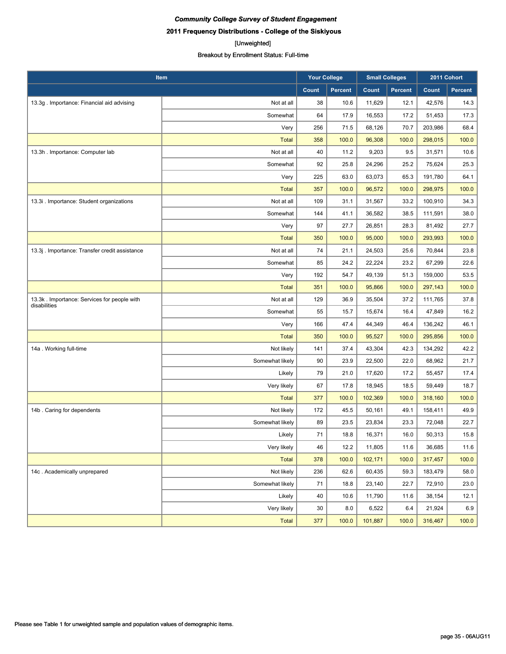## [Unweighted]

| Item                                                        |                 | <b>Your College</b> |                | <b>Small Colleges</b> |                | 2011 Cohort |                |
|-------------------------------------------------------------|-----------------|---------------------|----------------|-----------------------|----------------|-------------|----------------|
|                                                             |                 | Count               | <b>Percent</b> | Count                 | <b>Percent</b> | Count       | <b>Percent</b> |
| 13.3g . Importance: Financial aid advising                  | Not at all      | 38                  | 10.6           | 11,629                | 12.1           | 42,576      | 14.3           |
|                                                             | Somewhat        | 64                  | 17.9           | 16,553                | 17.2           | 51,453      | 17.3           |
|                                                             | Very            | 256                 | 71.5           | 68,126                | 70.7           | 203,986     | 68.4           |
|                                                             | <b>Total</b>    | 358                 | 100.0          | 96,308                | 100.0          | 298,015     | 100.0          |
| 13.3h. Importance: Computer lab                             | Not at all      | 40                  | 11.2           | 9,203                 | 9.5            | 31,571      | 10.6           |
|                                                             | Somewhat        | 92                  | 25.8           | 24,296                | 25.2           | 75,624      | 25.3           |
|                                                             | Very            | 225                 | 63.0           | 63,073                | 65.3           | 191,780     | 64.1           |
|                                                             | <b>Total</b>    | 357                 | 100.0          | 96,572                | 100.0          | 298,975     | 100.0          |
| 13.3i . Importance: Student organizations                   | Not at all      | 109                 | 31.1           | 31,567                | 33.2           | 100,910     | 34.3           |
|                                                             | Somewhat        | 144                 | 41.1           | 36,582                | 38.5           | 111,591     | 38.0           |
|                                                             | Very            | 97                  | 27.7           | 26,851                | 28.3           | 81,492      | 27.7           |
|                                                             | <b>Total</b>    | 350                 | 100.0          | 95,000                | 100.0          | 293,993     | 100.0          |
| 13.3j . Importance: Transfer credit assistance              | Not at all      | 74                  | 21.1           | 24,503                | 25.6           | 70,844      | 23.8           |
|                                                             | Somewhat        | 85                  | 24.2           | 22,224                | 23.2           | 67,299      | 22.6           |
|                                                             | Very            | 192                 | 54.7           | 49,139                | 51.3           | 159,000     | 53.5           |
|                                                             | <b>Total</b>    | 351                 | 100.0          | 95,866                | 100.0          | 297,143     | 100.0          |
| 13.3k. Importance: Services for people with<br>disabilities | Not at all      | 129                 | 36.9           | 35,504                | 37.2           | 111,765     | 37.8           |
|                                                             | Somewhat        | 55                  | 15.7           | 15,674                | 16.4           | 47,849      | 16.2           |
|                                                             | Very            | 166                 | 47.4           | 44,349                | 46.4           | 136,242     | 46.1           |
|                                                             | <b>Total</b>    | 350                 | 100.0          | 95,527                | 100.0          | 295,856     | 100.0          |
| 14a. Working full-time                                      | Not likely      | 141                 | 37.4           | 43,304                | 42.3           | 134,292     | 42.2           |
|                                                             | Somewhat likely | 90                  | 23.9           | 22,500                | 22.0           | 68,962      | 21.7           |
|                                                             | Likely          | 79                  | 21.0           | 17,620                | 17.2           | 55,457      | 17.4           |
|                                                             | Very likely     | 67                  | 17.8           | 18,945                | 18.5           | 59,449      | 18.7           |
|                                                             | <b>Total</b>    | 377                 | 100.0          | 102,369               | 100.0          | 318,160     | 100.0          |
| 14b. Caring for dependents                                  | Not likely      | 172                 | 45.5           | 50,161                | 49.1           | 158,411     | 49.9           |
|                                                             | Somewhat likely | 89                  | 23.5           | 23,834                | 23.3           | 72,048      | 22.7           |
|                                                             | Likely          | 71                  | 18.8           | 16,371                | 16.0           | 50,313      | 15.8           |
|                                                             | Very likely     | 46                  | 12.2           | 11,805                | 11.6           | 36,685      | 11.6           |
|                                                             | <b>Total</b>    | 378                 | 100.0          | 102,171               | 100.0          | 317,457     | 100.0          |
| 14c. Academically unprepared                                | Not likely      | 236                 | 62.6           | 60,435                | 59.3           | 183,479     | 58.0           |
|                                                             | Somewhat likely | 71                  | 18.8           | 23,140                | 22.7           | 72,910      | 23.0           |
|                                                             | Likely          | 40                  | 10.6           | 11,790                | 11.6           | 38,154      | 12.1           |
|                                                             | Very likely     | 30                  | 8.0            | 6,522                 | 6.4            | 21,924      | 6.9            |
|                                                             | Total           | 377                 | 100.0          | 101,887               | 100.0          | 316,467     | 100.0          |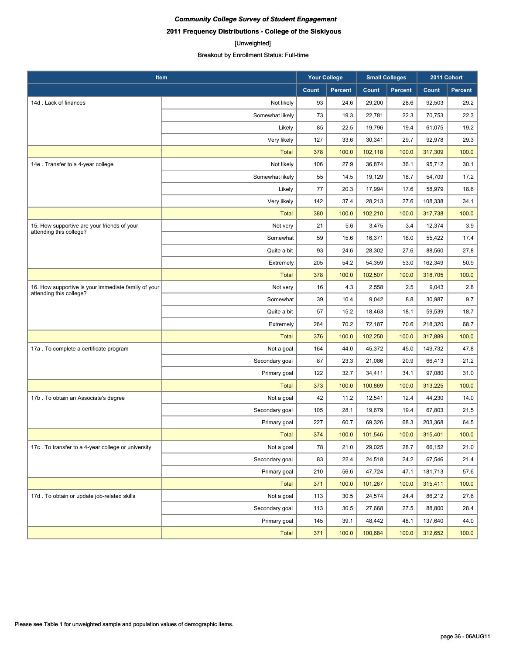[Unweighted] Breakout by Enrollment Status: Full-time

| Item                                                                           |                 | <b>Your College</b> |                | <b>Small Colleges</b> |                | 2011 Cohort |                |
|--------------------------------------------------------------------------------|-----------------|---------------------|----------------|-----------------------|----------------|-------------|----------------|
|                                                                                |                 | Count               | <b>Percent</b> | Count                 | <b>Percent</b> | Count       | <b>Percent</b> |
| 14d. Lack of finances                                                          | Not likely      | 93                  | 24.6           | 29,200                | 28.6           | 92,503      | 29.2           |
|                                                                                | Somewhat likely | 73                  | 19.3           | 22,781                | 22.3           | 70,753      | 22.3           |
|                                                                                | Likely          | 85                  | 22.5           | 19,796                | 19.4           | 61,075      | 19.2           |
|                                                                                | Very likely     | 127                 | 33.6           | 30,341                | 29.7           | 92,978      | 29.3           |
|                                                                                | <b>Total</b>    | 378                 | 100.0          | 102,118               | 100.0          | 317,309     | 100.0          |
| 14e. Transfer to a 4-year college                                              | Not likely      | 106                 | 27.9           | 36,874                | 36.1           | 95,712      | 30.1           |
|                                                                                | Somewhat likely | 55                  | 14.5           | 19,129                | 18.7           | 54,709      | 17.2           |
|                                                                                | Likely          | 77                  | 20.3           | 17,994                | 17.6           | 58,979      | 18.6           |
|                                                                                | Very likely     | 142                 | 37.4           | 28,213                | 27.6           | 108,338     | 34.1           |
|                                                                                | <b>Total</b>    | 380                 | 100.0          | 102,210               | 100.0          | 317,738     | 100.0          |
| 15. How supportive are your friends of your<br>attending this college?         | Not very        | 21                  | 5.6            | 3,475                 | 3.4            | 12,374      | 3.9            |
|                                                                                | Somewhat        | 59                  | 15.6           | 16,371                | 16.0           | 55,422      | 17.4           |
|                                                                                | Quite a bit     | 93                  | 24.6           | 28,302                | 27.6           | 88,560      | 27.8           |
|                                                                                | Extremely       | 205                 | 54.2           | 54,359                | 53.0           | 162,349     | 50.9           |
|                                                                                | <b>Total</b>    | 378                 | 100.0          | 102,507               | 100.0          | 318,705     | 100.0          |
| 16. How supportive is your immediate family of your<br>attending this college? | Not very        | 16                  | 4.3            | 2,558                 | 2.5            | 9,043       | 2.8            |
|                                                                                | Somewhat        | 39                  | 10.4           | 9,042                 | 8.8            | 30,987      | 9.7            |
|                                                                                | Quite a bit     | 57                  | 15.2           | 18,463                | 18.1           | 59,539      | 18.7           |
|                                                                                | Extremely       | 264                 | 70.2           | 72,187                | 70.6           | 218,320     | 68.7           |
|                                                                                | <b>Total</b>    | 376                 | 100.0          | 102,250               | 100.0          | 317,889     | 100.0          |
| 17a . To complete a certificate program                                        | Not a goal      | 164                 | 44.0           | 45,372                | 45.0           | 149,732     | 47.8           |
|                                                                                | Secondary goal  | 87                  | 23.3           | 21,086                | 20.9           | 66,413      | 21.2           |
|                                                                                | Primary goal    | 122                 | 32.7           | 34,411                | 34.1           | 97,080      | 31.0           |
|                                                                                | <b>Total</b>    | 373                 | 100.0          | 100,869               | 100.0          | 313,225     | 100.0          |
| 17b. To obtain an Associate's degree                                           | Not a goal      | 42                  | 11.2           | 12,541                | 12.4           | 44,230      | 14.0           |
|                                                                                | Secondary goal  | 105                 | 28.1           | 19,679                | 19.4           | 67,803      | 21.5           |
|                                                                                | Primary goal    | 227                 | 60.7           | 69,326                | 68.3           | 203,368     | 64.5           |
|                                                                                | <b>Total</b>    | 374                 | 100.0          | 101,546               | 100.0          | 315,401     | 100.0          |
| 17c. To transfer to a 4-year college or university                             | Not a goal      | 78                  | 21.0           | 29,025                | 28.7           | 66,152      | 21.0           |
|                                                                                | Secondary goal  | 83                  | 22.4           | 24,518                | 24.2           | 67,546      | 21.4           |
|                                                                                | Primary goal    | 210                 | 56.6           | 47,724                | 47.1           | 181,713     | 57.6           |
|                                                                                | Total           | 371                 | 100.0          | 101,267               | 100.0          | 315,411     | 100.0          |
| 17d. To obtain or update job-related skills                                    | Not a goal      | 113                 | 30.5           | 24,574                | 24.4           | 86,212      | 27.6           |
|                                                                                | Secondary goal  | 113                 | 30.5           | 27,668                | 27.5           | 88,800      | 28.4           |
|                                                                                | Primary goal    | 145                 | 39.1           | 48,442                | 48.1           | 137,640     | 44.0           |
|                                                                                | <b>Total</b>    | 371                 | 100.0          | 100,684               | 100.0          | 312,652     | 100.0          |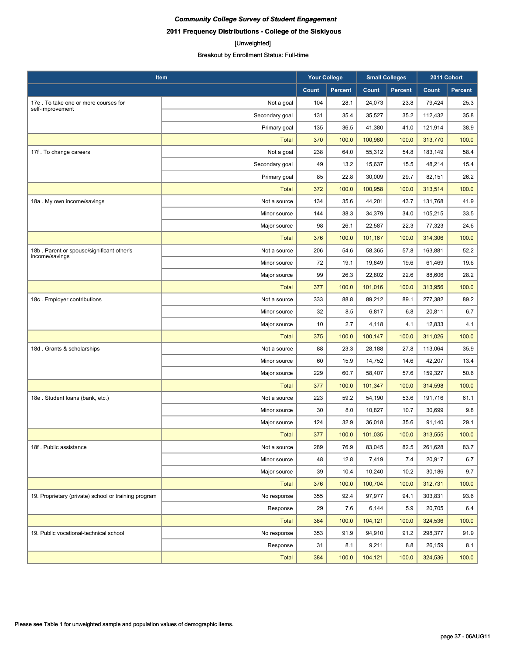## [Unweighted]

| Item                                                        |                | <b>Your College</b> |                | <b>Small Colleges</b> |                | 2011 Cohort |                |
|-------------------------------------------------------------|----------------|---------------------|----------------|-----------------------|----------------|-------------|----------------|
|                                                             |                | <b>Count</b>        | <b>Percent</b> | <b>Count</b>          | <b>Percent</b> | Count       | <b>Percent</b> |
| 17e. To take one or more courses for<br>self-improvement    | Not a goal     | 104                 | 28.1           | 24,073                | 23.8           | 79,424      | 25.3           |
|                                                             | Secondary goal | 131                 | 35.4           | 35,527                | 35.2           | 112,432     | 35.8           |
|                                                             | Primary goal   | 135                 | 36.5           | 41.380                | 41.0           | 121,914     | 38.9           |
|                                                             | <b>Total</b>   | 370                 | 100.0          | 100,980               | 100.0          | 313,770     | 100.0          |
| 17f. To change careers                                      | Not a goal     | 238                 | 64.0           | 55,312                | 54.8           | 183,149     | 58.4           |
|                                                             | Secondary goal | 49                  | 13.2           | 15,637                | 15.5           | 48,214      | 15.4           |
|                                                             | Primary goal   | 85                  | 22.8           | 30,009                | 29.7           | 82,151      | 26.2           |
|                                                             | <b>Total</b>   | 372                 | 100.0          | 100,958               | 100.0          | 313,514     | 100.0          |
| 18a. My own income/savings                                  | Not a source   | 134                 | 35.6           | 44,201                | 43.7           | 131,768     | 41.9           |
|                                                             | Minor source   | 144                 | 38.3           | 34,379                | 34.0           | 105,215     | 33.5           |
|                                                             | Major source   | 98                  | 26.1           | 22,587                | 22.3           | 77,323      | 24.6           |
|                                                             | <b>Total</b>   | 376                 | 100.0          | 101,167               | 100.0          | 314,306     | 100.0          |
| 18b. Parent or spouse/significant other's<br>income/savings | Not a source   | 206                 | 54.6           | 58,365                | 57.8           | 163,881     | 52.2           |
|                                                             | Minor source   | 72                  | 19.1           | 19,849                | 19.6           | 61,469      | 19.6           |
|                                                             | Major source   | 99                  | 26.3           | 22,802                | 22.6           | 88,606      | 28.2           |
|                                                             | <b>Total</b>   | 377                 | 100.0          | 101,016               | 100.0          | 313,956     | 100.0          |
| 18c. Employer contributions                                 | Not a source   | 333                 | 88.8           | 89,212                | 89.1           | 277,382     | 89.2           |
|                                                             | Minor source   | 32                  | 8.5            | 6,817                 | 6.8            | 20,811      | 6.7            |
|                                                             | Major source   | 10                  | 2.7            | 4,118                 | 4.1            | 12,833      | 4.1            |
|                                                             | <b>Total</b>   | 375                 | 100.0          | 100,147               | 100.0          | 311,026     | 100.0          |
| 18d. Grants & scholarships                                  | Not a source   | 88                  | 23.3           | 28,188                | 27.8           | 113,064     | 35.9           |
|                                                             | Minor source   | 60                  | 15.9           | 14,752                | 14.6           | 42,207      | 13.4           |
|                                                             | Major source   | 229                 | 60.7           | 58,407                | 57.6           | 159,327     | 50.6           |
|                                                             | <b>Total</b>   | 377                 | 100.0          | 101,347               | 100.0          | 314,598     | 100.0          |
| 18e. Student Ioans (bank, etc.)                             | Not a source   | 223                 | 59.2           | 54,190                | 53.6           | 191,716     | 61.1           |
|                                                             | Minor source   | 30                  | 8.0            | 10,827                | 10.7           | 30,699      | 9.8            |
|                                                             | Major source   | 124                 | 32.9           | 36,018                | 35.6           | 91,140      | 29.1           |
|                                                             | <b>Total</b>   | 377                 | 100.0          | 101,035               | 100.0          | 313,555     | 100.0          |
| 18f. Public assistance                                      | Not a source   | 289                 | 76.9           | 83,045                | 82.5           | 261,628     | 83.7           |
|                                                             | Minor source   | 48                  | 12.8           | 7,419                 | 7.4            | 20,917      | 6.7            |
|                                                             | Major source   | 39                  | 10.4           | 10,240                | 10.2           | 30,186      | 9.7            |
|                                                             | <b>Total</b>   | 376                 | 100.0          | 100,704               | 100.0          | 312,731     | 100.0          |
| 19. Proprietary (private) school or training program        | No response    | 355                 | 92.4           | 97,977                | 94.1           | 303,831     | 93.6           |
|                                                             | Response       | 29                  | 7.6            | 6,144                 | 5.9            | 20,705      | 6.4            |
|                                                             | Total          | 384                 | 100.0          | 104,121               | 100.0          | 324,536     | 100.0          |
| 19. Public vocational-technical school                      | No response    | 353                 | 91.9           | 94,910                | 91.2           | 298,377     | 91.9           |
|                                                             | Response       | 31                  | 8.1            | 9,211                 | 8.8            | 26,159      | 8.1            |
|                                                             | <b>Total</b>   | 384                 | 100.0          | 104,121               | 100.0          | 324,536     | 100.0          |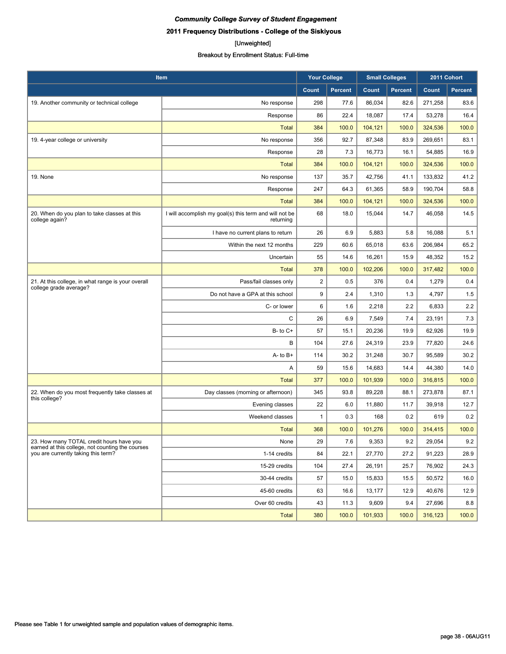## [Unweighted]

| Item                                                                                         |                                                                     | <b>Your College</b> |                | <b>Small Colleges</b> |                | 2011 Cohort |                |
|----------------------------------------------------------------------------------------------|---------------------------------------------------------------------|---------------------|----------------|-----------------------|----------------|-------------|----------------|
|                                                                                              |                                                                     | Count               | <b>Percent</b> | Count                 | <b>Percent</b> | Count       | <b>Percent</b> |
| 19. Another community or technical college                                                   | No response                                                         | 298                 | 77.6           | 86,034                | 82.6           | 271,258     | 83.6           |
|                                                                                              | Response                                                            | 86                  | 22.4           | 18,087                | 17.4           | 53,278      | 16.4           |
|                                                                                              | <b>Total</b>                                                        | 384                 | 100.0          | 104,121               | 100.0          | 324,536     | 100.0          |
| 19. 4-year college or university                                                             | No response                                                         | 356                 | 92.7           | 87,348                | 83.9           | 269,651     | 83.1           |
|                                                                                              | Response                                                            | 28                  | 7.3            | 16,773                | 16.1           | 54,885      | 16.9           |
|                                                                                              | <b>Total</b>                                                        | 384                 | 100.0          | 104,121               | 100.0          | 324,536     | 100.0          |
| 19. None                                                                                     | No response                                                         | 137                 | 35.7           | 42.756                | 41.1           | 133,832     | 41.2           |
|                                                                                              | Response                                                            | 247                 | 64.3           | 61,365                | 58.9           | 190,704     | 58.8           |
|                                                                                              | <b>Total</b>                                                        | 384                 | 100.0          | 104,121               | 100.0          | 324,536     | 100.0          |
| 20. When do you plan to take classes at this<br>college again?                               | I will accomplish my goal(s) this term and will not be<br>returning | 68                  | 18.0           | 15,044                | 14.7           | 46,058      | 14.5           |
|                                                                                              | I have no current plans to return                                   | 26                  | 6.9            | 5,883                 | 5.8            | 16,088      | 5.1            |
|                                                                                              | Within the next 12 months                                           | 229                 | 60.6           | 65,018                | 63.6           | 206.984     | 65.2           |
|                                                                                              | Uncertain                                                           | 55                  | 14.6           | 16,261                | 15.9           | 48,352      | 15.2           |
|                                                                                              | <b>Total</b>                                                        | 378                 | 100.0          | 102,206               | 100.0          | 317,482     | 100.0          |
| 21. At this college, in what range is your overall<br>college grade average?                 | Pass/fail classes only                                              | $\overline{2}$      | 0.5            | 376                   | 0.4            | 1,279       | 0.4            |
|                                                                                              | Do not have a GPA at this school                                    | 9                   | 2.4            | 1,310                 | 1.3            | 4,797       | 1.5            |
|                                                                                              | C- or lower                                                         | 6                   | 1.6            | 2,218                 | 2.2            | 6,833       | 2.2            |
|                                                                                              | C                                                                   | 26                  | 6.9            | 7,549                 | 7.4            | 23,191      | 7.3            |
|                                                                                              | $B - to C +$                                                        | 57                  | 15.1           | 20,236                | 19.9           | 62,926      | 19.9           |
|                                                                                              | B                                                                   | 104                 | 27.6           | 24,319                | 23.9           | 77,820      | 24.6           |
|                                                                                              | $A - to B +$                                                        | 114                 | 30.2           | 31,248                | 30.7           | 95,589      | 30.2           |
|                                                                                              | Α                                                                   | 59                  | 15.6           | 14,683                | 14.4           | 44,380      | 14.0           |
|                                                                                              | Total                                                               | 377                 | 100.0          | 101,939               | 100.0          | 316,815     | 100.0          |
| 22. When do you most frequently take classes at<br>this college?                             | Day classes (morning or afternoon)                                  | 345                 | 93.8           | 89,228                | 88.1           | 273,878     | 87.1           |
|                                                                                              | Evening classes                                                     | 22                  | 6.0            | 11,880                | 11.7           | 39,918      | 12.7           |
|                                                                                              | Weekend classes                                                     | 1                   | 0.3            | 168                   | 0.2            | 619         | 0.2            |
|                                                                                              | Total                                                               | 368                 | 100.0          | 101,276               | 100.0          | 314,415     | 100.0          |
| 23. How many TOTAL credit hours have you<br>earned at this college, not counting the courses | None                                                                | 29                  | 7.6            | 9,353                 | 9.2            | 29,054      | $9.2\,$        |
| you are currently taking this term?                                                          | 1-14 credits                                                        | 84                  | 22.1           | 27,770                | 27.2           | 91,223      | 28.9           |
|                                                                                              | 15-29 credits                                                       | 104                 | 27.4           | 26,191                | 25.7           | 76,902      | 24.3           |
|                                                                                              | 30-44 credits                                                       | 57                  | 15.0           | 15,833                | 15.5           | 50,572      | 16.0           |
|                                                                                              | 45-60 credits                                                       | 63                  | 16.6           | 13,177                | 12.9           | 40,676      | 12.9           |
|                                                                                              | Over 60 credits                                                     | 43                  | 11.3           | 9,609                 | 9.4            | 27,696      | 8.8            |
|                                                                                              | <b>Total</b>                                                        | 380                 | 100.0          | 101,933               | 100.0          | 316,123     | 100.0          |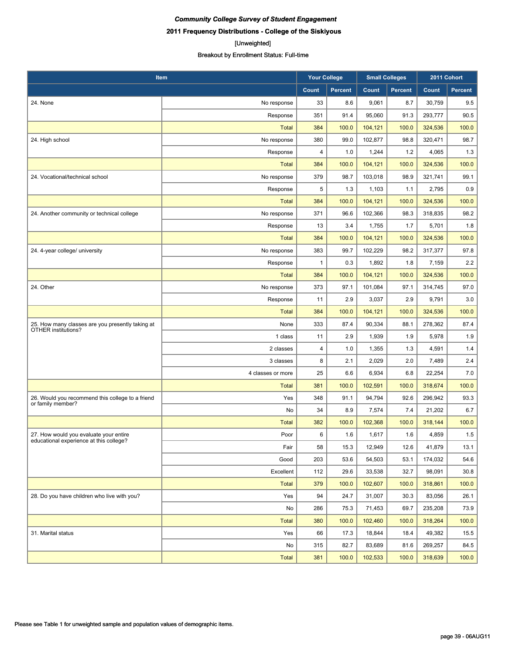#### [Unweighted]

| Item                                             |                   | <b>Your College</b> |                | <b>Small Colleges</b> |                | 2011 Cohort |         |
|--------------------------------------------------|-------------------|---------------------|----------------|-----------------------|----------------|-------------|---------|
|                                                  |                   | <b>Count</b>        | <b>Percent</b> | Count                 | <b>Percent</b> | Count       | Percent |
| 24. None                                         | No response       | 33                  | 8.6            | 9,061                 | 8.7            | 30,759      | 9.5     |
|                                                  | Response          | 351                 | 91.4           | 95.060                | 91.3           | 293,777     | 90.5    |
|                                                  | Total             | 384                 | 100.0          | 104,121               | 100.0          | 324,536     | 100.0   |
| 24. High school                                  | No response       | 380                 | 99.0           | 102,877               | 98.8           | 320,471     | 98.7    |
|                                                  | Response          | 4                   | 1.0            | 1,244                 | 1.2            | 4,065       | 1.3     |
|                                                  | <b>Total</b>      | 384                 | 100.0          | 104,121               | 100.0          | 324,536     | 100.0   |
| 24. Vocational/technical school                  | No response       | 379                 | 98.7           | 103,018               | 98.9           | 321,741     | 99.1    |
|                                                  | Response          | 5                   | 1.3            | 1,103                 | 1.1            | 2,795       | 0.9     |
|                                                  | <b>Total</b>      | 384                 | 100.0          | 104,121               | 100.0          | 324,536     | 100.0   |
| 24. Another community or technical college       | No response       | 371                 | 96.6           | 102,366               | 98.3           | 318,835     | 98.2    |
|                                                  | Response          | 13                  | 3.4            | 1,755                 | 1.7            | 5,701       | 1.8     |
|                                                  | <b>Total</b>      | 384                 | 100.0          | 104,121               | 100.0          | 324,536     | 100.0   |
| 24. 4-year college/ university                   | No response       | 383                 | 99.7           | 102,229               | 98.2           | 317,377     | 97.8    |
|                                                  | Response          | 1                   | 0.3            | 1,892                 | 1.8            | 7,159       | 2.2     |
|                                                  | <b>Total</b>      | 384                 | 100.0          | 104,121               | 100.0          | 324,536     | 100.0   |
| 24. Other                                        | No response       | 373                 | 97.1           | 101,084               | 97.1           | 314,745     | 97.0    |
|                                                  | Response          | 11                  | 2.9            | 3,037                 | 2.9            | 9,791       | 3.0     |
|                                                  | <b>Total</b>      | 384                 | 100.0          | 104,121               | 100.0          | 324,536     | 100.0   |
| 25. How many classes are you presently taking at | None              | 333                 | 87.4           | 90,334                | 88.1           | 278,362     | 87.4    |
| OTHER institutions?                              | 1 class           | 11                  | 2.9            | 1,939                 | 1.9            | 5,978       | 1.9     |
|                                                  | 2 classes         | 4                   | 1.0            | 1,355                 | 1.3            | 4,591       | 1.4     |
|                                                  | 3 classes         | 8                   | 2.1            | 2,029                 | 2.0            | 7,489       | 2.4     |
|                                                  | 4 classes or more | 25                  | 6.6            | 6,934                 | 6.8            | 22,254      | 7.0     |
|                                                  | <b>Total</b>      | 381                 | 100.0          | 102,591               | 100.0          | 318,674     | 100.0   |
| 26. Would you recommend this college to a friend | Yes               | 348                 | 91.1           | 94,794                | 92.6           | 296,942     | 93.3    |
| or family member?                                | No                | 34                  | 8.9            | 7,574                 | 7.4            | 21,202      | 6.7     |
|                                                  | <b>Total</b>      | 382                 | 100.0          | 102,368               | 100.0          | 318,144     | 100.0   |
| 27. How would you evaluate your entire           | Poor              | 6                   | 1.6            | 1,617                 | 1.6            | 4,859       | 1.5     |
| educational experience at this college?          | Fair              | 58                  | 15.3           | 12,949                | 12.6           | 41,879      | 13.1    |
|                                                  | Good              | 203                 | 53.6           | 54,503                | 53.1           | 174,032     | 54.6    |
|                                                  | Excellent         | 112                 | 29.6           | 33,538                | 32.7           | 98,091      | 30.8    |
|                                                  | <b>Total</b>      | 379                 | 100.0          | 102,607               | 100.0          | 318,861     | 100.0   |
| 28. Do you have children who live with you?      | Yes               | 94                  | 24.7           | 31,007                | 30.3           | 83,056      | 26.1    |
|                                                  | No                | 286                 | 75.3           | 71,453                | 69.7           | 235,208     | 73.9    |
|                                                  | Total             | 380                 | 100.0          | 102,460               | 100.0          | 318,264     | 100.0   |
| 31. Marital status                               | Yes               | 66                  | 17.3           | 18,844                | 18.4           | 49,382      | 15.5    |
|                                                  | No                | 315                 | 82.7           | 83,689                | 81.6           | 269,257     | 84.5    |
|                                                  | <b>Total</b>      | 381                 | 100.0          | 102,533               | 100.0          | 318,639     | 100.0   |